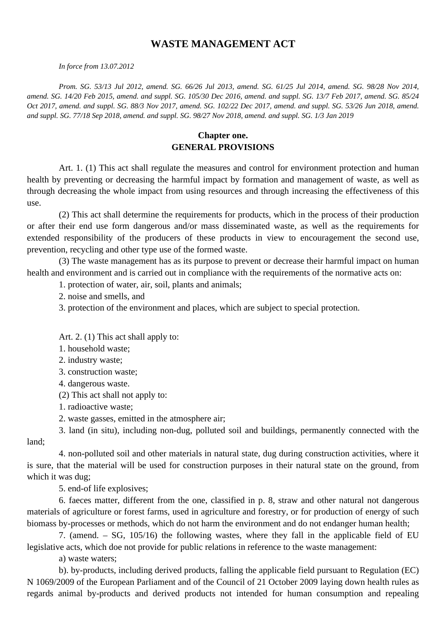# **WASTE MANAGEMENT ACT**

*In force from 13.07.2012*

*Prom. SG. 53/13 Jul 2012, amend. SG. 66/26 Jul 2013, amend. SG. 61/25 Jul 2014, amend. SG. 98/28 Nov 2014, amend. SG. 14/20 Feb 2015, amend. and suppl. SG. 105/30 Dec 2016, amend. and suppl. SG. 13/7 Feb 2017, amend. SG. 85/24 Oct 2017, amend. and suppl. SG. 88/3 Nov 2017, amend. SG. 102/22 Dec 2017, amend. and suppl. SG. 53/26 Jun 2018, amend. and suppl. SG. 77/18 Sep 2018, amend. and suppl. SG. 98/27 Nov 2018, amend. and suppl. SG. 1/3 Jan 2019*

# **Chapter one. GENERAL PROVISIONS**

Art. 1. (1) This act shall regulate the measures and control for environment protection and human health by preventing or decreasing the harmful impact by formation and management of waste, as well as through decreasing the whole impact from using resources and through increasing the effectiveness of this use.

(2) This act shall determine the requirements for products, which in the process of their production or after their end use form dangerous and/or mass disseminated waste, as well as the requirements for extended responsibility of the producers of these products in view to encouragement the second use, prevention, recycling and other type use of the formed waste.

(3) The waste management has as its purpose to prevent or decrease their harmful impact on human health and environment and is carried out in compliance with the requirements of the normative acts on:

1. protection of water, air, soil, plants and animals;

2. noise and smells, and

3. protection of the environment and places, which are subject to special protection.

Art. 2. (1) This act shall apply to:

1. household waste;

2. industry waste;

3. construction waste;

4. dangerous waste.

(2) This act shall not apply to:

1. radioactive waste;

2. waste gasses, emitted in the atmosphere air;

3. land (in situ), including non-dug, polluted soil and buildings, permanently connected with the land;

4. non-polluted soil and other materials in natural state, dug during construction activities, where it is sure, that the material will be used for construction purposes in their natural state on the ground, from which it was dug;

5. end-of life explosives;

6. faeces matter, different from the one, classified in p. 8, straw and other natural not dangerous materials of agriculture or forest farms, used in agriculture and forestry, or for production of energy of such biomass by-processes or methods, which do not harm the environment and do not endanger human health;

7. (amend. – SG, 105/16) the following wastes, where they fall in the applicable field of EU legislative acts, which doe not provide for public relations in reference to the waste management:

a) waste waters;

b). by-products, including derived products, falling the applicable field pursuant to Regulation (EC) N 1069/2009 of the European Parliament and of the Council of 21 October 2009 laying down health rules as regards animal by-products and derived products not intended for human consumption and repealing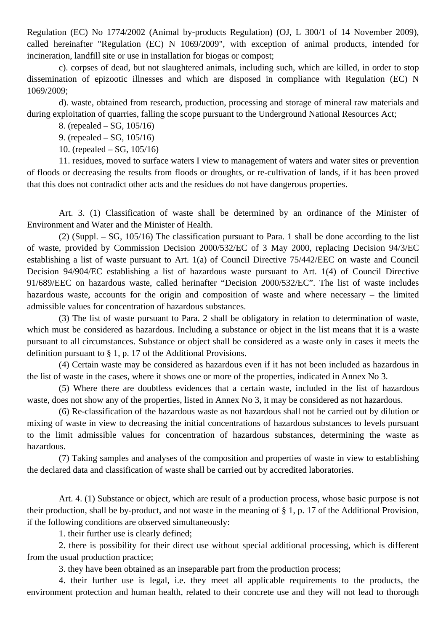Regulation (EC) No 1774/2002 (Animal by-products Regulation) (OJ, L 300/1 of 14 November 2009), called hereinafter "Regulation (EC) N 1069/2009", with exception of animal products, intended for incineration, landfill site or use in installation for biogas or compost;

c). corpses of dead, but not slaughtered animals, including such, which are killed, in order to stop dissemination of epizootic illnesses and which are disposed in compliance with Regulation (EC) N 1069/2009;

d). waste, obtained from research, production, processing and storage of mineral raw materials and during exploitation of quarries, falling the scope pursuant to the Underground National Resources Act;

8. (repealed – SG, 105/16)

9. (repealed – SG, 105/16)

10. (repealed – SG, 105/16)

11. residues, moved to surface waters I view to management of waters and water sites or prevention of floods or decreasing the results from floods or droughts, or re-cultivation of lands, if it has been proved that this does not contradict other acts and the residues do not have dangerous properties.

Art. 3. (1) Classification of waste shall be determined by an ordinance of the Minister of Environment and Water and the Minister of Health.

(2) (Suppl. – SG, 105/16) The classification pursuant to Para. 1 shall be done according to the list of waste, provided by Commission Decision 2000/532/EC of 3 May 2000, replacing Decision 94/3/EC establishing a list of waste pursuant to Art. 1(a) of Council Directive 75/442/EEC on waste and Council Decision 94/904/EC establishing a list of hazardous waste pursuant to Art. 1(4) of Council Directive 91/689/EEC on hazardous waste, called herinafter "Decision 2000/532/EC". The list of waste includes hazardous waste, accounts for the origin and composition of waste and where necessary – the limited admissible values for concentration of hazardous substances.

(3) The list of waste pursuant to Para. 2 shall be obligatory in relation to determination of waste, which must be considered as hazardous. Including a substance or object in the list means that it is a waste pursuant to all circumstances. Substance or object shall be considered as a waste only in cases it meets the definition pursuant to § 1, p. 17 of the Additional Provisions.

(4) Certain waste may be considered as hazardous even if it has not been included as hazardous in the list of waste in the cases, where it shows one or more of the properties, indicated in Annex No 3.

(5) Where there are doubtless evidences that a certain waste, included in the list of hazardous waste, does not show any of the properties, listed in Annex No 3, it may be considered as not hazardous.

(6) Re-classification of the hazardous waste as not hazardous shall not be carried out by dilution or mixing of waste in view to decreasing the initial concentrations of hazardous substances to levels pursuant to the limit admissible values for concentration of hazardous substances, determining the waste as hazardous.

(7) Taking samples and analyses of the composition and properties of waste in view to establishing the declared data and classification of waste shall be carried out by accredited laboratories.

Art. 4. (1) Substance or object, which are result of a production process, whose basic purpose is not their production, shall be by-product, and not waste in the meaning of § 1, p. 17 of the Additional Provision, if the following conditions are observed simultaneously:

1. their further use is clearly defined;

2. there is possibility for their direct use without special additional processing, which is different from the usual production practice;

3. they have been obtained as an inseparable part from the production process;

4. their further use is legal, i.e. they meet all applicable requirements to the products, the environment protection and human health, related to their concrete use and they will not lead to thorough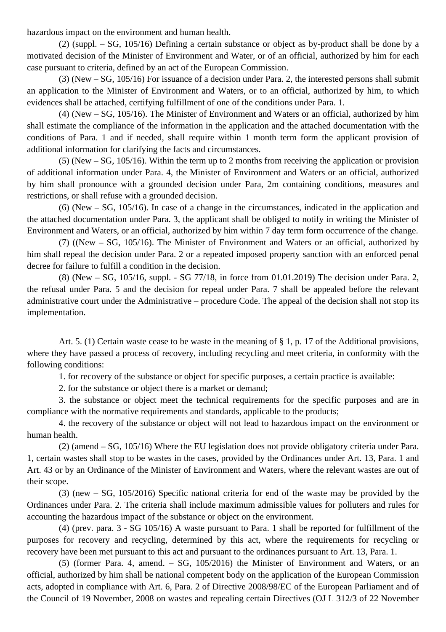hazardous impact on the environment and human health.

(2) (suppl. – SG, 105/16) Defining a certain substance or object as by-product shall be done by a motivated decision of the Minister of Environment and Water, or of an official, authorized by him for each case pursuant to criteria, defined by an act of the European Commission.

(3) (New – SG, 105/16) For issuance of a decision under Para. 2, the interested persons shall submit an application to the Minister of Environment and Waters, or to an official, authorized by him, to which evidences shall be attached, certifying fulfillment of one of the conditions under Para. 1.

(4) (New – SG, 105/16). The Minister of Environment and Waters or an official, authorized by him shall estimate the compliance of the information in the application and the attached documentation with the conditions of Para. 1 and if needed, shall require within 1 month term form the applicant provision of additional information for clarifying the facts and circumstances.

(5) (New – SG, 105/16). Within the term up to 2 months from receiving the application or provision of additional information under Para. 4, the Minister of Environment and Waters or an official, authorized by him shall pronounce with a grounded decision under Para, 2m containing conditions, measures and restrictions, or shall refuse with a grounded decision.

(6) (New – SG, 105/16). In case of a change in the circumstances, indicated in the application and the attached documentation under Para. 3, the applicant shall be obliged to notify in writing the Minister of Environment and Waters, or an official, authorized by him within 7 day term form occurrence of the change.

(7) ((New – SG, 105/16). The Minister of Environment and Waters or an official, authorized by him shall repeal the decision under Para. 2 or a repeated imposed property sanction with an enforced penal decree for failure to fulfill a condition in the decision.

(8) (New – SG, 105/16, suppl. - SG 77/18, in force from 01.01.2019) The decision under Para. 2, the refusal under Para. 5 and the decision for repeal under Para. 7 shall be appealed before the relevant administrative court under the Administrative – procedure Code. The appeal of the decision shall not stop its implementation.

Art. 5. (1) Certain waste cease to be waste in the meaning of § 1, p. 17 of the Additional provisions, where they have passed a process of recovery, including recycling and meet criteria, in conformity with the following conditions:

1. for recovery of the substance or object for specific purposes, a certain practice is available:

2. for the substance or object there is a market or demand;

3. the substance or object meet the technical requirements for the specific purposes and are in compliance with the normative requirements and standards, applicable to the products;

4. the recovery of the substance or object will not lead to hazardous impact on the environment or human health.

(2) (amend – SG, 105/16) Where the EU legislation does not provide obligatory criteria under Para. 1, certain wastes shall stop to be wastes in the cases, provided by the Ordinances under Art. 13, Para. 1 and Art. 43 or by an Ordinance of the Minister of Environment and Waters, where the relevant wastes are out of their scope.

(3) (new – SG, 105/2016) Specific national criteria for end of the waste may be provided by the Ordinances under Para. 2. The criteria shall include maximum admissible values for polluters and rules for accounting the hazardous impact of the substance or object on the environment.

(4) (prev. para. 3 - SG 105/16) A waste pursuant to Para. 1 shall be reported for fulfillment of the purposes for recovery and recycling, determined by this act, where the requirements for recycling or recovery have been met pursuant to this act and pursuant to the ordinances pursuant to Art. 13, Para. 1.

(5) (former Para. 4, amend. – SG, 105/2016) the Minister of Environment and Waters, or an official, authorized by him shall be national competent body on the application of the European Commission acts, adopted in compliance with Art. 6, Para. 2 of Directive 2008/98/EC of the European Parliament and of the Council of 19 November, 2008 on wastes and repealing certain Directives (OJ L 312/3 of 22 November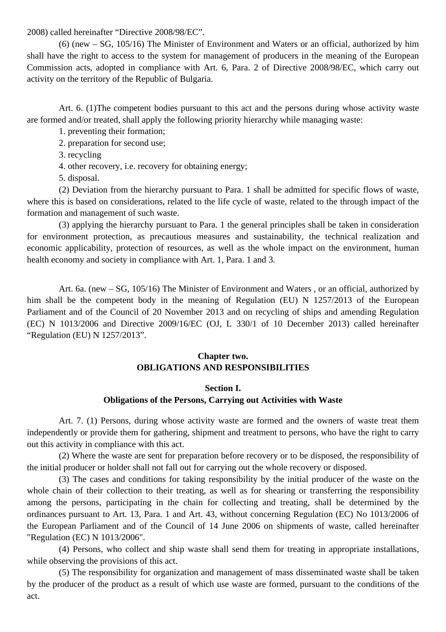2008) called hereinafter "Directive 2008/98/EC".

(6) (new – SG, 105/16) The Minister of Environment and Waters or an official, authorized by him shall have the right to access to the system for management of producers in the meaning of the European Commission acts, adopted in compliance with Art. 6, Para. 2 of Directive 2008/98/EC, which carry out activity on the territory of the Republic of Bulgaria.

Art. 6. (1)The competent bodies pursuant to this act and the persons during whose activity waste are formed and/or treated, shall apply the following priority hierarchy while managing waste:

1. preventing their formation;

2. preparation for second use;

3. recycling

4. other recovery, i.e. recovery for obtaining energy;

5. disposal.

(2) Deviation from the hierarchy pursuant to Para. 1 shall be admitted for specific flows of waste, where this is based on considerations, related to the life cycle of waste, related to the through impact of the formation and management of such waste.

(3) applying the hierarchy pursuant to Para. 1 the general principles shall be taken in consideration for environment protection, as precautious measures and sustainability, the technical realization and economic applicability, protection of resources, as well as the whole impact on the environment, human health economy and society in compliance with Art. 1, Para. 1 and 3.

Art. 6a. (new – SG, 105/16) The Minister of Environment and Waters , or an official, authorized by him shall be the competent body in the meaning of Regulation (EU) N 1257/2013 of the European Parliament and of the Council of 20 November 2013 and on recycling of ships and amending Regulation (EC) N 1013/2006 and Directive 2009/16/EC (OJ, L 330/1 of 10 December 2013) called hereinafter "Regulation (EU) N 1257/2013".

### **Chapter two. OBLIGATIONS AND RESPONSIBILITIES**

#### **Section I.**

### **Obligations of the Persons, Carrying out Activities with Waste**

Art. 7. (1) Persons, during whose activity waste are formed and the owners of waste treat them independently or provide them for gathering, shipment and treatment to persons, who have the right to carry out this activity in compliance with this act.

(2) Where the waste are sent for preparation before recovery or to be disposed, the responsibility of the initial producer or holder shall not fall out for carrying out the whole recovery or disposed.

(3) The cases and conditions for taking responsibility by the initial producer of the waste on the whole chain of their collection to their treating, as well as for shearing or transferring the responsibility among the persons, participating in the chain for collecting and treating, shall be determined by the ordinances pursuant to Art. 13, Para. 1 and Art. 43, without concerning Regulation (EC) No 1013/2006 of the European Parliament and of the Council of 14 June 2006 on shipments of waste, called hereinafter "Regulation (EC) N 1013/2006".

(4) Persons, who collect and ship waste shall send them for treating in appropriate installations, while observing the provisions of this act.

(5) The responsibility for organization and management of mass disseminated waste shall be taken by the producer of the product as a result of which use waste are formed, pursuant to the conditions of the act.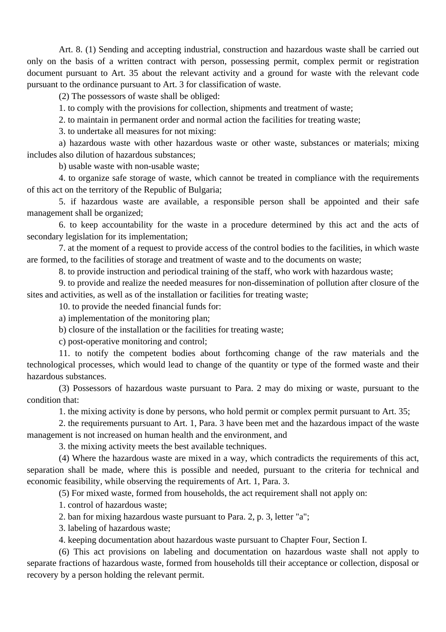Art. 8. (1) Sending and accepting industrial, construction and hazardous waste shall be carried out only on the basis of a written contract with person, possessing permit, complex permit or registration document pursuant to Art. 35 about the relevant activity and a ground for waste with the relevant code pursuant to the ordinance pursuant to Art. 3 for classification of waste.

(2) The possessors of waste shall be obliged:

1. to comply with the provisions for collection, shipments and treatment of waste;

2. to maintain in permanent order and normal action the facilities for treating waste;

3. to undertake all measures for not mixing:

a) hazardous waste with other hazardous waste or other waste, substances or materials; mixing includes also dilution of hazardous substances;

b) usable waste with non-usable waste;

4. to organize safe storage of waste, which cannot be treated in compliance with the requirements of this act on the territory of the Republic of Bulgaria;

5. if hazardous waste are available, a responsible person shall be appointed and their safe management shall be organized;

6. to keep accountability for the waste in a procedure determined by this act and the acts of secondary legislation for its implementation;

7. at the moment of a request to provide access of the control bodies to the facilities, in which waste are formed, to the facilities of storage and treatment of waste and to the documents on waste;

8. to provide instruction and periodical training of the staff, who work with hazardous waste;

9. to provide and realize the needed measures for non-dissemination of pollution after closure of the sites and activities, as well as of the installation or facilities for treating waste;

10. to provide the needed financial funds for:

a) implementation of the monitoring plan;

b) closure of the installation or the facilities for treating waste;

c) post-operative monitoring and control;

11. to notify the competent bodies about forthcoming change of the raw materials and the technological processes, which would lead to change of the quantity or type of the formed waste and their hazardous substances.

(3) Possessors of hazardous waste pursuant to Para. 2 may do mixing or waste, pursuant to the condition that:

1. the mixing activity is done by persons, who hold permit or complex permit pursuant to Art. 35;

2. the requirements pursuant to Art. 1, Para. 3 have been met and the hazardous impact of the waste management is not increased on human health and the environment, and

3. the mixing activity meets the best available techniques.

(4) Where the hazardous waste are mixed in a way, which contradicts the requirements of this act, separation shall be made, where this is possible and needed, pursuant to the criteria for technical and economic feasibility, while observing the requirements of Art. 1, Para. 3.

(5) For mixed waste, formed from households, the act requirement shall not apply on:

1. control of hazardous waste;

2. ban for mixing hazardous waste pursuant to Para. 2, p. 3, letter "a";

3. labeling of hazardous waste;

4. keeping documentation about hazardous waste pursuant to Chapter Four, Section I.

(6) This act provisions on labeling and documentation on hazardous waste shall not apply to separate fractions of hazardous waste, formed from households till their acceptance or collection, disposal or recovery by a person holding the relevant permit.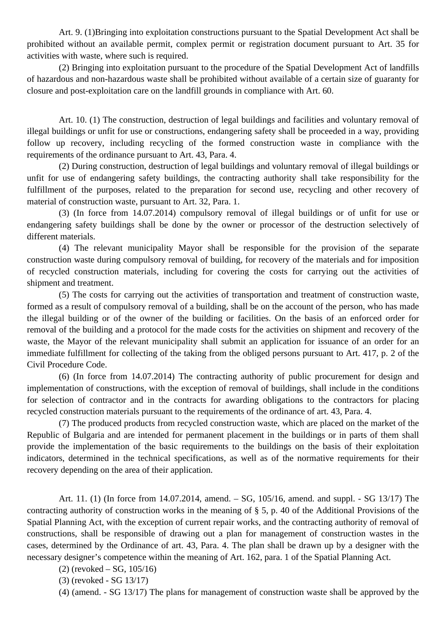Art. 9. (1)Bringing into exploitation constructions pursuant to the Spatial Development Act shall be prohibited without an available permit, complex permit or registration document pursuant to Art. 35 for activities with waste, where such is required.

(2) Bringing into exploitation pursuant to the procedure of the Spatial Development Act of landfills of hazardous and non-hazardous waste shall be prohibited without available of a certain size of guaranty for closure and post-exploitation care on the landfill grounds in compliance with Art. 60.

Art. 10. (1) The construction, destruction of legal buildings and facilities and voluntary removal of illegal buildings or unfit for use or constructions, endangering safety shall be proceeded in a way, providing follow up recovery, including recycling of the formed construction waste in compliance with the requirements of the ordinance pursuant to Art. 43, Para. 4.

(2) During construction, destruction of legal buildings and voluntary removal of illegal buildings or unfit for use of endangering safety buildings, the contracting authority shall take responsibility for the fulfillment of the purposes, related to the preparation for second use, recycling and other recovery of material of construction waste, pursuant to Art. 32, Para. 1.

(3) (In force from 14.07.2014) compulsory removal of illegal buildings or of unfit for use or endangering safety buildings shall be done by the owner or processor of the destruction selectively of different materials.

(4) The relevant municipality Mayor shall be responsible for the provision of the separate construction waste during compulsory removal of building, for recovery of the materials and for imposition of recycled construction materials, including for covering the costs for carrying out the activities of shipment and treatment.

(5) The costs for carrying out the activities of transportation and treatment of construction waste, formed as a result of compulsory removal of a building, shall be on the account of the person, who has made the illegal building or of the owner of the building or facilities. On the basis of an enforced order for removal of the building and a protocol for the made costs for the activities on shipment and recovery of the waste, the Mayor of the relevant municipality shall submit an application for issuance of an order for an immediate fulfillment for collecting of the taking from the obliged persons pursuant to Art. 417, p. 2 of the Civil Procedure Code.

(6) (In force from 14.07.2014) The contracting authority of public procurement for design and implementation of constructions, with the exception of removal of buildings, shall include in the conditions for selection of contractor and in the contracts for awarding obligations to the contractors for placing recycled construction materials pursuant to the requirements of the ordinance of art. 43, Para. 4.

(7) The produced products from recycled construction waste, which are placed on the market of the Republic of Bulgaria and are intended for permanent placement in the buildings or in parts of them shall provide the implementation of the basic requirements to the buildings on the basis of their exploitation indicators, determined in the technical specifications, as well as of the normative requirements for their recovery depending on the area of their application.

Art. 11. (1) (In force from 14.07.2014, amend. – SG, 105/16, amend. and suppl. - SG 13/17) The contracting authority of construction works in the meaning of § 5, p. 40 of the Additional Provisions of the Spatial Planning Act, with the exception of current repair works, and the contracting authority of removal of constructions, shall be responsible of drawing out a plan for management of construction wastes in the cases, determined by the Ordinance of art. 43, Para. 4. The plan shall be drawn up by a designer with the necessary designer's competence within the meaning of Art. 162, para. 1 of the Spatial Planning Act.

(2) (revoked – SG, 105/16)

(3) (revoked - SG 13/17)

(4) (amend. - SG 13/17) The plans for management of construction waste shall be approved by the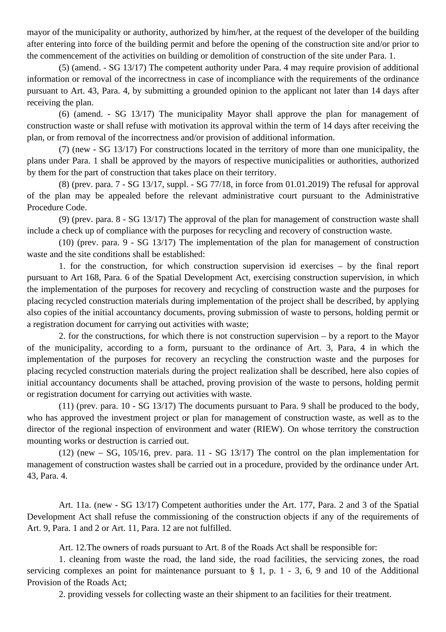mayor of the municipality or authority, authorized by him/her, at the request of the developer of the building after entering into force of the building permit and before the opening of the construction site and/or prior to the commencement of the activities on building or demolition of construction of the site under Para. 1.

(5) (amend. - SG 13/17) The competent authority under Para. 4 may require provision of additional information or removal of the incorrectness in case of incompliance with the requirements of the ordinance pursuant to Art. 43, Para. 4, by submitting a grounded opinion to the applicant not later than 14 days after receiving the plan.

(6) (amend. - SG 13/17) The municipality Mayor shall approve the plan for management of construction waste or shall refuse with motivation its approval within the term of 14 days after receiving the plan, or from removal of the incorrectness and/or provision of additional information.

(7) (new - SG 13/17) For constructions located in the territory of more than one municipality, the plans under Para. 1 shall be approved by the mayors of respective municipalities or authorities, authorized by them for the part of construction that takes place on their territory.

(8) (prev. para. 7 - SG 13/17, suppl. - SG 77/18, in force from 01.01.2019) The refusal for approval of the plan may be appealed before the relevant administrative court pursuant to the Administrative Procedure Code.

(9) (prev. para. 8 - SG 13/17) The approval of the plan for management of construction waste shall include a check up of compliance with the purposes for recycling and recovery of construction waste.

(10) (prev. para. 9 - SG 13/17) The implementation of the plan for management of construction waste and the site conditions shall be established:

1. for the construction, for which construction supervision id exercises – by the final report pursuant to Art 168, Para. 6 of the Spatial Development Act, exercising construction supervision, in which the implementation of the purposes for recovery and recycling of construction waste and the purposes for placing recycled construction materials during implementation of the project shall be described, by applying also copies of the initial accountancy documents, proving submission of waste to persons, holding permit or a registration document for carrying out activities with waste;

2. for the constructions, for which there is not construction supervision – by a report to the Mayor of the municipality, according to a form, pursuant to the ordinance of Art. 3, Para, 4 in which the implementation of the purposes for recovery an recycling the construction waste and the purposes for placing recycled construction materials during the project realization shall be described, here also copies of initial accountancy documents shall be attached, proving provision of the waste to persons, holding permit or registration document for carrying out activities with waste.

(11) (prev. para. 10 - SG 13/17) The documents pursuant to Para. 9 shall be produced to the body, who has approved the investment project or plan for management of construction waste, as well as to the director of the regional inspection of environment and water (RIEW). On whose territory the construction mounting works or destruction is carried out.

 $(12)$  (new – SG, 105/16, prev. para. 11 - SG 13/17) The control on the plan implementation for management of construction wastes shall be carried out in a procedure, provided by the ordinance under Art. 43, Para. 4.

Art. 11a. (new - SG 13/17) Competent authorities under the Art. 177, Para. 2 and 3 of the Spatial Development Act shall refuse the commissioning of the construction objects if any of the requirements of Art. 9, Para. 1 and 2 or Art. 11, Para. 12 are not fulfilled.

Art. 12.The owners of roads pursuant to Art. 8 of the Roads Act shall be responsible for:

1. cleaning from waste the road, the land side, the road facilities, the servicing zones, the road servicing complexes an point for maintenance pursuant to  $\S$  1, p. 1 - 3, 6, 9 and 10 of the Additional Provision of the Roads Act;

2. providing vessels for collecting waste an their shipment to an facilities for their treatment.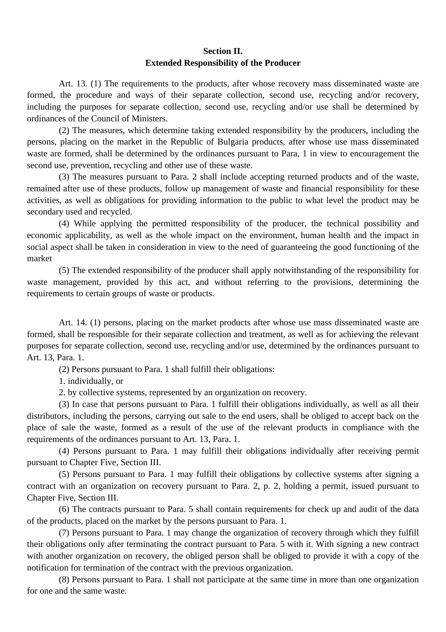# **Section II. Extended Responsibility of the Producer**

Art. 13. (1) The requirements to the products, after whose recovery mass disseminated waste are formed, the procedure and ways of their separate collection, second use, recycling and/or recovery, including the purposes for separate collection, second use, recycling and/or use shall be determined by ordinances of the Council of Ministers.

(2) The measures, which determine taking extended responsibility by the producers, including the persons, placing on the market in the Republic of Bulgaria products, after whose use mass disseminated waste are formed, shall be determined by the ordinances pursuant to Para, 1 in view to encouragement the second use, prevention, recycling and other use of these waste.

(3) The measures pursuant to Para. 2 shall include accepting returned products and of the waste, remained after use of these products, follow up management of waste and financial responsibility for these activities, as well as obligations for providing information to the public to what level the product may be secondary used and recycled.

(4) While applying the permitted responsibility of the producer, the technical possibility and economic applicability, as well as the whole impact on the environment, human health and the impact in social aspect shall be taken in consideration in view to the need of guaranteeing the good functioning of the market

(5) The extended responsibility of the producer shall apply notwithstanding of the responsibility for waste management, provided by this act, and without referring to the provisions, determining the requirements to certain groups of waste or products.

Art. 14. (1) persons, placing on the market products after whose use mass disseminated waste are formed, shall be responsible for their separate collection and treatment, as well as for achieving the relevant purposes for separate collection, second use, recycling and/or use, determined by the ordinances pursuant to Art. 13, Para. 1.

(2) Persons pursuant to Para. 1 shall fulfill their obligations:

1. individually, or

2. by collective systems, represented by an organization on recovery.

(3) In case that persons pursuant to Para. 1 fulfill their obligations individually, as well as all their distributors, including the persons, carrying out sale to the end users, shall be obliged to accept back on the place of sale the waste, formed as a result of the use of the relevant products in compliance with the requirements of the ordinances pursuant to Art. 13, Para. 1.

(4) Persons pursuant to Para. 1 may fulfill their obligations individually after receiving permit pursuant to Chapter Five, Section III.

(5) Persons pursuant to Para. 1 may fulfill their obligations by collective systems after signing a contract with an organization on recovery pursuant to Para. 2, p. 2, holding a permit, issued pursuant to Chapter Five, Section III.

(6) The contracts pursuant to Para. 5 shall contain requirements for check up and audit of the data of the products, placed on the market by the persons pursuant to Para. 1.

(7) Persons pursuant to Para. 1 may change the organization of recovery through which they fulfill their obligations only after terminating the contract pursuant to Para. 5 with it. With signing a new contract with another organization on recovery, the obliged person shall be obliged to provide it with a copy of the notification for termination of the contract with the previous organization.

(8) Persons pursuant to Para. 1 shall not participate at the same time in more than one organization for one and the same waste.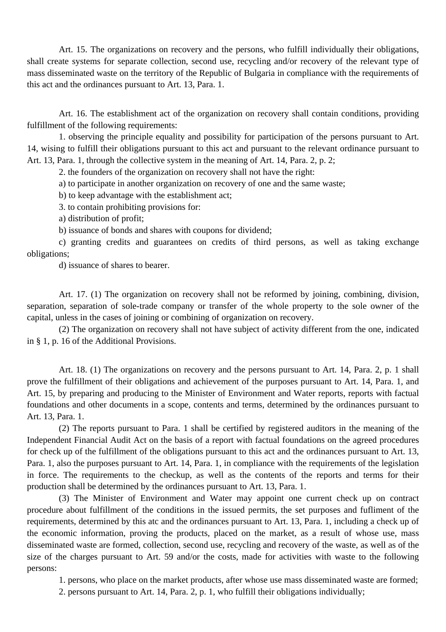Art. 15. The organizations on recovery and the persons, who fulfill individually their obligations, shall create systems for separate collection, second use, recycling and/or recovery of the relevant type of mass disseminated waste on the territory of the Republic of Bulgaria in compliance with the requirements of this act and the ordinances pursuant to Art. 13, Para. 1.

Art. 16. The establishment act of the organization on recovery shall contain conditions, providing fulfillment of the following requirements:

1. observing the principle equality and possibility for participation of the persons pursuant to Art. 14, wising to fulfill their obligations pursuant to this act and pursuant to the relevant ordinance pursuant to Art. 13, Para. 1, through the collective system in the meaning of Art. 14, Para. 2, p. 2;

2. the founders of the organization on recovery shall not have the right:

a) to participate in another organization on recovery of one and the same waste;

b) to keep advantage with the establishment act;

3. to contain prohibiting provisions for:

a) distribution of profit;

b) issuance of bonds and shares with coupons for dividend;

c) granting credits and guarantees on credits of third persons, as well as taking exchange obligations;

d) issuance of shares to bearer.

Art. 17. (1) The organization on recovery shall not be reformed by joining, combining, division, separation, separation of sole-trade company or transfer of the whole property to the sole owner of the capital, unless in the cases of joining or combining of organization on recovery.

(2) The organization on recovery shall not have subject of activity different from the one, indicated in § 1, p. 16 of the Additional Provisions.

Art. 18. (1) The organizations on recovery and the persons pursuant to Art. 14, Para. 2, p. 1 shall prove the fulfillment of their obligations and achievement of the purposes pursuant to Art. 14, Para. 1, and Art. 15, by preparing and producing to the Minister of Environment and Water reports, reports with factual foundations and other documents in a scope, contents and terms, determined by the ordinances pursuant to Art. 13, Para. 1.

(2) The reports pursuant to Para. 1 shall be certified by registered auditors in the meaning of the Independent Financial Audit Act on the basis of a report with factual foundations on the agreed procedures for check up of the fulfillment of the obligations pursuant to this act and the ordinances pursuant to Art. 13, Para. 1, also the purposes pursuant to Art. 14, Para. 1, in compliance with the requirements of the legislation in force. The requirements to the checkup, as well as the contents of the reports and terms for their production shall be determined by the ordinances pursuant to Art. 13, Para. 1.

(3) The Minister of Environment and Water may appoint one current check up on contract procedure about fulfillment of the conditions in the issued permits, the set purposes and fufliment of the requirements, determined by this atc and the ordinances pursuant to Art. 13, Para. 1, including a check up of the economic information, proving the products, placed on the market, as a result of whose use, mass disseminated waste are formed, collection, second use, recycling and recovery of the waste, as well as of the size of the charges pursuant to Art. 59 and/or the costs, made for activities with waste to the following persons:

1. persons, who place on the market products, after whose use mass disseminated waste are formed;

2. persons pursuant to Art. 14, Para. 2, p. 1, who fulfill their obligations individually;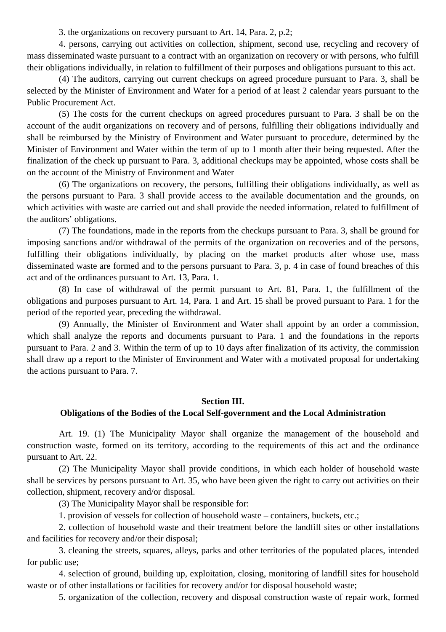3. the organizations on recovery pursuant to Art. 14, Para. 2, p.2;

4. persons, carrying out activities on collection, shipment, second use, recycling and recovery of mass disseminated waste pursuant to a contract with an organization on recovery or with persons, who fulfill their obligations individually, in relation to fulfillment of their purposes and obligations pursuant to this act.

(4) The auditors, carrying out current checkups on agreed procedure pursuant to Para. 3, shall be selected by the Minister of Environment and Water for a period of at least 2 calendar years pursuant to the Public Procurement Act.

(5) The costs for the current checkups on agreed procedures pursuant to Para. 3 shall be on the account of the audit organizations on recovery and of persons, fulfilling their obligations individually and shall be reimbursed by the Ministry of Environment and Water pursuant to procedure, determined by the Minister of Environment and Water within the term of up to 1 month after their being requested. After the finalization of the check up pursuant to Para. 3, additional checkups may be appointed, whose costs shall be on the account of the Ministry of Environment and Water

(6) The organizations on recovery, the persons, fulfilling their obligations individually, as well as the persons pursuant to Para. 3 shall provide access to the available documentation and the grounds, on which activities with waste are carried out and shall provide the needed information, related to fulfillment of the auditors' obligations.

(7) The foundations, made in the reports from the checkups pursuant to Para. 3, shall be ground for imposing sanctions and/or withdrawal of the permits of the organization on recoveries and of the persons, fulfilling their obligations individually, by placing on the market products after whose use, mass disseminated waste are formed and to the persons pursuant to Para. 3, p. 4 in case of found breaches of this act and of the ordinances pursuant to Art. 13, Para. 1.

(8) In case of withdrawal of the permit pursuant to Art. 81, Para. 1, the fulfillment of the obligations and purposes pursuant to Art. 14, Para. 1 and Art. 15 shall be proved pursuant to Para. 1 for the period of the reported year, preceding the withdrawal.

(9) Annually, the Minister of Environment and Water shall appoint by an order a commission, which shall analyze the reports and documents pursuant to Para. 1 and the foundations in the reports pursuant to Para. 2 and 3. Within the term of up to 10 days after finalization of its activity, the commission shall draw up a report to the Minister of Environment and Water with a motivated proposal for undertaking the actions pursuant to Para. 7.

### **Section III.**

### **Obligations of the Bodies of the Local Self-government and the Local Administration**

Art. 19. (1) The Municipality Mayor shall organize the management of the household and construction waste, formed on its territory, according to the requirements of this act and the ordinance pursuant to Art. 22.

(2) The Municipality Mayor shall provide conditions, in which each holder of household waste shall be services by persons pursuant to Art. 35, who have been given the right to carry out activities on their collection, shipment, recovery and/or disposal.

(3) The Municipality Mayor shall be responsible for:

1. provision of vessels for collection of household waste – containers, buckets, etc.;

2. collection of household waste and their treatment before the landfill sites or other installations and facilities for recovery and/or their disposal;

3. cleaning the streets, squares, alleys, parks and other territories of the populated places, intended for public use;

4. selection of ground, building up, exploitation, closing, monitoring of landfill sites for household waste or of other installations or facilities for recovery and/or for disposal household waste;

5. organization of the collection, recovery and disposal construction waste of repair work, formed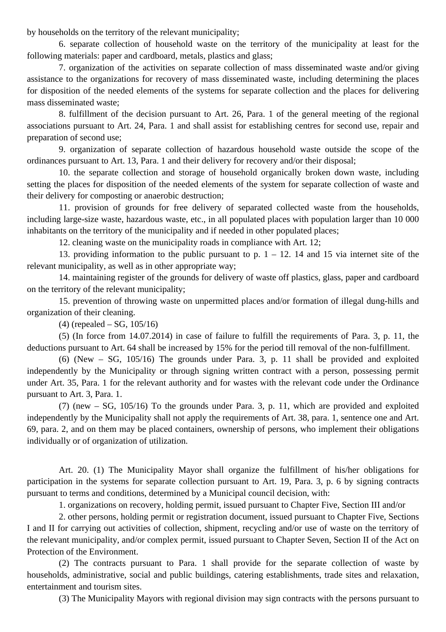by households on the territory of the relevant municipality;

6. separate collection of household waste on the territory of the municipality at least for the following materials: paper and cardboard, metals, plastics and glass;

7. organization of the activities on separate collection of mass disseminated waste and/or giving assistance to the organizations for recovery of mass disseminated waste, including determining the places for disposition of the needed elements of the systems for separate collection and the places for delivering mass disseminated waste;

8. fulfillment of the decision pursuant to Art. 26, Para. 1 of the general meeting of the regional associations pursuant to Art. 24, Para. 1 and shall assist for establishing centres for second use, repair and preparation of second use;

9. organization of separate collection of hazardous household waste outside the scope of the ordinances pursuant to Art. 13, Para. 1 and their delivery for recovery and/or their disposal;

10. the separate collection and storage of household organically broken down waste, including setting the places for disposition of the needed elements of the system for separate collection of waste and their delivery for composting or anaerobic destruction;

11. provision of grounds for free delivery of separated collected waste from the households, including large-size waste, hazardous waste, etc., in all populated places with population larger than 10 000 inhabitants on the territory of the municipality and if needed in other populated places;

12. cleaning waste on the municipality roads in compliance with Art. 12;

13. providing information to the public pursuant to p.  $1 - 12$ . 14 and 15 via internet site of the relevant municipality, as well as in other appropriate way;

14. maintaining register of the grounds for delivery of waste off plastics, glass, paper and cardboard on the territory of the relevant municipality;

15. prevention of throwing waste on unpermitted places and/or formation of illegal dung-hills and organization of their cleaning.

(4) (repealed – SG, 105/16)

(5) (In force from 14.07.2014) in case of failure to fulfill the requirements of Para. 3, p. 11, the deductions pursuant to Art. 64 shall be increased by 15% for the period till removal of the non-fulfillment.

(6) (New – SG, 105/16) The grounds under Para. 3, p. 11 shall be provided and exploited independently by the Municipality or through signing written contract with a person, possessing permit under Art. 35, Para. 1 for the relevant authority and for wastes with the relevant code under the Ordinance pursuant to Art. 3, Para. 1.

(7) (new – SG, 105/16) To the grounds under Para. 3, p. 11, which are provided and exploited independently by the Municipality shall not apply the requirements of Art. 38, para. 1, sentence one and Art. 69, para. 2, and on them may be placed containers, ownership of persons, who implement their obligations individually or of organization of utilization.

Art. 20. (1) The Municipality Mayor shall organize the fulfillment of his/her obligations for participation in the systems for separate collection pursuant to Art. 19, Para. 3, p. 6 by signing contracts pursuant to terms and conditions, determined by a Municipal council decision, with:

1. organizations on recovery, holding permit, issued pursuant to Chapter Five, Section III and/or

2. other persons, holding permit or registration document, issued pursuant to Chapter Five, Sections I and II for carrying out activities of collection, shipment, recycling and/or use of waste on the territory of the relevant municipality, and/or complex permit, issued pursuant to Chapter Seven, Section II of the Act on Protection of the Environment.

(2) The contracts pursuant to Para. 1 shall provide for the separate collection of waste by households, administrative, social and public buildings, catering establishments, trade sites and relaxation, entertainment and tourism sites.

(3) The Municipality Mayors with regional division may sign contracts with the persons pursuant to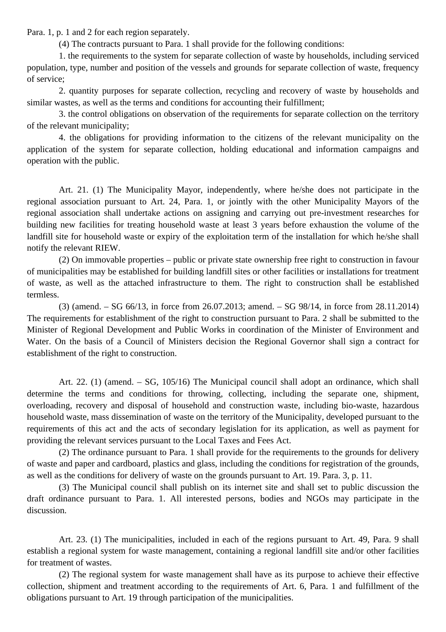Para. 1, p. 1 and 2 for each region separately.

(4) The contracts pursuant to Para. 1 shall provide for the following conditions:

1. the requirements to the system for separate collection of waste by households, including serviced population, type, number and position of the vessels and grounds for separate collection of waste, frequency of service;

2. quantity purposes for separate collection, recycling and recovery of waste by households and similar wastes, as well as the terms and conditions for accounting their fulfillment;

3. the control obligations on observation of the requirements for separate collection on the territory of the relevant municipality;

4. the obligations for providing information to the citizens of the relevant municipality on the application of the system for separate collection, holding educational and information campaigns and operation with the public.

Art. 21. (1) The Municipality Mayor, independently, where he/she does not participate in the regional association pursuant to Art. 24, Para. 1, or jointly with the other Municipality Mayors of the regional association shall undertake actions on assigning and carrying out pre-investment researches for building new facilities for treating household waste at least 3 years before exhaustion the volume of the landfill site for household waste or expiry of the exploitation term of the installation for which he/she shall notify the relevant RIEW.

(2) On immovable properties – public or private state ownership free right to construction in favour of municipalities may be established for building landfill sites or other facilities or installations for treatment of waste, as well as the attached infrastructure to them. The right to construction shall be established termless.

(3) (amend. – SG 66/13, in force from 26.07.2013; amend. – SG 98/14, in force from 28.11.2014) The requirements for establishment of the right to construction pursuant to Para. 2 shall be submitted to the Minister of Regional Development and Public Works in coordination of the Minister of Environment and Water. On the basis of a Council of Ministers decision the Regional Governor shall sign a contract for establishment of the right to construction.

Art. 22. (1) (amend. – SG, 105/16) The Municipal council shall adopt an ordinance, which shall determine the terms and conditions for throwing, collecting, including the separate one, shipment, overloading, recovery and disposal of household and construction waste, including bio-waste, hazardous household waste, mass dissemination of waste on the territory of the Municipality, developed pursuant to the requirements of this act and the acts of secondary legislation for its application, as well as payment for providing the relevant services pursuant to the Local Taxes and Fees Act.

(2) The ordinance pursuant to Para. 1 shall provide for the requirements to the grounds for delivery of waste and paper and cardboard, plastics and glass, including the conditions for registration of the grounds, as well as the conditions for delivery of waste on the grounds pursuant to Art. 19. Para. 3, p. 11.

(3) The Municipal council shall publish on its internet site and shall set to public discussion the draft ordinance pursuant to Para. 1. All interested persons, bodies and NGOs may participate in the discussion.

Art. 23. (1) The municipalities, included in each of the regions pursuant to Art. 49, Para. 9 shall establish a regional system for waste management, containing a regional landfill site and/or other facilities for treatment of wastes.

(2) The regional system for waste management shall have as its purpose to achieve their effective collection, shipment and treatment according to the requirements of Art. 6, Para. 1 and fulfillment of the obligations pursuant to Art. 19 through participation of the municipalities.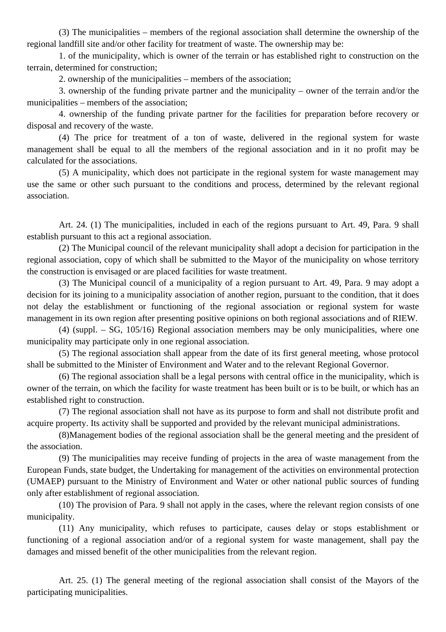(3) The municipalities – members of the regional association shall determine the ownership of the regional landfill site and/or other facility for treatment of waste. The ownership may be:

1. of the municipality, which is owner of the terrain or has established right to construction on the terrain, determined for construction;

2. ownership of the municipalities – members of the association;

3. ownership of the funding private partner and the municipality – owner of the terrain and/or the municipalities – members of the association;

4. ownership of the funding private partner for the facilities for preparation before recovery or disposal and recovery of the waste.

(4) The price for treatment of a ton of waste, delivered in the regional system for waste management shall be equal to all the members of the regional association and in it no profit may be calculated for the associations.

(5) A municipality, which does not participate in the regional system for waste management may use the same or other such pursuant to the conditions and process, determined by the relevant regional association.

Art. 24. (1) The municipalities, included in each of the regions pursuant to Art. 49, Para. 9 shall establish pursuant to this act a regional association.

(2) The Municipal council of the relevant municipality shall adopt a decision for participation in the regional association, copy of which shall be submitted to the Mayor of the municipality on whose territory the construction is envisaged or are placed facilities for waste treatment.

(3) The Municipal council of a municipality of a region pursuant to Art. 49, Para. 9 may adopt a decision for its joining to a municipality association of another region, pursuant to the condition, that it does not delay the establishment or functioning of the regional association or regional system for waste management in its own region after presenting positive opinions on both regional associations and of RIEW.

(4) (suppl. – SG, 105/16) Regional association members may be only municipalities, where one municipality may participate only in one regional association.

(5) The regional association shall appear from the date of its first general meeting, whose protocol shall be submitted to the Minister of Environment and Water and to the relevant Regional Governor.

(6) The regional association shall be a legal persons with central office in the municipality, which is owner of the terrain, on which the facility for waste treatment has been built or is to be built, or which has an established right to construction.

(7) The regional association shall not have as its purpose to form and shall not distribute profit and acquire property. Its activity shall be supported and provided by the relevant municipal administrations.

(8)Management bodies of the regional association shall be the general meeting and the president of the association.

(9) The municipalities may receive funding of projects in the area of waste management from the European Funds, state budget, the Undertaking for management of the activities on environmental protection (UMAEP) pursuant to the Ministry of Environment and Water or other national public sources of funding only after establishment of regional association.

(10) The provision of Para. 9 shall not apply in the cases, where the relevant region consists of one municipality.

(11) Any municipality, which refuses to participate, causes delay or stops establishment or functioning of a regional association and/or of a regional system for waste management, shall pay the damages and missed benefit of the other municipalities from the relevant region.

Art. 25. (1) The general meeting of the regional association shall consist of the Mayors of the participating municipalities.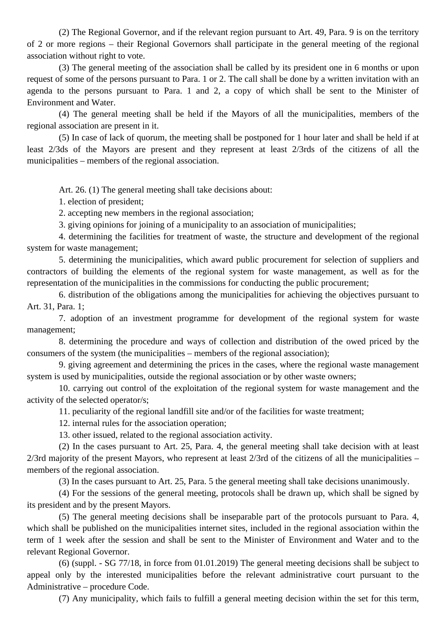(2) The Regional Governor, and if the relevant region pursuant to Art. 49, Para. 9 is on the territory of 2 or more regions – their Regional Governors shall participate in the general meeting of the regional association without right to vote.

(3) The general meeting of the association shall be called by its president one in 6 months or upon request of some of the persons pursuant to Para. 1 or 2. The call shall be done by a written invitation with an agenda to the persons pursuant to Para. 1 and 2, a copy of which shall be sent to the Minister of Environment and Water.

(4) The general meeting shall be held if the Mayors of all the municipalities, members of the regional association are present in it.

(5) In case of lack of quorum, the meeting shall be postponed for 1 hour later and shall be held if at least 2/3ds of the Mayors are present and they represent at least 2/3rds of the citizens of all the municipalities – members of the regional association.

Art. 26. (1) The general meeting shall take decisions about:

1. election of president;

2. accepting new members in the regional association;

3. giving opinions for joining of a municipality to an association of municipalities;

4. determining the facilities for treatment of waste, the structure and development of the regional system for waste management;

5. determining the municipalities, which award public procurement for selection of suppliers and contractors of building the elements of the regional system for waste management, as well as for the representation of the municipalities in the commissions for conducting the public procurement;

6. distribution of the obligations among the municipalities for achieving the objectives pursuant to Art. 31, Para. 1;

7. adoption of an investment programme for development of the regional system for waste management;

8. determining the procedure and ways of collection and distribution of the owed priced by the consumers of the system (the municipalities – members of the regional association);

9. giving agreement and determining the prices in the cases, where the regional waste management system is used by municipalities, outside the regional association or by other waste owners;

10. carrying out control of the exploitation of the regional system for waste management and the activity of the selected operator/s;

11. peculiarity of the regional landfill site and/or of the facilities for waste treatment;

12. internal rules for the association operation;

13. other issued, related to the regional association activity.

(2) In the cases pursuant to Art. 25, Para. 4, the general meeting shall take decision with at least 2/3rd majority of the present Mayors, who represent at least 2/3rd of the citizens of all the municipalities – members of the regional association.

(3) In the cases pursuant to Art. 25, Para. 5 the general meeting shall take decisions unanimously.

(4) For the sessions of the general meeting, protocols shall be drawn up, which shall be signed by its president and by the present Mayors.

(5) The general meeting decisions shall be inseparable part of the protocols pursuant to Para. 4, which shall be published on the municipalities internet sites, included in the regional association within the term of 1 week after the session and shall be sent to the Minister of Environment and Water and to the relevant Regional Governor.

(6) (suppl. - SG 77/18, in force from 01.01.2019) The general meeting decisions shall be subject to appeal only by the interested municipalities before the relevant administrative court pursuant to the Administrative – procedure Code.

(7) Any municipality, which fails to fulfill a general meeting decision within the set for this term,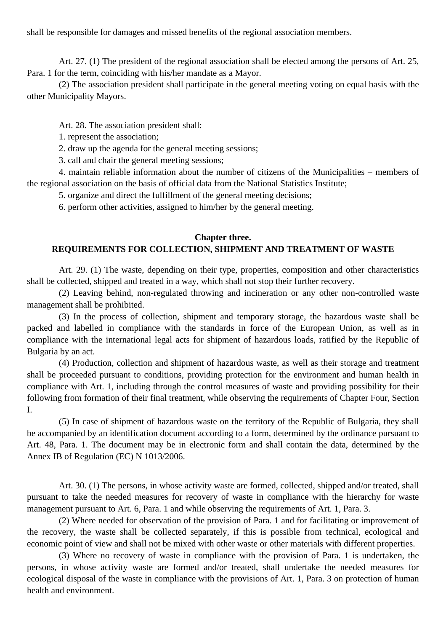shall be responsible for damages and missed benefits of the regional association members.

Art. 27. (1) The president of the regional association shall be elected among the persons of Art. 25, Para. 1 for the term, coinciding with his/her mandate as a Mayor.

(2) The association president shall participate in the general meeting voting on equal basis with the other Municipality Mayors.

Art. 28. The association president shall:

1. represent the association;

2. draw up the agenda for the general meeting sessions;

3. call and chair the general meeting sessions;

4. maintain reliable information about the number of citizens of the Municipalities – members of the regional association on the basis of official data from the National Statistics Institute;

5. organize and direct the fulfillment of the general meeting decisions;

6. perform other activities, assigned to him/her by the general meeting.

#### **Chapter three.**

#### **REQUIREMENTS FOR COLLECTION, SHIPMENT AND TREATMENT OF WASTE**

Art. 29. (1) The waste, depending on their type, properties, composition and other characteristics shall be collected, shipped and treated in a way, which shall not stop their further recovery.

(2) Leaving behind, non-regulated throwing and incineration or any other non-controlled waste management shall be prohibited.

(3) In the process of collection, shipment and temporary storage, the hazardous waste shall be packed and labelled in compliance with the standards in force of the European Union, as well as in compliance with the international legal acts for shipment of hazardous loads, ratified by the Republic of Bulgaria by an act.

(4) Production, collection and shipment of hazardous waste, as well as their storage and treatment shall be proceeded pursuant to conditions, providing protection for the environment and human health in compliance with Art. 1, including through the control measures of waste and providing possibility for their following from formation of their final treatment, while observing the requirements of Chapter Four, Section I.

(5) In case of shipment of hazardous waste on the territory of the Republic of Bulgaria, they shall be accompanied by an identification document according to a form, determined by the ordinance pursuant to Art. 48, Para. 1. The document may be in electronic form and shall contain the data, determined by the Annex IB of Regulation (EC) N 1013/2006.

Art. 30. (1) The persons, in whose activity waste are formed, collected, shipped and/or treated, shall pursuant to take the needed measures for recovery of waste in compliance with the hierarchy for waste management pursuant to Art. 6, Para. 1 and while observing the requirements of Art. 1, Para. 3.

(2) Where needed for observation of the provision of Para. 1 and for facilitating or improvement of the recovery, the waste shall be collected separately, if this is possible from technical, ecological and economic point of view and shall not be mixed with other waste or other materials with different properties.

(3) Where no recovery of waste in compliance with the provision of Para. 1 is undertaken, the persons, in whose activity waste are formed and/or treated, shall undertake the needed measures for ecological disposal of the waste in compliance with the provisions of Art. 1, Para. 3 on protection of human health and environment.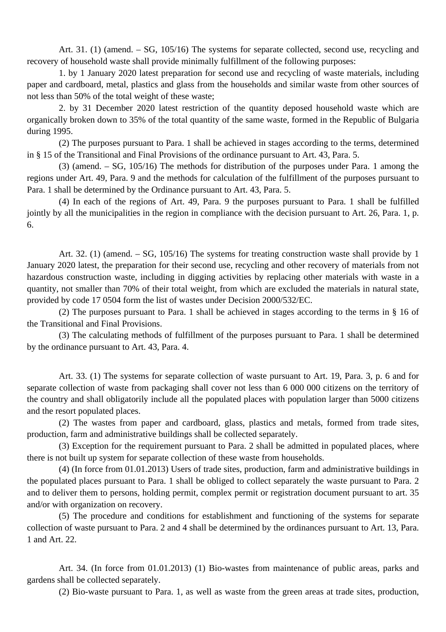Art. 31. (1) (amend. – SG, 105/16) The systems for separate collected, second use, recycling and recovery of household waste shall provide minimally fulfillment of the following purposes:

1. by 1 January 2020 latest preparation for second use and recycling of waste materials, including paper and cardboard, metal, plastics and glass from the households and similar waste from other sources of not less than 50% of the total weight of these waste;

2. by 31 December 2020 latest restriction of the quantity deposed household waste which are organically broken down to 35% of the total quantity of the same waste, formed in the Republic of Bulgaria during 1995.

(2) The purposes pursuant to Para. 1 shall be achieved in stages according to the terms, determined in § 15 of the Transitional and Final Provisions of the ordinance pursuant to Art. 43, Para. 5.

(3) (amend. – SG, 105/16) The methods for distribution of the purposes under Para. 1 among the regions under Art. 49, Para. 9 and the methods for calculation of the fulfillment of the purposes pursuant to Para. 1 shall be determined by the Ordinance pursuant to Art. 43, Para. 5.

(4) In each of the regions of Art. 49, Para. 9 the purposes pursuant to Para. 1 shall be fulfilled jointly by all the municipalities in the region in compliance with the decision pursuant to Art. 26, Para. 1, p. 6.

Art. 32. (1) (amend.  $-$  SG, 105/16) The systems for treating construction waste shall provide by 1 January 2020 latest, the preparation for their second use, recycling and other recovery of materials from not hazardous construction waste, including in digging activities by replacing other materials with waste in a quantity, not smaller than 70% of their total weight, from which are excluded the materials in natural state, provided by code 17 0504 form the list of wastes under Decision 2000/532/EC.

(2) The purposes pursuant to Para. 1 shall be achieved in stages according to the terms in § 16 of the Transitional and Final Provisions.

(3) The calculating methods of fulfillment of the purposes pursuant to Para. 1 shall be determined by the ordinance pursuant to Art. 43, Para. 4.

Art. 33. (1) The systems for separate collection of waste pursuant to Art. 19, Para. 3, p. 6 and for separate collection of waste from packaging shall cover not less than 6 000 000 citizens on the territory of the country and shall obligatorily include all the populated places with population larger than 5000 citizens and the resort populated places.

(2) The wastes from paper and cardboard, glass, plastics and metals, formed from trade sites, production, farm and administrative buildings shall be collected separately.

(3) Exception for the requirement pursuant to Para. 2 shall be admitted in populated places, where there is not built up system for separate collection of these waste from households.

(4) (In force from 01.01.2013) Users of trade sites, production, farm and administrative buildings in the populated places pursuant to Para. 1 shall be obliged to collect separately the waste pursuant to Para. 2 and to deliver them to persons, holding permit, complex permit or registration document pursuant to art. 35 and/or with organization on recovery.

(5) The procedure and conditions for establishment and functioning of the systems for separate collection of waste pursuant to Para. 2 and 4 shall be determined by the ordinances pursuant to Art. 13, Para. 1 and Art. 22.

Art. 34. (In force from 01.01.2013) (1) Bio-wastes from maintenance of public areas, parks and gardens shall be collected separately.

(2) Bio-waste pursuant to Para. 1, as well as waste from the green areas at trade sites, production,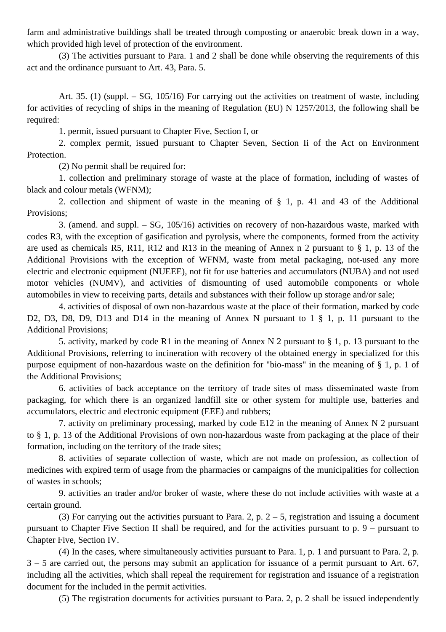farm and administrative buildings shall be treated through composting or anaerobic break down in a way, which provided high level of protection of the environment.

(3) The activities pursuant to Para. 1 and 2 shall be done while observing the requirements of this act and the ordinance pursuant to Art. 43, Para. 5.

Art. 35. (1) (suppl. – SG, 105/16) For carrying out the activities on treatment of waste, including for activities of recycling of ships in the meaning of Regulation (EU) N 1257/2013, the following shall be required:

1. permit, issued pursuant to Chapter Five, Section I, or

2. complex permit, issued pursuant to Chapter Seven, Section Ii of the Act on Environment Protection.

(2) No permit shall be required for:

1. collection and preliminary storage of waste at the place of formation, including of wastes of black and colour metals (WFNM);

2. collection and shipment of waste in the meaning of § 1, p. 41 and 43 of the Additional Provisions;

3. (amend. and suppl. – SG, 105/16) activities on recovery of non-hazardous waste, marked with codes R3, with the exception of gasification and pyrolysis, where the components, formed from the activity are used as chemicals R5, R11, R12 and R13 in the meaning of Annex n 2 pursuant to § 1, p. 13 of the Additional Provisions with the exception of WFNM, waste from metal packaging, not-used any more electric and electronic equipment (NUEEE), not fit for use batteries and accumulators (NUBA) and not used motor vehicles (NUMV), and activities of dismounting of used automobile components or whole automobiles in view to receiving parts, details and substances with their follow up storage and/or sale;

4. activities of disposal of own non-hazardous waste at the place of their formation, marked by code D2, D3, D8, D9, D13 and D14 in the meaning of Annex N pursuant to 1  $\S$  1, p. 11 pursuant to the Additional Provisions;

5. activity, marked by code R1 in the meaning of Annex N 2 pursuant to § 1, p. 13 pursuant to the Additional Provisions, referring to incineration with recovery of the obtained energy in specialized for this purpose equipment of non-hazardous waste on the definition for "bio-mass" in the meaning of § 1, p. 1 of the Additional Provisions;

6. activities of back acceptance on the territory of trade sites of mass disseminated waste from packaging, for which there is an organized landfill site or other system for multiple use, batteries and accumulators, electric and electronic equipment (EEE) and rubbers;

7. activity on preliminary processing, marked by code E12 in the meaning of Annex N 2 pursuant to § 1, p. 13 of the Additional Provisions of own non-hazardous waste from packaging at the place of their formation, including on the territory of the trade sites;

8. activities of separate collection of waste, which are not made on profession, as collection of medicines with expired term of usage from the pharmacies or campaigns of the municipalities for collection of wastes in schools;

9. activities an trader and/or broker of waste, where these do not include activities with waste at a certain ground.

(3) For carrying out the activities pursuant to Para. 2, p.  $2 - 5$ , registration and issuing a document pursuant to Chapter Five Section II shall be required, and for the activities pursuant to p. 9 – pursuant to Chapter Five, Section IV.

(4) In the cases, where simultaneously activities pursuant to Para. 1, p. 1 and pursuant to Para. 2, p.  $3 - 5$  are carried out, the persons may submit an application for issuance of a permit pursuant to Art. 67, including all the activities, which shall repeal the requirement for registration and issuance of a registration document for the included in the permit activities.

(5) The registration documents for activities pursuant to Para. 2, p. 2 shall be issued independently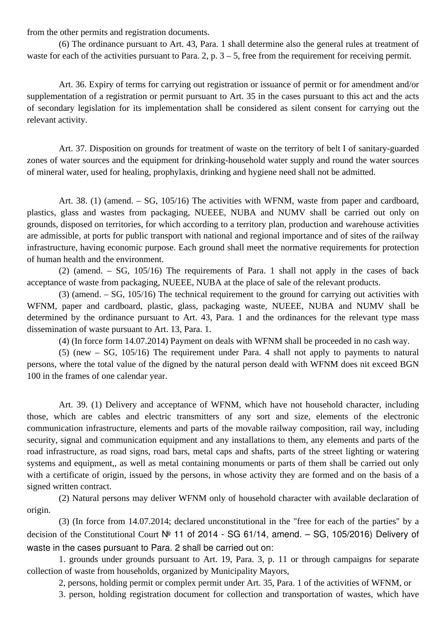from the other permits and registration documents.

(6) The ordinance pursuant to Art. 43, Para. 1 shall determine also the general rules at treatment of waste for each of the activities pursuant to Para. 2, p.  $3 - 5$ , free from the requirement for receiving permit.

Art. 36. Expiry of terms for carrying out registration or issuance of permit or for amendment and/or supplementation of a registration or permit pursuant to Art. 35 in the cases pursuant to this act and the acts of secondary legislation for its implementation shall be considered as silent consent for carrying out the relevant activity.

Art. 37. Disposition on grounds for treatment of waste on the territory of belt I of sanitary-guarded zones of water sources and the equipment for drinking-household water supply and round the water sources of mineral water, used for healing, prophylaxis, drinking and hygiene need shall not be admitted.

Art. 38. (1) (amend. – SG, 105/16) The activities with WFNM, waste from paper and cardboard, plastics, glass and wastes from packaging, NUEEE, NUBA and NUMV shall be carried out only on grounds, disposed on territories, for which according to a territory plan, production and warehouse activities are admissible, at ports for public transport with national and regional importance and of sites of the railway infrastructure, having economic purpose. Each ground shall meet the normative requirements for protection of human health and the environment.

(2) (amend. – SG, 105/16) The requirements of Para. 1 shall not apply in the cases of back acceptance of waste from packaging, NUEEE, NUBA at the place of sale of the relevant products.

(3) (amend. – SG, 105/16) The technical requirement to the ground for carrying out activities with WFNM, paper and cardboard, plastic, glass, packaging waste, NUEEE, NUBA and NUMV shall be determined by the ordinance pursuant to Art. 43, Para. 1 and the ordinances for the relevant type mass dissemination of waste pursuant to Art. 13, Para. 1.

(4) (In force form 14.07.2014) Payment on deals with WFNM shall be proceeded in no cash way.

(5) (new – SG, 105/16) The requirement under Para. 4 shall not apply to payments to natural persons, where the total value of the digned by the natural person deald with WFNM does nit exceed BGN 100 in the frames of one calendar year.

Art. 39. (1) Delivery and acceptance of WFNM, which have not household character, including those, which are cables and electric transmitters of any sort and size, elements of the electronic communication infrastructure, elements and parts of the movable railway composition, rail way, including security, signal and communication equipment and any installations to them, any elements and parts of the road infrastructure, as road signs, road bars, metal caps and shafts, parts of the street lighting or watering systems and equipment,, as well as metal containing monuments or parts of them shall be carried out only with a certificate of origin, issued by the persons, in whose activity they are formed and on the basis of a signed written contract.

(2) Natural persons may deliver WFNM only of household character with available declaration of origin.

(3) (In force from 14.07.2014; declared unconstitutional in the "free for each of the parties" by a decision of the Constitutional Court № 11 of 2014 - SG 61/14, amend. – SG, 105/2016) Delivery of waste in the cases pursuant to Para. 2 shall be carried out on:

1. grounds under grounds pursuant to Art. 19, Para. 3, p. 11 or through campaigns for separate collection of waste from households, organized by Municipality Mayors,

2, persons, holding permit or complex permit under Art. 35, Para. 1 of the activities of WFNM, or

3. person, holding registration document for collection and transportation of wastes, which have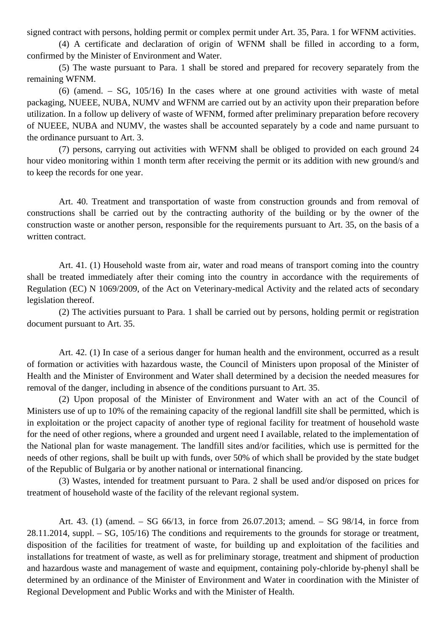signed contract with persons, holding permit or complex permit under Art. 35, Para. 1 for WFNM activities.

(4) A certificate and declaration of origin of WFNM shall be filled in according to a form, confirmed by the Minister of Environment and Water.

(5) The waste pursuant to Para. 1 shall be stored and prepared for recovery separately from the remaining WFNM.

(6) (amend. – SG, 105/16) In the cases where at one ground activities with waste of metal packaging, NUEEE, NUBA, NUMV and WFNM are carried out by an activity upon their preparation before utilization. In a follow up delivery of waste of WFNM, formed after preliminary preparation before recovery of NUEEE, NUBA and NUMV, the wastes shall be accounted separately by a code and name pursuant to the ordinance pursuant to Art. 3.

(7) persons, carrying out activities with WFNM shall be obliged to provided on each ground 24 hour video monitoring within 1 month term after receiving the permit or its addition with new ground/s and to keep the records for one year.

Art. 40. Treatment and transportation of waste from construction grounds and from removal of constructions shall be carried out by the contracting authority of the building or by the owner of the construction waste or another person, responsible for the requirements pursuant to Art. 35, on the basis of a written contract.

Art. 41. (1) Household waste from air, water and road means of transport coming into the country shall be treated immediately after their coming into the country in accordance with the requirements of Regulation (EC) N 1069/2009, of the Act on Veterinary-medical Activity and the related acts of secondary legislation thereof.

(2) The activities pursuant to Para. 1 shall be carried out by persons, holding permit or registration document pursuant to Art. 35.

Art. 42. (1) In case of a serious danger for human health and the environment, occurred as a result of formation or activities with hazardous waste, the Council of Ministers upon proposal of the Minister of Health and the Minister of Environment and Water shall determined by a decision the needed measures for removal of the danger, including in absence of the conditions pursuant to Art. 35.

(2) Upon proposal of the Minister of Environment and Water with an act of the Council of Ministers use of up to 10% of the remaining capacity of the regional landfill site shall be permitted, which is in exploitation or the project capacity of another type of regional facility for treatment of household waste for the need of other regions, where a grounded and urgent need I available, related to the implementation of the National plan for waste management. The landfill sites and/or facilities, which use is permitted for the needs of other regions, shall be built up with funds, over 50% of which shall be provided by the state budget of the Republic of Bulgaria or by another national or international financing.

(3) Wastes, intended for treatment pursuant to Para. 2 shall be used and/or disposed on prices for treatment of household waste of the facility of the relevant regional system.

Art. 43. (1) (amend. – SG 66/13, in force from 26.07.2013; amend. – SG 98/14, in force from 28.11.2014, suppl. – SG, 105/16) The conditions and requirements to the grounds for storage or treatment, disposition of the facilities for treatment of waste, for building up and exploitation of the facilities and installations for treatment of waste, as well as for preliminary storage, treatment and shipment of production and hazardous waste and management of waste and equipment, containing poly-chloride by-phenyl shall be determined by an ordinance of the Minister of Environment and Water in coordination with the Minister of Regional Development and Public Works and with the Minister of Health.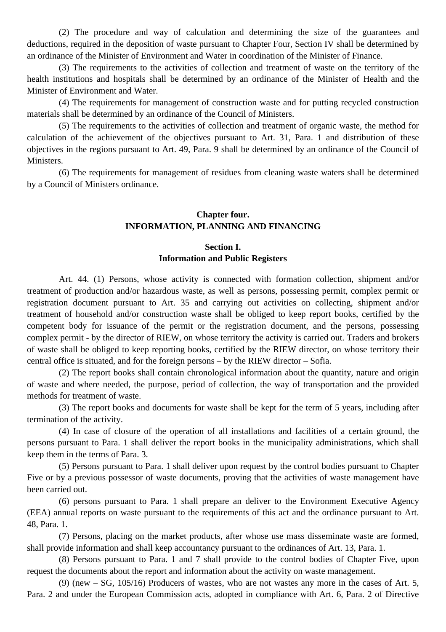(2) The procedure and way of calculation and determining the size of the guarantees and deductions, required in the deposition of waste pursuant to Chapter Four, Section IV shall be determined by an ordinance of the Minister of Environment and Water in coordination of the Minister of Finance.

(3) The requirements to the activities of collection and treatment of waste on the territory of the health institutions and hospitals shall be determined by an ordinance of the Minister of Health and the Minister of Environment and Water.

(4) The requirements for management of construction waste and for putting recycled construction materials shall be determined by an ordinance of the Council of Ministers.

(5) The requirements to the activities of collection and treatment of organic waste, the method for calculation of the achievement of the objectives pursuant to Art. 31, Para. 1 and distribution of these objectives in the regions pursuant to Art. 49, Para. 9 shall be determined by an ordinance of the Council of Ministers.

(6) The requirements for management of residues from cleaning waste waters shall be determined by a Council of Ministers ordinance.

### **Chapter four. INFORMATION, PLANNING AND FINANCING**

### **Section I. Information and Public Registers**

Art. 44. (1) Persons, whose activity is connected with formation collection, shipment and/or treatment of production and/or hazardous waste, as well as persons, possessing permit, complex permit or registration document pursuant to Art. 35 and carrying out activities on collecting, shipment and/or treatment of household and/or construction waste shall be obliged to keep report books, certified by the competent body for issuance of the permit or the registration document, and the persons, possessing complex permit - by the director of RIEW, on whose territory the activity is carried out. Traders and brokers of waste shall be obliged to keep reporting books, certified by the RIEW director, on whose territory their central office is situated, and for the foreign persons – by the RIEW director – Sofia.

(2) The report books shall contain chronological information about the quantity, nature and origin of waste and where needed, the purpose, period of collection, the way of transportation and the provided methods for treatment of waste.

(3) The report books and documents for waste shall be kept for the term of 5 years, including after termination of the activity.

(4) In case of closure of the operation of all installations and facilities of a certain ground, the persons pursuant to Para. 1 shall deliver the report books in the municipality administrations, which shall keep them in the terms of Para. 3.

(5) Persons pursuant to Para. 1 shall deliver upon request by the control bodies pursuant to Chapter Five or by a previous possessor of waste documents, proving that the activities of waste management have been carried out.

(6) persons pursuant to Para. 1 shall prepare an deliver to the Environment Executive Agency (EEA) annual reports on waste pursuant to the requirements of this act and the ordinance pursuant to Art. 48, Para. 1.

(7) Persons, placing on the market products, after whose use mass disseminate waste are formed, shall provide information and shall keep accountancy pursuant to the ordinances of Art. 13, Para. 1.

(8) Persons pursuant to Para. 1 and 7 shall provide to the control bodies of Chapter Five, upon request the documents about the report and information about the activity on waste management.

(9) (new – SG, 105/16) Producers of wastes, who are not wastes any more in the cases of Art. 5, Para. 2 and under the European Commission acts, adopted in compliance with Art. 6, Para. 2 of Directive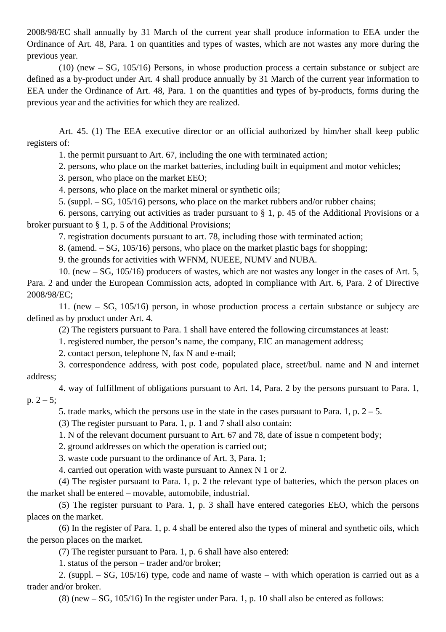2008/98/EC shall annually by 31 March of the current year shall produce information to EEA under the Ordinance of Art. 48, Para. 1 on quantities and types of wastes, which are not wastes any more during the previous year.

(10) (new – SG, 105/16) Persons, in whose production process a certain substance or subject are defined as a by-product under Art. 4 shall produce annually by 31 March of the current year information to EEA under the Ordinance of Art. 48, Para. 1 on the quantities and types of by-products, forms during the previous year and the activities for which they are realized.

Art. 45. (1) The EEA executive director or an official authorized by him/her shall keep public registers of:

1. the permit pursuant to Art. 67, including the one with terminated action;

2. persons, who place on the market batteries, including built in equipment and motor vehicles;

3. person, who place on the market EEO;

4. persons, who place on the market mineral or synthetic oils;

5. (suppl. – SG, 105/16) persons, who place on the market rubbers and/or rubber chains;

6. persons, carrying out activities as trader pursuant to § 1, p. 45 of the Additional Provisions or a broker pursuant to § 1, p. 5 of the Additional Provisions;

7. registration documents pursuant to art. 78, including those with terminated action;

8. (amend. – SG, 105/16) persons, who place on the market plastic bags for shopping;

9. the grounds for activities with WFNM, NUEEE, NUMV and NUBA.

10. (new – SG, 105/16) producers of wastes, which are not wastes any longer in the cases of Art. 5, Para. 2 and under the European Commission acts, adopted in compliance with Art. 6, Para. 2 of Directive 2008/98/EC;

11. (new – SG, 105/16) person, in whose production process a certain substance or subjecy are defined as by product under Art. 4.

(2) The registers pursuant to Para. 1 shall have entered the following circumstances at least:

1. registered number, the person's name, the company, EIC an management address;

2. contact person, telephone N, fax N and e-mail;

3. correspondence address, with post code, populated place, street/bul. name and N and internet address;

4. way of fulfillment of obligations pursuant to Art. 14, Para. 2 by the persons pursuant to Para. 1, p.  $2 - 5$ ;

5. trade marks, which the persons use in the state in the cases pursuant to Para. 1, p.  $2 - 5$ .

(3) The register pursuant to Para. 1, p. 1 and 7 shall also contain:

1. N of the relevant document pursuant to Art. 67 and 78, date of issue n competent body;

2. ground addresses on which the operation is carried out;

3. waste code pursuant to the ordinance of Art. 3, Para. 1;

4. carried out operation with waste pursuant to Annex N 1 or 2.

(4) The register pursuant to Para. 1, p. 2 the relevant type of batteries, which the person places on the market shall be entered – movable, automobile, industrial.

(5) The register pursuant to Para. 1, p. 3 shall have entered categories EEO, which the persons places on the market.

(6) In the register of Para. 1, p. 4 shall be entered also the types of mineral and synthetic oils, which the person places on the market.

(7) The register pursuant to Para. 1, p. 6 shall have also entered:

1. status of the person – trader and/or broker;

2. (suppl. – SG, 105/16) type, code and name of waste – with which operation is carried out as a trader and/or broker.

(8) (new – SG, 105/16) In the register under Para. 1, p. 10 shall also be entered as follows: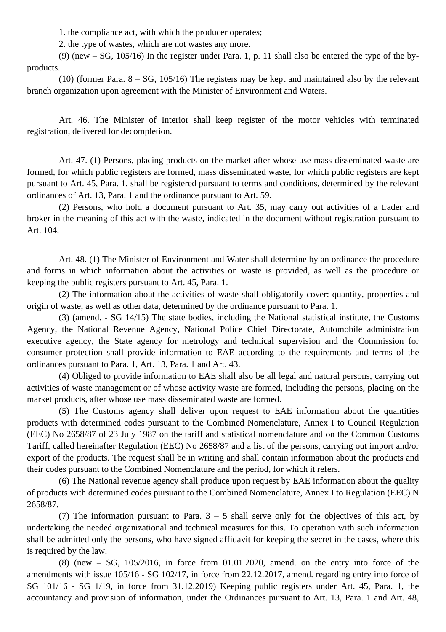1. the compliance act, with which the producer operates;

2. the type of wastes, which are not wastes any more.

(9) (new – SG, 105/16) In the register under Para. 1, p. 11 shall also be entered the type of the byproducts.

(10) (former Para. 8 – SG, 105/16) The registers may be kept and maintained also by the relevant branch organization upon agreement with the Minister of Environment and Waters.

Art. 46. The Minister of Interior shall keep register of the motor vehicles with terminated registration, delivered for decompletion.

Art. 47. (1) Persons, placing products on the market after whose use mass disseminated waste are formed, for which public registers are formed, mass disseminated waste, for which public registers are kept pursuant to Art. 45, Para. 1, shall be registered pursuant to terms and conditions, determined by the relevant ordinances of Art. 13, Para. 1 and the ordinance pursuant to Art. 59.

(2) Persons, who hold a document pursuant to Art. 35, may carry out activities of a trader and broker in the meaning of this act with the waste, indicated in the document without registration pursuant to Art. 104.

Art. 48. (1) The Minister of Environment and Water shall determine by an ordinance the procedure and forms in which information about the activities on waste is provided, as well as the procedure or keeping the public registers pursuant to Art. 45, Para. 1.

(2) The information about the activities of waste shall obligatorily cover: quantity, properties and origin of waste, as well as other data, determined by the ordinance pursuant to Para. 1.

(3) (amend. - SG 14/15) The state bodies, including the National statistical institute, the Customs Agency, the National Revenue Agency, National Police Chief Directorate, Automobile administration executive agency, the State agency for metrology and technical supervision and the Commission for consumer protection shall provide information to EAE according to the requirements and terms of the ordinances pursuant to Para. 1, Art. 13, Para. 1 and Art. 43.

(4) Obliged to provide information to EAE shall also be all legal and natural persons, carrying out activities of waste management or of whose activity waste are formed, including the persons, placing on the market products, after whose use mass disseminated waste are formed.

(5) The Customs agency shall deliver upon request to EAE information about the quantities products with determined codes pursuant to the Combined Nomenclature, Annex I to Council Regulation (EEC) No 2658/87 of 23 July 1987 on the tariff and statistical nomenclature and on the Common Customs Tariff, called hereinafter Regulation (EEC) No 2658/87 and a list of the persons, carrying out import and/or export of the products. The request shall be in writing and shall contain information about the products and their codes pursuant to the Combined Nomenclature and the period, for which it refers.

(6) The National revenue agency shall produce upon request by EAE information about the quality of products with determined codes pursuant to the Combined Nomenclature, Annex I to Regulation (EEC) N 2658/87.

(7) The information pursuant to Para.  $3 - 5$  shall serve only for the objectives of this act, by undertaking the needed organizational and technical measures for this. To operation with such information shall be admitted only the persons, who have signed affidavit for keeping the secret in the cases, where this is required by the law.

 $(8)$  (new – SG,  $105/2016$ , in force from 01.01.2020, amend. on the entry into force of the amendments with issue 105/16 - SG 102/17, in force from 22.12.2017, amend. regarding entry into force of SG 101/16 - SG 1/19, in force from 31.12.2019) Keeping public registers under Art. 45, Para. 1, the accountancy and provision of information, under the Ordinances pursuant to Art. 13, Para. 1 and Art. 48,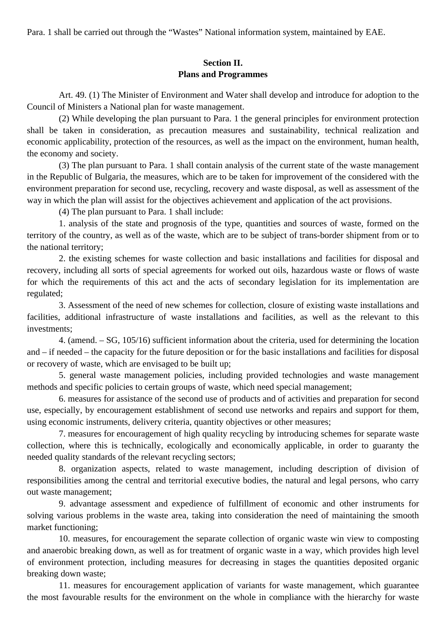Para. 1 shall be carried out through the "Wastes" National information system, maintained by EAE.

# **Section II. Plans and Programmes**

Art. 49. (1) The Minister of Environment and Water shall develop and introduce for adoption to the Council of Ministers a National plan for waste management.

(2) While developing the plan pursuant to Para. 1 the general principles for environment protection shall be taken in consideration, as precaution measures and sustainability, technical realization and economic applicability, protection of the resources, as well as the impact on the environment, human health, the economy and society.

(3) The plan pursuant to Para. 1 shall contain analysis of the current state of the waste management in the Republic of Bulgaria, the measures, which are to be taken for improvement of the considered with the environment preparation for second use, recycling, recovery and waste disposal, as well as assessment of the way in which the plan will assist for the objectives achievement and application of the act provisions.

(4) The plan pursuant to Para. 1 shall include:

1. analysis of the state and prognosis of the type, quantities and sources of waste, formed on the territory of the country, as well as of the waste, which are to be subject of trans-border shipment from or to the national territory;

2. the existing schemes for waste collection and basic installations and facilities for disposal and recovery, including all sorts of special agreements for worked out oils, hazardous waste or flows of waste for which the requirements of this act and the acts of secondary legislation for its implementation are regulated;

3. Assessment of the need of new schemes for collection, closure of existing waste installations and facilities, additional infrastructure of waste installations and facilities, as well as the relevant to this investments;

4. (amend. – SG, 105/16) sufficient information about the criteria, used for determining the location and – if needed – the capacity for the future deposition or for the basic installations and facilities for disposal or recovery of waste, which are envisaged to be built up;

5. general waste management policies, including provided technologies and waste management methods and specific policies to certain groups of waste, which need special management;

6. measures for assistance of the second use of products and of activities and preparation for second use, especially, by encouragement establishment of second use networks and repairs and support for them, using economic instruments, delivery criteria, quantity objectives or other measures;

7. measures for encouragement of high quality recycling by introducing schemes for separate waste collection, where this is technically, ecologically and economically applicable, in order to guaranty the needed quality standards of the relevant recycling sectors;

8. organization aspects, related to waste management, including description of division of responsibilities among the central and territorial executive bodies, the natural and legal persons, who carry out waste management;

9. advantage assessment and expedience of fulfillment of economic and other instruments for solving various problems in the waste area, taking into consideration the need of maintaining the smooth market functioning;

10. measures, for encouragement the separate collection of organic waste win view to composting and anaerobic breaking down, as well as for treatment of organic waste in a way, which provides high level of environment protection, including measures for decreasing in stages the quantities deposited organic breaking down waste;

11. measures for encouragement application of variants for waste management, which guarantee the most favourable results for the environment on the whole in compliance with the hierarchy for waste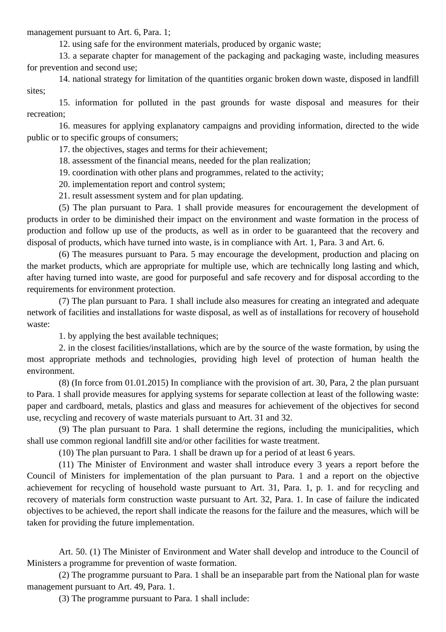management pursuant to Art. 6, Para. 1;

12. using safe for the environment materials, produced by organic waste;

13. a separate chapter for management of the packaging and packaging waste, including measures for prevention and second use;

14. national strategy for limitation of the quantities organic broken down waste, disposed in landfill sites;

15. information for polluted in the past grounds for waste disposal and measures for their recreation;

16. measures for applying explanatory campaigns and providing information, directed to the wide public or to specific groups of consumers;

17. the objectives, stages and terms for their achievement;

18. assessment of the financial means, needed for the plan realization;

19. coordination with other plans and programmes, related to the activity;

20. implementation report and control system;

21. result assessment system and for plan updating.

(5) The plan pursuant to Para. 1 shall provide measures for encouragement the development of products in order to be diminished their impact on the environment and waste formation in the process of production and follow up use of the products, as well as in order to be guaranteed that the recovery and disposal of products, which have turned into waste, is in compliance with Art. 1, Para. 3 and Art. 6.

(6) The measures pursuant to Para. 5 may encourage the development, production and placing on the market products, which are appropriate for multiple use, which are technically long lasting and which, after having turned into waste, are good for purposeful and safe recovery and for disposal according to the requirements for environment protection.

(7) The plan pursuant to Para. 1 shall include also measures for creating an integrated and adequate network of facilities and installations for waste disposal, as well as of installations for recovery of household waste:

1. by applying the best available techniques;

2. in the closest facilities/installations, which are by the source of the waste formation, by using the most appropriate methods and technologies, providing high level of protection of human health the environment.

(8) (In force from 01.01.2015) In compliance with the provision of art. 30, Para, 2 the plan pursuant to Para. 1 shall provide measures for applying systems for separate collection at least of the following waste: paper and cardboard, metals, plastics and glass and measures for achievement of the objectives for second use, recycling and recovery of waste materials pursuant to Art. 31 and 32.

(9) The plan pursuant to Para. 1 shall determine the regions, including the municipalities, which shall use common regional landfill site and/or other facilities for waste treatment.

(10) The plan pursuant to Para. 1 shall be drawn up for a period of at least 6 years.

(11) The Minister of Environment and waster shall introduce every 3 years a report before the Council of Ministers for implementation of the plan pursuant to Para. 1 and a report on the objective achievement for recycling of household waste pursuant to Art. 31, Para. 1, p. 1. and for recycling and recovery of materials form construction waste pursuant to Art. 32, Para. 1. In case of failure the indicated objectives to be achieved, the report shall indicate the reasons for the failure and the measures, which will be taken for providing the future implementation.

Art. 50. (1) The Minister of Environment and Water shall develop and introduce to the Council of Ministers a programme for prevention of waste formation.

(2) The programme pursuant to Para. 1 shall be an inseparable part from the National plan for waste management pursuant to Art. 49, Para. 1.

(3) The programme pursuant to Para. 1 shall include: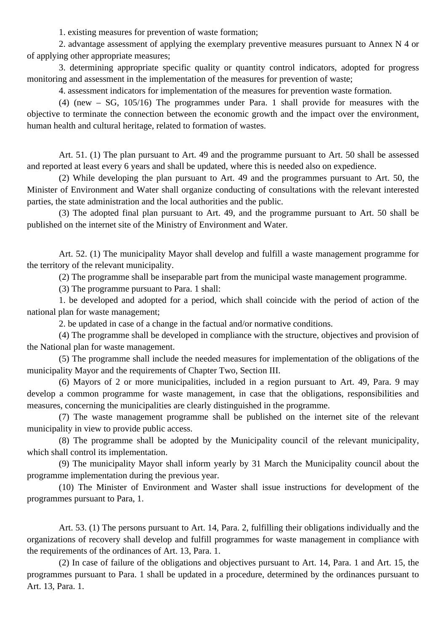1. existing measures for prevention of waste formation;

2. advantage assessment of applying the exemplary preventive measures pursuant to Annex N 4 or of applying other appropriate measures;

3. determining appropriate specific quality or quantity control indicators, adopted for progress monitoring and assessment in the implementation of the measures for prevention of waste;

4. assessment indicators for implementation of the measures for prevention waste formation.

(4) (new – SG, 105/16) The programmes under Para. 1 shall provide for measures with the objective to terminate the connection between the economic growth and the impact over the environment, human health and cultural heritage, related to formation of wastes.

Art. 51. (1) The plan pursuant to Art. 49 and the programme pursuant to Art. 50 shall be assessed and reported at least every 6 years and shall be updated, where this is needed also on expedience.

(2) While developing the plan pursuant to Art. 49 and the programmes pursuant to Art. 50, the Minister of Environment and Water shall organize conducting of consultations with the relevant interested parties, the state administration and the local authorities and the public.

(3) The adopted final plan pursuant to Art. 49, and the programme pursuant to Art. 50 shall be published on the internet site of the Ministry of Environment and Water.

Art. 52. (1) The municipality Mayor shall develop and fulfill a waste management programme for the territory of the relevant municipality.

(2) The programme shall be inseparable part from the municipal waste management programme.

(3) The programme pursuant to Para. 1 shall:

1. be developed and adopted for a period, which shall coincide with the period of action of the national plan for waste management;

2. be updated in case of a change in the factual and/or normative conditions.

(4) The programme shall be developed in compliance with the structure, objectives and provision of the National plan for waste management.

(5) The programme shall include the needed measures for implementation of the obligations of the municipality Mayor and the requirements of Chapter Two, Section III.

(6) Mayors of 2 or more municipalities, included in a region pursuant to Art. 49, Para. 9 may develop a common programme for waste management, in case that the obligations, responsibilities and measures, concerning the municipalities are clearly distinguished in the programme.

(7) The waste management programme shall be published on the internet site of the relevant municipality in view to provide public access.

(8) The programme shall be adopted by the Municipality council of the relevant municipality, which shall control its implementation.

(9) The municipality Mayor shall inform yearly by 31 March the Municipality council about the programme implementation during the previous year.

(10) The Minister of Environment and Waster shall issue instructions for development of the programmes pursuant to Para, 1.

Art. 53. (1) The persons pursuant to Art. 14, Para. 2, fulfilling their obligations individually and the organizations of recovery shall develop and fulfill programmes for waste management in compliance with the requirements of the ordinances of Art. 13, Para. 1.

(2) In case of failure of the obligations and objectives pursuant to Art. 14, Para. 1 and Art. 15, the programmes pursuant to Para. 1 shall be updated in a procedure, determined by the ordinances pursuant to Art. 13, Para. 1.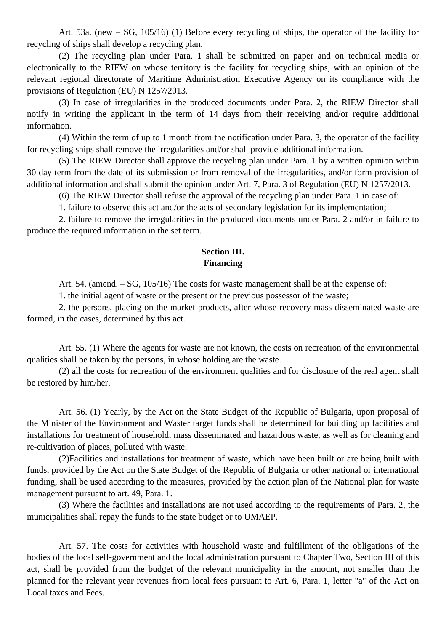Art. 53a. (new – SG, 105/16) (1) Before every recycling of ships, the operator of the facility for recycling of ships shall develop a recycling plan.

(2) The recycling plan under Para. 1 shall be submitted on paper and on technical media or electronically to the RIEW on whose territory is the facility for recycling ships, with an opinion of the relevant regional directorate of Maritime Administration Executive Agency on its compliance with the provisions of Regulation (EU) N 1257/2013.

(3) In case of irregularities in the produced documents under Para. 2, the RIEW Director shall notify in writing the applicant in the term of 14 days from their receiving and/or require additional information.

(4) Within the term of up to 1 month from the notification under Para. 3, the operator of the facility for recycling ships shall remove the irregularities and/or shall provide additional information.

(5) The RIEW Director shall approve the recycling plan under Para. 1 by a written opinion within 30 day term from the date of its submission or from removal of the irregularities, and/or form provision of additional information and shall submit the opinion under Art. 7, Para. 3 of Regulation (EU) N 1257/2013.

(6) The RIEW Director shall refuse the approval of the recycling plan under Para. 1 in case of:

1. failure to observe this act and/or the acts of secondary legislation for its implementation;

2. failure to remove the irregularities in the produced documents under Para. 2 and/or in failure to produce the required information in the set term.

### **Section III. Financing**

Art. 54. (amend. – SG, 105/16) The costs for waste management shall be at the expense of:

1. the initial agent of waste or the present or the previous possessor of the waste;

2. the persons, placing on the market products, after whose recovery mass disseminated waste are formed, in the cases, determined by this act.

Art. 55. (1) Where the agents for waste are not known, the costs on recreation of the environmental qualities shall be taken by the persons, in whose holding are the waste.

(2) all the costs for recreation of the environment qualities and for disclosure of the real agent shall be restored by him/her.

Art. 56. (1) Yearly, by the Act on the State Budget of the Republic of Bulgaria, upon proposal of the Minister of the Environment and Waster target funds shall be determined for building up facilities and installations for treatment of household, mass disseminated and hazardous waste, as well as for cleaning and re-cultivation of places, polluted with waste.

(2)Facilities and installations for treatment of waste, which have been built or are being built with funds, provided by the Act on the State Budget of the Republic of Bulgaria or other national or international funding, shall be used according to the measures, provided by the action plan of the National plan for waste management pursuant to art. 49, Para. 1.

(3) Where the facilities and installations are not used according to the requirements of Para. 2, the municipalities shall repay the funds to the state budget or to UMAEP.

Art. 57. The costs for activities with household waste and fulfillment of the obligations of the bodies of the local self-government and the local administration pursuant to Chapter Two, Section III of this act, shall be provided from the budget of the relevant municipality in the amount, not smaller than the planned for the relevant year revenues from local fees pursuant to Art. 6, Para. 1, letter "a" of the Act on Local taxes and Fees.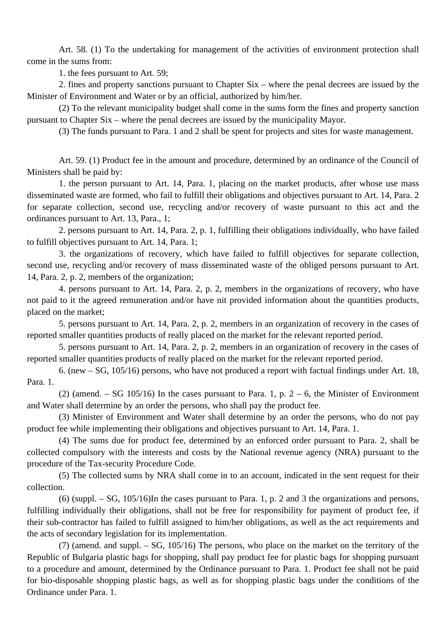Art. 58. (1) To the undertaking for management of the activities of environment protection shall come in the sums from:

1. the fees pursuant to Art. 59;

2. fines and property sanctions pursuant to Chapter Six – where the penal decrees are issued by the Minister of Environment and Water or by an official, authorized by him/her.

(2) To the relevant municipality budget shall come in the sums form the fines and property sanction pursuant to Chapter Six – where the penal decrees are issued by the municipality Mayor.

(3) The funds pursuant to Para. 1 and 2 shall be spent for projects and sites for waste management.

Art. 59. (1) Product fee in the amount and procedure, determined by an ordinance of the Council of Ministers shall be paid by:

1. the person pursuant to Art. 14, Para. 1, placing on the market products, after whose use mass disseminated waste are formed, who fail to fulfill their obligations and objectives pursuant to Art. 14, Para. 2 for separate collection, second use, recycling and/or recovery of waste pursuant to this act and the ordinances pursuant to Art. 13, Para., 1;

2. persons pursuant to Art. 14, Para. 2, p. 1, fulfilling their obligations individually, who have failed to fulfill objectives pursuant to Art. 14, Para. 1;

3. the organizations of recovery, which have failed to fulfill objectives for separate collection, second use, recycling and/or recovery of mass disseminated waste of the obliged persons pursuant to Art. 14, Para. 2, p. 2, members of the organization;

4. persons pursuant to Art. 14, Para. 2, p. 2, members in the organizations of recovery, who have not paid to it the agreed remuneration and/or have nit provided information about the quantities products, placed on the market;

5. persons pursuant to Art. 14, Para. 2, p. 2, members in an organization of recovery in the cases of reported smaller quantities products of really placed on the market for the relevant reported period.

5. persons pursuant to Art. 14, Para. 2, p. 2, members in an organization of recovery in the cases of reported smaller quantities products of really placed on the market for the relevant reported period.

6. (new – SG, 105/16) persons, who have not produced a report with factual findings under Art. 18, Para. 1.

(2) (amend. – SG 105/16) In the cases pursuant to Para. 1, p.  $2 - 6$ , the Minister of Environment and Water shall determine by an order the persons, who shall pay the product fee.

(3) Minister of Environment and Water shall determine by an order the persons, who do not pay product fee while implementing their obligations and objectives pursuant to Art. 14, Para. 1.

(4) The sums due for product fee, determined by an enforced order pursuant to Para. 2, shall be collected compulsory with the interests and costs by the National revenue agency (NRA) pursuant to the procedure of the Tax-security Procedure Code.

(5) The collected sums by NRA shall come in to an account, indicated in the sent request for their collection.

(6) (suppl. – SG, 105/16)In the cases pursuant to Para. 1, p. 2 and 3 the organizations and persons, fulfilling individually their obligations, shall not be free for responsibility for payment of product fee, if their sub-contractor has failed to fulfill assigned to him/her obligations, as well as the act requirements and the acts of secondary legislation for its implementation.

(7) (amend. and suppl. – SG, 105/16) The persons, who place on the market on the territory of the Republic of Bulgaria plastic bags for shopping, shall pay product fee for plastic bags for shopping pursuant to a procedure and amount, determined by the Ordinance pursuant to Para. 1. Product fee shall not be paid for bio-disposable shopping plastic bags, as well as for shopping plastic bags under the conditions of the Ordinance under Para. 1.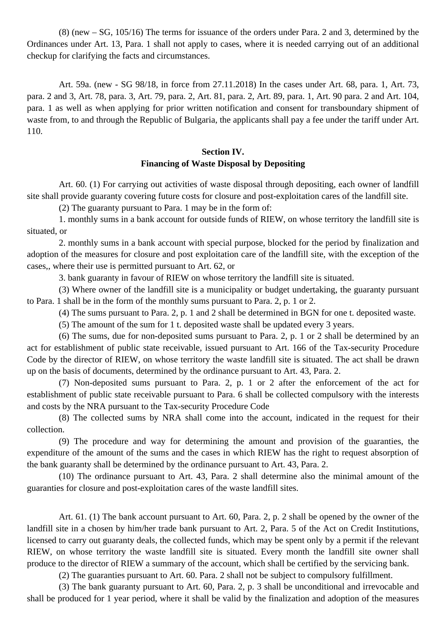(8) (new – SG, 105/16) The terms for issuance of the orders under Para. 2 and 3, determined by the Ordinances under Art. 13, Para. 1 shall not apply to cases, where it is needed carrying out of an additional checkup for clarifying the facts and circumstances.

Art. 59a. (new - SG 98/18, in force from 27.11.2018) In the cases under Art. 68, para. 1, Art. 73, para. 2 and 3, Art. 78, para. 3, Art. 79, para. 2, Art. 81, para. 2, Art. 89, para. 1, Art. 90 para. 2 and Art. 104, para. 1 as well as when applying for prior written notification and consent for transboundary shipment of waste from, to and through the Republic of Bulgaria, the applicants shall pay a fee under the tariff under Art. 110.

# **Section IV. Financing of Waste Disposal by Depositing**

Art. 60. (1) For carrying out activities of waste disposal through depositing, each owner of landfill site shall provide guaranty covering future costs for closure and post-exploitation cares of the landfill site.

(2) The guaranty pursuant to Para. 1 may be in the form of:

1. monthly sums in a bank account for outside funds of RIEW, on whose territory the landfill site is situated, or

2. monthly sums in a bank account with special purpose, blocked for the period by finalization and adoption of the measures for closure and post exploitation care of the landfill site, with the exception of the cases,, where their use is permitted pursuant to Art. 62, or

3. bank guaranty in favour of RIEW on whose territory the landfill site is situated.

(3) Where owner of the landfill site is a municipality or budget undertaking, the guaranty pursuant to Para. 1 shall be in the form of the monthly sums pursuant to Para. 2, p. 1 or 2.

(4) The sums pursuant to Para. 2, p. 1 and 2 shall be determined in BGN for one t. deposited waste.

(5) The amount of the sum for 1 t. deposited waste shall be updated every 3 years.

(6) The sums, due for non-deposited sums pursuant to Para. 2, p. 1 or 2 shall be determined by an act for establishment of public state receivable, issued pursuant to Art. 166 of the Tax-security Procedure Code by the director of RIEW, on whose territory the waste landfill site is situated. The act shall be drawn up on the basis of documents, determined by the ordinance pursuant to Art. 43, Para. 2.

(7) Non-deposited sums pursuant to Para. 2, p. 1 or 2 after the enforcement of the act for establishment of public state receivable pursuant to Para. 6 shall be collected compulsory with the interests and costs by the NRA pursuant to the Tax-security Procedure Code

(8) The collected sums by NRA shall come into the account, indicated in the request for their collection.

(9) The procedure and way for determining the amount and provision of the guaranties, the expenditure of the amount of the sums and the cases in which RIEW has the right to request absorption of the bank guaranty shall be determined by the ordinance pursuant to Art. 43, Para. 2.

(10) The ordinance pursuant to Art. 43, Para. 2 shall determine also the minimal amount of the guaranties for closure and post-exploitation cares of the waste landfill sites.

Art. 61. (1) The bank account pursuant to Art. 60, Para. 2, p. 2 shall be opened by the owner of the landfill site in a chosen by him/her trade bank pursuant to Art. 2, Para. 5 of the Act on Credit Institutions, licensed to carry out guaranty deals, the collected funds, which may be spent only by a permit if the relevant RIEW, on whose territory the waste landfill site is situated. Every month the landfill site owner shall produce to the director of RIEW a summary of the account, which shall be certified by the servicing bank.

(2) The guaranties pursuant to Art. 60. Para. 2 shall not be subject to compulsory fulfillment.

(3) The bank guaranty pursuant to Art. 60, Para. 2, p. 3 shall be unconditional and irrevocable and shall be produced for 1 year period, where it shall be valid by the finalization and adoption of the measures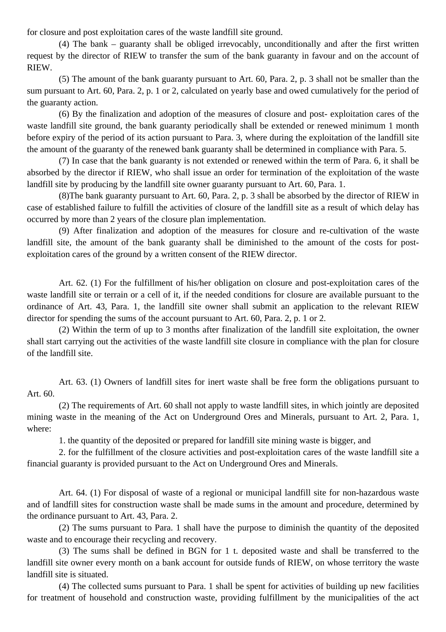for closure and post exploitation cares of the waste landfill site ground.

(4) The bank – guaranty shall be obliged irrevocably, unconditionally and after the first written request by the director of RIEW to transfer the sum of the bank guaranty in favour and on the account of RIEW.

(5) The amount of the bank guaranty pursuant to Art. 60, Para. 2, p. 3 shall not be smaller than the sum pursuant to Art. 60, Para. 2, p. 1 or 2, calculated on yearly base and owed cumulatively for the period of the guaranty action.

(6) By the finalization and adoption of the measures of closure and post- exploitation cares of the waste landfill site ground, the bank guaranty periodically shall be extended or renewed minimum 1 month before expiry of the period of its action pursuant to Para. 3, where during the exploitation of the landfill site the amount of the guaranty of the renewed bank guaranty shall be determined in compliance with Para. 5.

(7) In case that the bank guaranty is not extended or renewed within the term of Para. 6, it shall be absorbed by the director if RIEW, who shall issue an order for termination of the exploitation of the waste landfill site by producing by the landfill site owner guaranty pursuant to Art. 60, Para. 1.

(8)The bank guaranty pursuant to Art. 60, Para. 2, p. 3 shall be absorbed by the director of RIEW in case of established failure to fulfill the activities of closure of the landfill site as a result of which delay has occurred by more than 2 years of the closure plan implementation.

(9) After finalization and adoption of the measures for closure and re-cultivation of the waste landfill site, the amount of the bank guaranty shall be diminished to the amount of the costs for postexploitation cares of the ground by a written consent of the RIEW director.

Art. 62. (1) For the fulfillment of his/her obligation on closure and post-exploitation cares of the waste landfill site or terrain or a cell of it, if the needed conditions for closure are available pursuant to the ordinance of Art. 43, Para. 1, the landfill site owner shall submit an application to the relevant RIEW director for spending the sums of the account pursuant to Art. 60, Para. 2, p. 1 or 2.

(2) Within the term of up to 3 months after finalization of the landfill site exploitation, the owner shall start carrying out the activities of the waste landfill site closure in compliance with the plan for closure of the landfill site.

Art. 63. (1) Owners of landfill sites for inert waste shall be free form the obligations pursuant to Art. 60.

(2) The requirements of Art. 60 shall not apply to waste landfill sites, in which jointly are deposited mining waste in the meaning of the Act on Underground Ores and Minerals, pursuant to Art. 2, Para. 1, where:

1. the quantity of the deposited or prepared for landfill site mining waste is bigger, and

2. for the fulfillment of the closure activities and post-exploitation cares of the waste landfill site a financial guaranty is provided pursuant to the Act on Underground Ores and Minerals.

Art. 64. (1) For disposal of waste of a regional or municipal landfill site for non-hazardous waste and of landfill sites for construction waste shall be made sums in the amount and procedure, determined by the ordinance pursuant to Art. 43, Para. 2.

(2) The sums pursuant to Para. 1 shall have the purpose to diminish the quantity of the deposited waste and to encourage their recycling and recovery.

(3) The sums shall be defined in BGN for 1 t. deposited waste and shall be transferred to the landfill site owner every month on a bank account for outside funds of RIEW, on whose territory the waste landfill site is situated.

(4) The collected sums pursuant to Para. 1 shall be spent for activities of building up new facilities for treatment of household and construction waste, providing fulfillment by the municipalities of the act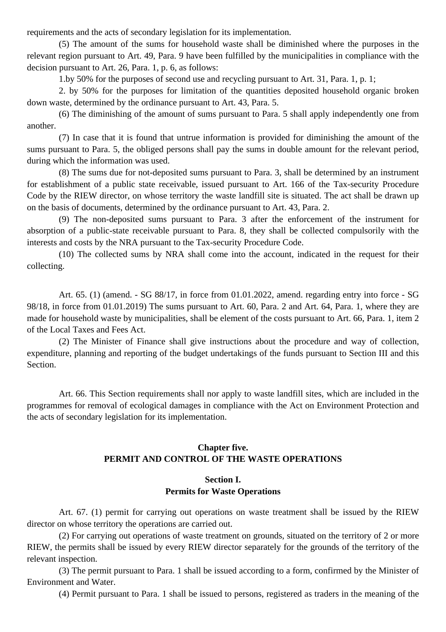requirements and the acts of secondary legislation for its implementation.

(5) The amount of the sums for household waste shall be diminished where the purposes in the relevant region pursuant to Art. 49, Para. 9 have been fulfilled by the municipalities in compliance with the decision pursuant to Art. 26, Para. 1, p. 6, as follows:

1.by 50% for the purposes of second use and recycling pursuant to Art. 31, Para. 1, p. 1;

2. by 50% for the purposes for limitation of the quantities deposited household organic broken down waste, determined by the ordinance pursuant to Art. 43, Para. 5.

(6) The diminishing of the amount of sums pursuant to Para. 5 shall apply independently one from another.

(7) In case that it is found that untrue information is provided for diminishing the amount of the sums pursuant to Para. 5, the obliged persons shall pay the sums in double amount for the relevant period, during which the information was used.

(8) The sums due for not-deposited sums pursuant to Para. 3, shall be determined by an instrument for establishment of a public state receivable, issued pursuant to Art. 166 of the Tax-security Procedure Code by the RIEW director, on whose territory the waste landfill site is situated. The act shall be drawn up on the basis of documents, determined by the ordinance pursuant to Art. 43, Para. 2.

(9) The non-deposited sums pursuant to Para. 3 after the enforcement of the instrument for absorption of a public-state receivable pursuant to Para. 8, they shall be collected compulsorily with the interests and costs by the NRA pursuant to the Tax-security Procedure Code.

(10) The collected sums by NRA shall come into the account, indicated in the request for their collecting.

Art. 65. (1) (amend. - SG 88/17, in force from 01.01.2022, amend. regarding entry into force - SG 98/18, in force from 01.01.2019) The sums pursuant to Art. 60, Para. 2 and Art. 64, Para. 1, where they are made for household waste by municipalities, shall be element of the costs pursuant to Art. 66, Para. 1, item 2 of the Local Taxes and Fees Act.

(2) The Minister of Finance shall give instructions about the procedure and way of collection, expenditure, planning and reporting of the budget undertakings of the funds pursuant to Section III and this Section.

Art. 66. This Section requirements shall nor apply to waste landfill sites, which are included in the programmes for removal of ecological damages in compliance with the Act on Environment Protection and the acts of secondary legislation for its implementation.

# **Chapter five. PERMIT AND CONTROL OF THE WASTE OPERATIONS**

### **Section I. Permits for Waste Operations**

Art. 67. (1) permit for carrying out operations on waste treatment shall be issued by the RIEW director on whose territory the operations are carried out.

(2) For carrying out operations of waste treatment on grounds, situated on the territory of 2 or more RIEW, the permits shall be issued by every RIEW director separately for the grounds of the territory of the relevant inspection.

(3) The permit pursuant to Para. 1 shall be issued according to a form, confirmed by the Minister of Environment and Water.

(4) Permit pursuant to Para. 1 shall be issued to persons, registered as traders in the meaning of the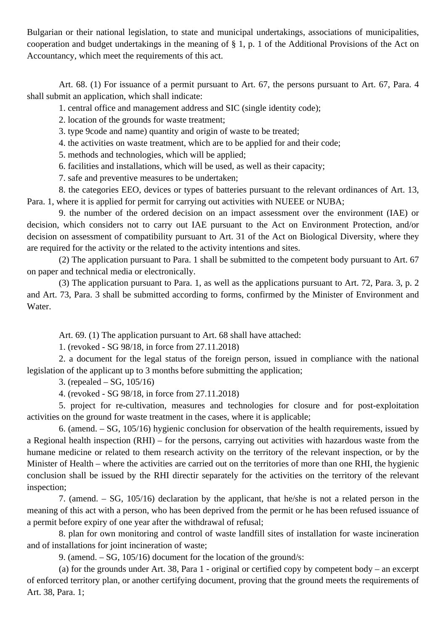Bulgarian or their national legislation, to state and municipal undertakings, associations of municipalities, cooperation and budget undertakings in the meaning of § 1, p. 1 of the Additional Provisions of the Act on Accountancy, which meet the requirements of this act.

Art. 68. (1) For issuance of a permit pursuant to Art. 67, the persons pursuant to Art. 67, Para. 4 shall submit an application, which shall indicate:

1. central office and management address and SIC (single identity code);

2. location of the grounds for waste treatment;

3. type 9code and name) quantity and origin of waste to be treated;

4. the activities on waste treatment, which are to be applied for and their code;

5. methods and technologies, which will be applied;

6. facilities and installations, which will be used, as well as their capacity;

7. safe and preventive measures to be undertaken;

8. the categories EEO, devices or types of batteries pursuant to the relevant ordinances of Art. 13, Para. 1, where it is applied for permit for carrying out activities with NUEEE or NUBA;

9. the number of the ordered decision on an impact assessment over the environment (IAE) or decision, which considers not to carry out IAE pursuant to the Act on Environment Protection, and/or decision on assessment of compatibility pursuant to Art. 31 of the Act on Biological Diversity, where they are required for the activity or the related to the activity intentions and sites.

(2) The application pursuant to Para. 1 shall be submitted to the competent body pursuant to Art. 67 on paper and technical media or electronically.

(3) The application pursuant to Para. 1, as well as the applications pursuant to Art. 72, Para. 3, p. 2 and Art. 73, Para. 3 shall be submitted according to forms, confirmed by the Minister of Environment and Water.

Art. 69. (1) The application pursuant to Art. 68 shall have attached:

1. (revoked - SG 98/18, in force from 27.11.2018)

2. a document for the legal status of the foreign person, issued in compliance with the national legislation of the applicant up to 3 months before submitting the application;

3. (repealed – SG, 105/16)

4. (revoked - SG 98/18, in force from 27.11.2018)

5. project for re-cultivation, measures and technologies for closure and for post-exploitation activities on the ground for waste treatment in the cases, where it is applicable;

6. (amend. – SG, 105/16) hygienic conclusion for observation of the health requirements, issued by a Regional health inspection (RHI) – for the persons, carrying out activities with hazardous waste from the humane medicine or related to them research activity on the territory of the relevant inspection, or by the Minister of Health – where the activities are carried out on the territories of more than one RHI, the hygienic conclusion shall be issued by the RHI directir separately for the activities on the territory of the relevant inspection;

7. (amend. – SG, 105/16) declaration by the applicant, that he/she is not a related person in the meaning of this act with a person, who has been deprived from the permit or he has been refused issuance of a permit before expiry of one year after the withdrawal of refusal;

8. plan for own monitoring and control of waste landfill sites of installation for waste incineration and of installations for joint incineration of waste;

9. (amend. – SG, 105/16) document for the location of the ground/s:

(a) for the grounds under Art. 38, Para 1 - original or certified copy by competent body – an excerpt of enforced territory plan, or another certifying document, proving that the ground meets the requirements of Art. 38, Para. 1;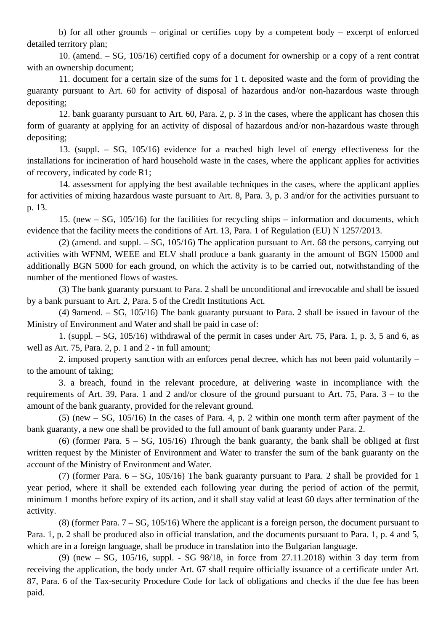b) for all other grounds – original or certifies copy by a competent body – excerpt of enforced detailed territory plan;

10. (amend. – SG, 105/16) certified copy of a document for ownership or a copy of a rent contrat with an ownership document;

11. document for a certain size of the sums for 1 t. deposited waste and the form of providing the guaranty pursuant to Art. 60 for activity of disposal of hazardous and/or non-hazardous waste through depositing;

12. bank guaranty pursuant to Art. 60, Para. 2, p. 3 in the cases, where the applicant has chosen this form of guaranty at applying for an activity of disposal of hazardous and/or non-hazardous waste through depositing;

13. (suppl. – SG, 105/16) evidence for a reached high level of energy effectiveness for the installations for incineration of hard household waste in the cases, where the applicant applies for activities of recovery, indicated by code R1;

14. assessment for applying the best available techniques in the cases, where the applicant applies for activities of mixing hazardous waste pursuant to Art. 8, Para. 3, p. 3 and/or for the activities pursuant to p. 13.

15. (new – SG, 105/16) for the facilities for recycling ships – information and documents, which evidence that the facility meets the conditions of Art. 13, Para. 1 of Regulation (EU) N 1257/2013.

(2) (amend. and suppl.  $-$  SG, 105/16) The application pursuant to Art. 68 the persons, carrying out activities with WFNM, WEEE and ELV shall produce a bank guaranty in the amount of BGN 15000 and additionally BGN 5000 for each ground, on which the activity is to be carried out, notwithstanding of the number of the mentioned flows of wastes.

(3) The bank guaranty pursuant to Para. 2 shall be unconditional and irrevocable and shall be issued by a bank pursuant to Art. 2, Para. 5 of the Credit Institutions Act.

(4) 9amend. – SG, 105/16) The bank guaranty pursuant to Para. 2 shall be issued in favour of the Ministry of Environment and Water and shall be paid in case of:

1. (suppl. – SG, 105/16) withdrawal of the permit in cases under Art. 75, Para. 1, p. 3, 5 and 6, as well as Art. 75, Para. 2, p. 1 and 2 - in full amount;

2. imposed property sanction with an enforces penal decree, which has not been paid voluntarily – to the amount of taking;

3. a breach, found in the relevant procedure, at delivering waste in incompliance with the requirements of Art. 39, Para. 1 and 2 and/or closure of the ground pursuant to Art. 75, Para. 3 – to the amount of the bank guaranty, provided for the relevant ground.

(5) (new – SG, 105/16) In the cases of Para. 4, p. 2 within one month term after payment of the bank guaranty, a new one shall be provided to the full amount of bank guaranty under Para. 2.

(6) (former Para.  $5 - SG$ , 105/16) Through the bank guaranty, the bank shall be obliged at first written request by the Minister of Environment and Water to transfer the sum of the bank guaranty on the account of the Ministry of Environment and Water.

(7) (former Para. 6 – SG, 105/16) The bank guaranty pursuant to Para. 2 shall be provided for 1 year period, where it shall be extended each following year during the period of action of the permit, minimum 1 months before expiry of its action, and it shall stay valid at least 60 days after termination of the activity.

(8) (former Para.  $7 - SG$ ,  $105/16$ ) Where the applicant is a foreign person, the document pursuant to Para. 1, p. 2 shall be produced also in official translation, and the documents pursuant to Para. 1, p. 4 and 5, which are in a foreign language, shall be produce in translation into the Bulgarian language.

(9) (new – SG, 105/16, suppl. - SG 98/18, in force from 27.11.2018) within 3 day term from receiving the application, the body under Art. 67 shall require officially issuance of a certificate under Art. 87, Para. 6 of the Tax-security Procedure Code for lack of obligations and checks if the due fee has been paid.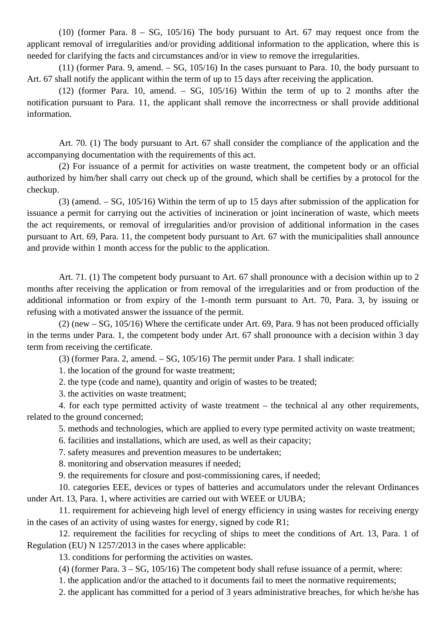(10) (former Para.  $8 - SG$ , 105/16) The body pursuant to Art. 67 may request once from the applicant removal of irregularities and/or providing additional information to the application, where this is needed for clarifying the facts and circumstances and/or in view to remove the irregularities.

(11) (former Para. 9, amend. – SG, 105/16) In the cases pursuant to Para. 10, the body pursuant to Art. 67 shall notify the applicant within the term of up to 15 days after receiving the application.

(12) (former Para. 10, amend. – SG, 105/16) Within the term of up to 2 months after the notification pursuant to Para. 11, the applicant shall remove the incorrectness or shall provide additional information.

Art. 70. (1) The body pursuant to Art. 67 shall consider the compliance of the application and the accompanying documentation with the requirements of this act.

(2) For issuance of a permit for activities on waste treatment, the competent body or an official authorized by him/her shall carry out check up of the ground, which shall be certifies by a protocol for the checkup.

(3) (amend. – SG, 105/16) Within the term of up to 15 days after submission of the application for issuance a permit for carrying out the activities of incineration or joint incineration of waste, which meets the act requirements, or removal of irregularities and/or provision of additional information in the cases pursuant to Art. 69, Para. 11, the competent body pursuant to Art. 67 with the municipalities shall announce and provide within 1 month access for the public to the application.

Art. 71. (1) The competent body pursuant to Art. 67 shall pronounce with a decision within up to 2 months after receiving the application or from removal of the irregularities and or from production of the additional information or from expiry of the 1-month term pursuant to Art. 70, Para. 3, by issuing or refusing with a motivated answer the issuance of the permit.

(2) (new – SG, 105/16) Where the certificate under Art. 69, Para. 9 has not been produced officially in the terms under Para. 1, the competent body under Art. 67 shall pronounce with a decision within 3 day term from receiving the certificate.

(3) (former Para. 2, amend. – SG, 105/16) The permit under Para. 1 shall indicate:

1. the location of the ground for waste treatment;

2. the type (code and name), quantity and origin of wastes to be treated;

3. the activities on waste treatment;

4. for each type permitted activity of waste treatment – the technical al any other requirements, related to the ground concerned;

5. methods and technologies, which are applied to every type permited activity on waste treatment;

6. facilities and installations, which are used, as well as their capacity;

7. safety measures and prevention measures to be undertaken;

8. monitoring and observation measures if needed;

9. the requirements for closure and post-commissioning cares, if needed;

10. categories EEE, devices or types of batteries and accumulators under the relevant Ordinances under Art. 13, Para. 1, where activities are carried out with WEEE or UUBA;

11. requirement for achieveing high level of energy efficiency in using wastes for receiving energy in the cases of an activity of using wastes for energy, signed by code R1;

12. requirement the facilities for recycling of ships to meet the conditions of Art. 13, Para. 1 of Regulation (EU) N 1257/2013 in the cases where applicable:

13. conditions for performing the activities on wastes.

(4) (former Para. 3 – SG, 105/16) The competent body shall refuse issuance of a permit, where:

1. the application and/or the attached to it documents fail to meet the normative requirements;

2. the applicant has committed for a period of 3 years administrative breaches, for which he/she has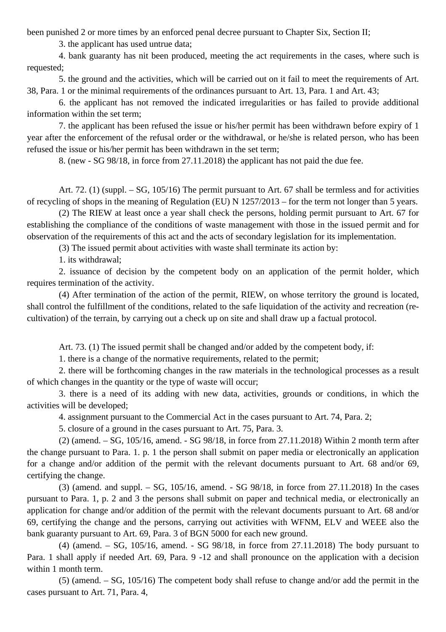been punished 2 or more times by an enforced penal decree pursuant to Chapter Six, Section II;

3. the applicant has used untrue data;

4. bank guaranty has nit been produced, meeting the act requirements in the cases, where such is requested;

5. the ground and the activities, which will be carried out on it fail to meet the requirements of Art. 38, Para. 1 or the minimal requirements of the ordinances pursuant to Art. 13, Para. 1 and Art. 43;

6. the applicant has not removed the indicated irregularities or has failed to provide additional information within the set term;

7. the applicant has been refused the issue or his/her permit has been withdrawn before expiry of 1 year after the enforcement of the refusal order or the withdrawal, or he/she is related person, who has been refused the issue or his/her permit has been withdrawn in the set term;

8. (new - SG 98/18, in force from 27.11.2018) the applicant has not paid the due fee.

Art. 72. (1) (suppl. – SG, 105/16) The permit pursuant to Art. 67 shall be termless and for activities of recycling of shops in the meaning of Regulation (EU) N 1257/2013 – for the term not longer than 5 years.

(2) The RIEW at least once a year shall check the persons, holding permit pursuant to Art. 67 for establishing the compliance of the conditions of waste management with those in the issued permit and for observation of the requirements of this act and the acts of secondary legislation for its implementation.

(3) The issued permit about activities with waste shall terminate its action by:

1. its withdrawal;

2. issuance of decision by the competent body on an application of the permit holder, which requires termination of the activity.

(4) After termination of the action of the permit, RIEW, on whose territory the ground is located, shall control the fulfillment of the conditions, related to the safe liquidation of the activity and recreation (recultivation) of the terrain, by carrying out a check up on site and shall draw up a factual protocol.

Art. 73. (1) The issued permit shall be changed and/or added by the competent body, if:

1. there is a change of the normative requirements, related to the permit;

2. there will be forthcoming changes in the raw materials in the technological processes as a result of which changes in the quantity or the type of waste will occur;

3. there is a need of its adding with new data, activities, grounds or conditions, in which the activities will be developed;

4. assignment pursuant to the Commercial Act in the cases pursuant to Art. 74, Para. 2;

5. closure of a ground in the cases pursuant to Art. 75, Para. 3.

(2) (amend. – SG, 105/16, amend. - SG 98/18, in force from 27.11.2018) Within 2 month term after the change pursuant to Para. 1. p. 1 the person shall submit on paper media or electronically an application for a change and/or addition of the permit with the relevant documents pursuant to Art. 68 and/or 69, certifying the change.

(3) (amend. and suppl. – SG, 105/16, amend. - SG 98/18, in force from 27.11.2018) In the cases pursuant to Para. 1, p. 2 and 3 the persons shall submit on paper and technical media, or electronically an application for change and/or addition of the permit with the relevant documents pursuant to Art. 68 and/or 69, certifying the change and the persons, carrying out activities with WFNM, ELV and WEEE also the bank guaranty pursuant to Art. 69, Para. 3 of BGN 5000 for each new ground.

(4) (amend. – SG, 105/16, amend. - SG 98/18, in force from 27.11.2018) The body pursuant to Para. 1 shall apply if needed Art. 69, Para. 9 -12 and shall pronounce on the application with a decision within 1 month term.

(5) (amend. – SG, 105/16) The competent body shall refuse to change and/or add the permit in the cases pursuant to Art. 71, Para. 4,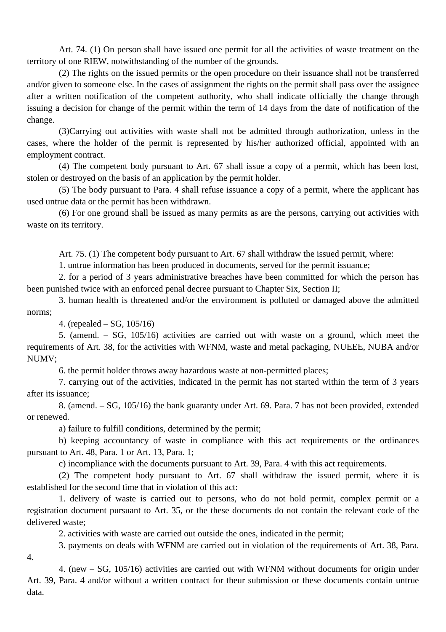Art. 74. (1) On person shall have issued one permit for all the activities of waste treatment on the territory of one RIEW, notwithstanding of the number of the grounds.

(2) The rights on the issued permits or the open procedure on their issuance shall not be transferred and/or given to someone else. In the cases of assignment the rights on the permit shall pass over the assignee after a written notification of the competent authority, who shall indicate officially the change through issuing a decision for change of the permit within the term of 14 days from the date of notification of the change.

(3)Carrying out activities with waste shall not be admitted through authorization, unless in the cases, where the holder of the permit is represented by his/her authorized official, appointed with an employment contract.

(4) The competent body pursuant to Art. 67 shall issue a copy of a permit, which has been lost, stolen or destroyed on the basis of an application by the permit holder.

(5) The body pursuant to Para. 4 shall refuse issuance a copy of a permit, where the applicant has used untrue data or the permit has been withdrawn.

(6) For one ground shall be issued as many permits as are the persons, carrying out activities with waste on its territory.

Art. 75. (1) The competent body pursuant to Art. 67 shall withdraw the issued permit, where:

1. untrue information has been produced in documents, served for the permit issuance;

2. for a period of 3 years administrative breaches have been committed for which the person has been punished twice with an enforced penal decree pursuant to Chapter Six, Section II;

3. human health is threatened and/or the environment is polluted or damaged above the admitted norms;

4. (repealed – SG, 105/16)

5. (amend. – SG, 105/16) activities are carried out with waste on a ground, which meet the requirements of Art. 38, for the activities with WFNM, waste and metal packaging, NUEEE, NUBA and/or NUMV;

6. the permit holder throws away hazardous waste at non-permitted places;

7. carrying out of the activities, indicated in the permit has not started within the term of 3 years after its issuance;

8. (amend. – SG, 105/16) the bank guaranty under Art. 69. Para. 7 has not been provided, extended or renewed.

a) failure to fulfill conditions, determined by the permit;

b) keeping accountancy of waste in compliance with this act requirements or the ordinances pursuant to Art. 48, Para. 1 or Art. 13, Para. 1;

c) incompliance with the documents pursuant to Art. 39, Para. 4 with this act requirements.

(2) The competent body pursuant to Art. 67 shall withdraw the issued permit, where it is established for the second time that in violation of this act:

1. delivery of waste is carried out to persons, who do not hold permit, complex permit or a registration document pursuant to Art. 35, or the these documents do not contain the relevant code of the delivered waste;

2. activities with waste are carried out outside the ones, indicated in the permit;

3. payments on deals with WFNM are carried out in violation of the requirements of Art. 38, Para.

4.

4. (new – SG, 105/16) activities are carried out with WFNM without documents for origin under Art. 39, Para. 4 and/or without a written contract for theur submission or these documents contain untrue data.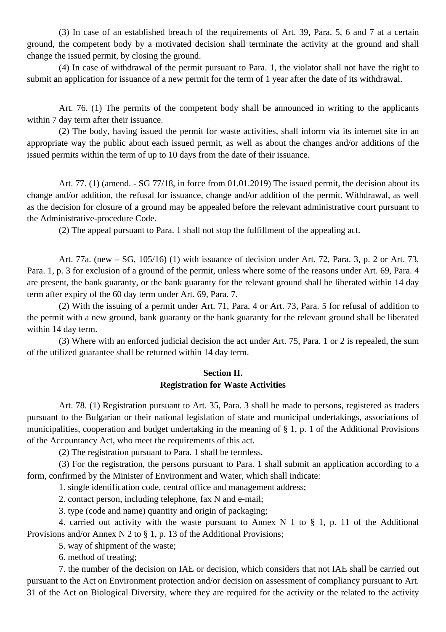(3) In case of an established breach of the requirements of Art. 39, Para. 5, 6 and 7 at a certain ground, the competent body by a motivated decision shall terminate the activity at the ground and shall change the issued permit, by closing the ground.

(4) In case of withdrawal of the permit pursuant to Para. 1, the violator shall not have the right to submit an application for issuance of a new permit for the term of 1 year after the date of its withdrawal.

Art. 76. (1) The permits of the competent body shall be announced in writing to the applicants within 7 day term after their issuance.

(2) The body, having issued the permit for waste activities, shall inform via its internet site in an appropriate way the public about each issued permit, as well as about the changes and/or additions of the issued permits within the term of up to 10 days from the date of their issuance.

Art. 77. (1) (amend. - SG 77/18, in force from 01.01.2019) The issued permit, the decision about its change and/or addition, the refusal for issuance, change and/or addition of the permit. Withdrawal, as well as the decision for closure of a ground may be appealed before the relevant administrative court pursuant to the Administrative-procedure Code.

(2) The appeal pursuant to Para. 1 shall not stop the fulfillment of the appealing act.

Art. 77a. (new – SG, 105/16) (1) with issuance of decision under Art. 72, Para. 3, p. 2 or Art. 73, Para. 1, p. 3 for exclusion of a ground of the permit, unless where some of the reasons under Art. 69, Para. 4 are present, the bank guaranty, or the bank guaranty for the relevant ground shall be liberated within 14 day term after expiry of the 60 day term under Art. 69, Para. 7.

(2) With the issuing of a permit under Art. 71, Para. 4 or Art. 73, Para. 5 for refusal of addition to the permit with a new ground, bank guaranty or the bank guaranty for the relevant ground shall be liberated within 14 day term.

(3) Where with an enforced judicial decision the act under Art. 75, Para. 1 or 2 is repealed, the sum of the utilized guarantee shall be returned within 14 day term.

### **Section II. Registration for Waste Activities**

Art. 78. (1) Registration pursuant to Art. 35, Para. 3 shall be made to persons, registered as traders pursuant to the Bulgarian or their national legislation of state and municipal undertakings, associations of municipalities, cooperation and budget undertaking in the meaning of § 1, p. 1 of the Additional Provisions of the Accountancy Act, who meet the requirements of this act.

(2) The registration pursuant to Para. 1 shall be termless.

(3) For the registration, the persons pursuant to Para. 1 shall submit an application according to a form, confirmed by the Minister of Environment and Water, which shall indicate:

1. single identification code, central office and management address;

2. contact person, including telephone, fax N and e-mail;

3. type (code and name) quantity and origin of packaging;

4. carried out activity with the waste pursuant to Annex N 1 to  $\S$  1, p. 11 of the Additional Provisions and/or Annex N 2 to § 1, p. 13 of the Additional Provisions;

5. way of shipment of the waste;

6. method of treating;

7. the number of the decision on IAE or decision, which considers that not IAE shall be carried out pursuant to the Act on Environment protection and/or decision on assessment of compliancy pursuant to Art. 31 of the Act on Biological Diversity, where they are required for the activity or the related to the activity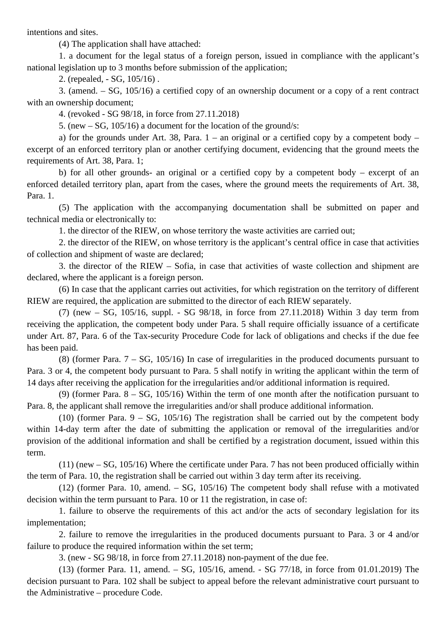intentions and sites.

(4) The application shall have attached:

1. a document for the legal status of a foreign person, issued in compliance with the applicant's national legislation up to 3 months before submission of the application;

2. (repealed, - SG, 105/16) .

3. (amend. – SG, 105/16) a certified copy of an ownership document or a copy of a rent contract with an ownership document;

4. (revoked - SG 98/18, in force from 27.11.2018)

5. (new – SG, 105/16) a document for the location of the ground/s:

a) for the grounds under Art. 38, Para.  $1 -$  an original or a certified copy by a competent body – excerpt of an enforced territory plan or another certifying document, evidencing that the ground meets the requirements of Art. 38, Para. 1;

b) for all other grounds- an original or a certified copy by a competent body – excerpt of an enforced detailed territory plan, apart from the cases, where the ground meets the requirements of Art. 38, Para. 1.

(5) The application with the accompanying documentation shall be submitted on paper and technical media or electronically to:

1. the director of the RIEW, on whose territory the waste activities are carried out;

2. the director of the RIEW, on whose territory is the applicant's central office in case that activities of collection and shipment of waste are declared;

3. the director of the RIEW – Sofia, in case that activities of waste collection and shipment are declared, where the applicant is a foreign person.

(6) In case that the applicant carries out activities, for which registration on the territory of different RIEW are required, the application are submitted to the director of each RIEW separately.

(7) (new – SG, 105/16, suppl. - SG 98/18, in force from 27.11.2018) Within 3 day term from receiving the application, the competent body under Para. 5 shall require officially issuance of a certificate under Art. 87, Para. 6 of the Tax-security Procedure Code for lack of obligations and checks if the due fee has been paid.

(8) (former Para. 7 – SG, 105/16) In case of irregularities in the produced documents pursuant to Para. 3 or 4, the competent body pursuant to Para. 5 shall notify in writing the applicant within the term of 14 days after receiving the application for the irregularities and/or additional information is required.

(9) (former Para. 8 – SG, 105/16) Within the term of one month after the notification pursuant to Para. 8, the applicant shall remove the irregularities and/or shall produce additional information.

(10) (former Para.  $9 - SG$ , 105/16) The registration shall be carried out by the competent body within 14-day term after the date of submitting the application or removal of the irregularities and/or provision of the additional information and shall be certified by a registration document, issued within this term.

(11) (new – SG, 105/16) Where the certificate under Para. 7 has not been produced officially within the term of Para. 10, the registration shall be carried out within 3 day term after its receiving.

(12) (former Para. 10, amend. – SG, 105/16) The competent body shall refuse with a motivated decision within the term pursuant to Para. 10 or 11 the registration, in case of:

1. failure to observe the requirements of this act and/or the acts of secondary legislation for its implementation;

2. failure to remove the irregularities in the produced documents pursuant to Para. 3 or 4 and/or failure to produce the required information within the set term;

3. (new - SG 98/18, in force from 27.11.2018) non-payment of the due fee.

(13) (former Para. 11, amend. – SG, 105/16, amend. - SG 77/18, in force from 01.01.2019) The decision pursuant to Para. 102 shall be subject to appeal before the relevant administrative court pursuant to the Administrative – procedure Code.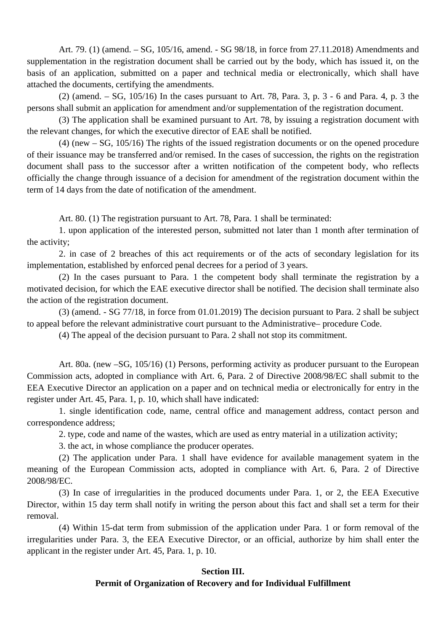Art. 79. (1) (amend. – SG, 105/16, amend. - SG 98/18, in force from 27.11.2018) Amendments and supplementation in the registration document shall be carried out by the body, which has issued it, on the basis of an application, submitted on a paper and technical media or electronically, which shall have attached the documents, certifying the amendments.

(2) (amend. – SG,  $105/16$ ) In the cases pursuant to Art. 78, Para. 3, p. 3 - 6 and Para. 4, p. 3 the persons shall submit an application for amendment and/or supplementation of the registration document.

(3) The application shall be examined pursuant to Art. 78, by issuing a registration document with the relevant changes, for which the executive director of EAE shall be notified.

(4) (new – SG, 105/16) The rights of the issued registration documents or on the opened procedure of their issuance may be transferred and/or remised. In the cases of succession, the rights on the registration document shall pass to the successor after a written notification of the competent body, who reflects officially the change through issuance of a decision for amendment of the registration document within the term of 14 days from the date of notification of the amendment.

Art. 80. (1) The registration pursuant to Art. 78, Para. 1 shall be terminated:

1. upon application of the interested person, submitted not later than 1 month after termination of the activity;

2. in case of 2 breaches of this act requirements or of the acts of secondary legislation for its implementation, established by enforced penal decrees for a period of 3 years.

(2) In the cases pursuant to Para. 1 the competent body shall terminate the registration by a motivated decision, for which the EAE executive director shall be notified. The decision shall terminate also the action of the registration document.

(3) (amend. - SG 77/18, in force from 01.01.2019) The decision pursuant to Para. 2 shall be subject to appeal before the relevant administrative court pursuant to the Administrative– procedure Code.

(4) The appeal of the decision pursuant to Para. 2 shall not stop its commitment.

Art. 80a. (new –SG, 105/16) (1) Persons, performing activity as producer pursuant to the European Commission acts, adopted in compliance with Art. 6, Para. 2 of Directive 2008/98/EC shall submit to the EEA Executive Director an application on a paper and on technical media or electronically for entry in the register under Art. 45, Para. 1, p. 10, which shall have indicated:

1. single identification code, name, central office and management address, contact person and correspondence address;

2. type, code and name of the wastes, which are used as entry material in a utilization activity;

3. the act, in whose compliance the producer operates.

(2) The application under Para. 1 shall have evidence for available management syatem in the meaning of the European Commission acts, adopted in compliance with Art. 6, Para. 2 of Directive 2008/98/EC.

(3) In case of irregularities in the produced documents under Para. 1, or 2, the EEA Executive Director, within 15 day term shall notify in writing the person about this fact and shall set a term for their removal.

(4) Within 15-dat term from submission of the application under Para. 1 or form removal of the irregularities under Para. 3, the EEA Executive Director, or an official, authorize by him shall enter the applicant in the register under Art. 45, Para. 1, p. 10.

## **Section III. Permit of Organization of Recovery and for Individual Fulfillment**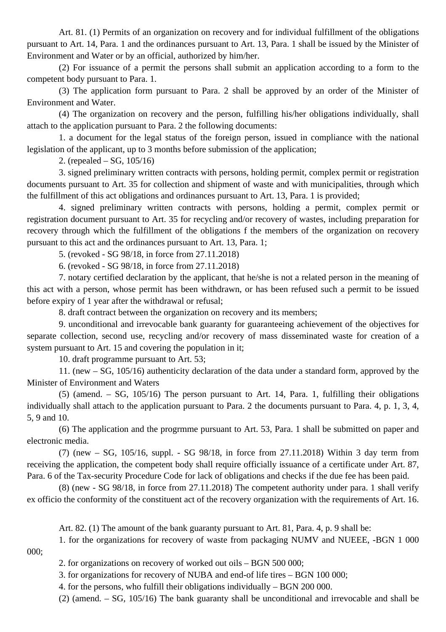Art. 81. (1) Permits of an organization on recovery and for individual fulfillment of the obligations pursuant to Art. 14, Para. 1 and the ordinances pursuant to Art. 13, Para. 1 shall be issued by the Minister of Environment and Water or by an official, authorized by him/her.

(2) For issuance of a permit the persons shall submit an application according to a form to the competent body pursuant to Para. 1.

(3) The application form pursuant to Para. 2 shall be approved by an order of the Minister of Environment and Water.

(4) The organization on recovery and the person, fulfilling his/her obligations individually, shall attach to the application pursuant to Para. 2 the following documents:

1. a document for the legal status of the foreign person, issued in compliance with the national legislation of the applicant, up to 3 months before submission of the application;

2. (repealed – SG, 105/16)

3. signed preliminary written contracts with persons, holding permit, complex permit or registration documents pursuant to Art. 35 for collection and shipment of waste and with municipalities, through which the fulfillment of this act obligations and ordinances pursuant to Art. 13, Para. 1 is provided;

4. signed preliminary written contracts with persons, holding a permit, complex permit or registration document pursuant to Art. 35 for recycling and/or recovery of wastes, including preparation for recovery through which the fulfillment of the obligations f the members of the organization on recovery pursuant to this act and the ordinances pursuant to Art. 13, Para. 1;

5. (revoked - SG 98/18, in force from 27.11.2018)

6. (revoked - SG 98/18, in force from 27.11.2018)

7. notary certified declaration by the applicant, that he/she is not a related person in the meaning of this act with a person, whose permit has been withdrawn, or has been refused such a permit to be issued before expiry of 1 year after the withdrawal or refusal;

8. draft contract between the organization on recovery and its members;

9. unconditional and irrevocable bank guaranty for guaranteeing achievement of the objectives for separate collection, second use, recycling and/or recovery of mass disseminated waste for creation of a system pursuant to Art. 15 and covering the population in it;

10. draft programme pursuant to Art. 53;

11. (new – SG, 105/16) authenticity declaration of the data under a standard form, approved by the Minister of Environment and Waters

(5) (amend. – SG, 105/16) The person pursuant to Art. 14, Para. 1, fulfilling their obligations individually shall attach to the application pursuant to Para. 2 the documents pursuant to Para. 4, p. 1, 3, 4, 5, 9 and 10.

(6) The application and the progrmme pursuant to Art. 53, Para. 1 shall be submitted on paper and electronic media.

(7) (new – SG, 105/16, suppl. - SG 98/18, in force from 27.11.2018) Within 3 day term from receiving the application, the competent body shall require officially issuance of a certificate under Art. 87, Para. 6 of the Tax-security Procedure Code for lack of obligations and checks if the due fee has been paid.

(8) (new - SG 98/18, in force from 27.11.2018) The competent authority under para. 1 shall verify ex officio the conformity of the constituent act of the recovery organization with the requirements of Art. 16.

Art. 82. (1) The amount of the bank guaranty pursuant to Art. 81, Para. 4, p. 9 shall be:

1. for the organizations for recovery of waste from packaging NUMV and NUEEE, -BGN 1 000 000;

2. for organizations on recovery of worked out oils – BGN 500 000;

3. for organizations for recovery of NUBA and end-of life tires – BGN 100 000;

4. for the persons, who fulfill their obligations individually – BGN 200 000.

(2) (amend. – SG, 105/16) The bank guaranty shall be unconditional and irrevocable and shall be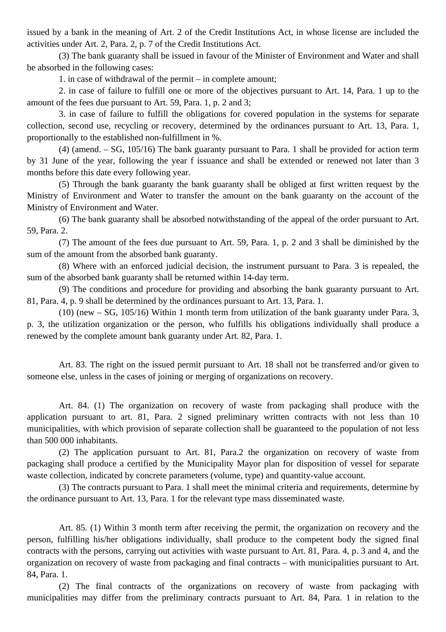issued by a bank in the meaning of Art. 2 of the Credit Institutions Act, in whose license are included the activities under Art. 2, Para. 2, p. 7 of the Credit Institutions Act.

(3) The bank guaranty shall be issued in favour of the Minister of Environment and Water and shall be absorbed in the following cases:

1. in case of withdrawal of the permit – in complete amount;

2. in case of failure to fulfill one or more of the objectives pursuant to Art. 14, Para. 1 up to the amount of the fees due pursuant to Art. 59, Para. 1, p. 2 and 3;

3. in case of failure to fulfill the obligations for covered population in the systems for separate collection, second use, recycling or recovery, determined by the ordinances pursuant to Art. 13, Para. 1, proportionally to the established non-fulfillment in %.

(4) (amend. – SG, 105/16) The bank guaranty pursuant to Para. 1 shall be provided for action term by 31 June of the year, following the year f issuance and shall be extended or renewed not later than 3 months before this date every following year.

(5) Through the bank guaranty the bank guaranty shall be obliged at first written request by the Ministry of Environment and Water to transfer the amount on the bank guaranty on the account of the Ministry of Environment and Water.

(6) The bank guaranty shall be absorbed notwithstanding of the appeal of the order pursuant to Art. 59, Para. 2.

(7) The amount of the fees due pursuant to Art. 59, Para. 1, p. 2 and 3 shall be diminished by the sum of the amount from the absorbed bank guaranty.

(8) Where with an enforced judicial decision, the instrument pursuant to Para. 3 is repealed, the sum of the absorbed bank guaranty shall be returned within 14-day term.

(9) The conditions and procedure for providing and absorbing the bank guaranty pursuant to Art. 81, Para. 4, p. 9 shall be determined by the ordinances pursuant to Art. 13, Para. 1.

(10) (new – SG, 105/16) Within 1 month term from utilization of the bank guaranty under Para. 3, p. 3, the utilization organization or the person, who fulfills his obligations individually shall produce a renewed by the complete amount bank guaranty under Art. 82, Para. 1.

Art. 83. The right on the issued permit pursuant to Art. 18 shall not be transferred and/or given to someone else, unless in the cases of joining or merging of organizations on recovery.

Art. 84. (1) The organization on recovery of waste from packaging shall produce with the application pursuant to art. 81, Para. 2 signed preliminary written contracts with not less than 10 municipalities, with which provision of separate collection shall be guaranteed to the population of not less than 500 000 inhabitants.

(2) The application pursuant to Art. 81, Para.2 the organization on recovery of waste from packaging shall produce a certified by the Municipality Mayor plan for disposition of vessel for separate waste collection, indicated by concrete parameters (volume, type) and quantity-value account.

(3) The contracts pursuant to Para. 1 shall meet the minimal criteria and requirements, determine by the ordinance pursuant to Art. 13, Para. 1 for the relevant type mass disseminated waste.

Art. 85. (1) Within 3 month term after receiving the permit, the organization on recovery and the person, fulfilling his/her obligations individually, shall produce to the competent body the signed final contracts with the persons, carrying out activities with waste pursuant to Art. 81, Para. 4, p. 3 and 4, and the organization on recovery of waste from packaging and final contracts – with municipalities pursuant to Art. 84, Para. 1.

(2) The final contracts of the organizations on recovery of waste from packaging with municipalities may differ from the preliminary contracts pursuant to Art. 84, Para. 1 in relation to the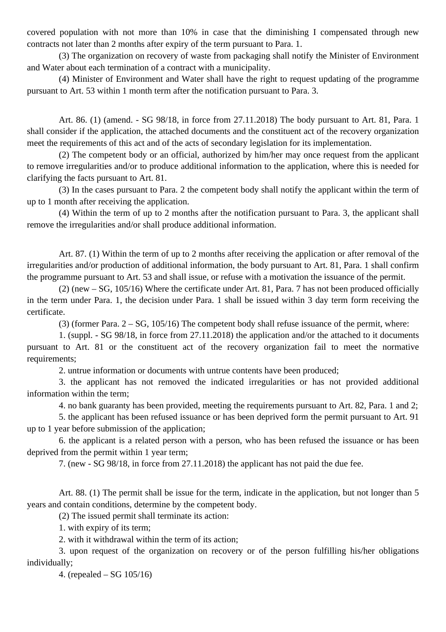covered population with not more than 10% in case that the diminishing I compensated through new contracts not later than 2 months after expiry of the term pursuant to Para. 1.

(3) The organization on recovery of waste from packaging shall notify the Minister of Environment and Water about each termination of a contract with a municipality.

(4) Minister of Environment and Water shall have the right to request updating of the programme pursuant to Art. 53 within 1 month term after the notification pursuant to Para. 3.

Art. 86. (1) (amend. - SG 98/18, in force from 27.11.2018) The body pursuant to Art. 81, Para. 1 shall consider if the application, the attached documents and the constituent act of the recovery organization meet the requirements of this act and of the acts of secondary legislation for its implementation.

(2) The competent body or an official, authorized by him/her may once request from the applicant to remove irregularities and/or to produce additional information to the application, where this is needed for clarifying the facts pursuant to Art. 81.

(3) In the cases pursuant to Para. 2 the competent body shall notify the applicant within the term of up to 1 month after receiving the application.

(4) Within the term of up to 2 months after the notification pursuant to Para. 3, the applicant shall remove the irregularities and/or shall produce additional information.

Art. 87. (1) Within the term of up to 2 months after receiving the application or after removal of the irregularities and/or production of additional information, the body pursuant to Art. 81, Para. 1 shall confirm the programme pursuant to Art. 53 and shall issue, or refuse with a motivation the issuance of the permit.

(2) (new – SG, 105/16) Where the certificate under Art. 81, Para. 7 has not been produced officially in the term under Para. 1, the decision under Para. 1 shall be issued within 3 day term form receiving the certificate.

(3) (former Para. 2 – SG, 105/16) The competent body shall refuse issuance of the permit, where:

1. (suppl. - SG 98/18, in force from 27.11.2018) the application and/or the attached to it documents pursuant to Art. 81 or the constituent act of the recovery organization fail to meet the normative requirements;

2. untrue information or documents with untrue contents have been produced;

3. the applicant has not removed the indicated irregularities or has not provided additional information within the term;

4. no bank guaranty has been provided, meeting the requirements pursuant to Art. 82, Para. 1 and 2;

5. the applicant has been refused issuance or has been deprived form the permit pursuant to Art. 91 up to 1 year before submission of the application;

6. the applicant is a related person with a person, who has been refused the issuance or has been deprived from the permit within 1 year term;

7. (new - SG 98/18, in force from 27.11.2018) the applicant has not paid the due fee.

Art. 88. (1) The permit shall be issue for the term, indicate in the application, but not longer than 5 years and contain conditions, determine by the competent body.

(2) The issued permit shall terminate its action:

1. with expiry of its term;

2. with it withdrawal within the term of its action;

3. upon request of the organization on recovery or of the person fulfilling his/her obligations individually;

4. (repealed – SG 105/16)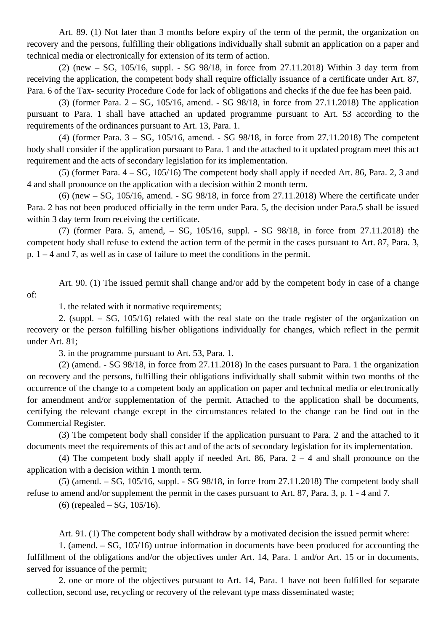Art. 89. (1) Not later than 3 months before expiry of the term of the permit, the organization on recovery and the persons, fulfilling their obligations individually shall submit an application on a paper and technical media or electronically for extension of its term of action.

(2) (new – SG, 105/16, suppl. - SG 98/18, in force from 27.11.2018) Within 3 day term from receiving the application, the competent body shall require officially issuance of a certificate under Art. 87, Para. 6 of the Tax- security Procedure Code for lack of obligations and checks if the due fee has been paid.

(3) (former Para. 2 – SG, 105/16, amend. - SG 98/18, in force from 27.11.2018) The application pursuant to Para. 1 shall have attached an updated programme pursuant to Art. 53 according to the requirements of the ordinances pursuant to Art. 13, Para. 1.

(4) (former Para. 3 – SG, 105/16, amend. - SG 98/18, in force from 27.11.2018) The competent body shall consider if the application pursuant to Para. 1 and the attached to it updated program meet this act requirement and the acts of secondary legislation for its implementation.

(5) (former Para. 4 – SG, 105/16) The competent body shall apply if needed Art. 86, Para. 2, 3 and 4 and shall pronounce on the application with a decision within 2 month term.

 $(6)$  (new – SG, 105/16, amend. - SG 98/18, in force from 27.11.2018) Where the certificate under Para. 2 has not been produced officially in the term under Para. 5, the decision under Para.5 shall be issued within 3 day term from receiving the certificate.

(7) (former Para. 5, amend, – SG, 105/16, suppl. - SG 98/18, in force from 27.11.2018) the competent body shall refuse to extend the action term of the permit in the cases pursuant to Art. 87, Para. 3, p. 1 – 4 and 7, as well as in case of failure to meet the conditions in the permit.

Art. 90. (1) The issued permit shall change and/or add by the competent body in case of a change of:

1. the related with it normative requirements;

2. (suppl. – SG, 105/16) related with the real state on the trade register of the organization on recovery or the person fulfilling his/her obligations individually for changes, which reflect in the permit under Art. 81;

3. in the programme pursuant to Art. 53, Para. 1.

(2) (amend. - SG 98/18, in force from 27.11.2018) In the cases pursuant to Para. 1 the organization on recovery and the persons, fulfilling their obligations individually shall submit within two months of the occurrence of the change to a competent body an application on paper and technical media or electronically for amendment and/or supplementation of the permit. Attached to the application shall be documents, certifying the relevant change except in the circumstances related to the change can be find out in the Commercial Register.

(3) The competent body shall consider if the application pursuant to Para. 2 and the attached to it documents meet the requirements of this act and of the acts of secondary legislation for its implementation.

(4) The competent body shall apply if needed Art. 86, Para.  $2 - 4$  and shall pronounce on the application with a decision within 1 month term.

 $(5)$  (amend.  $-$  SG, 105/16, suppl.  $-$  SG 98/18, in force from 27.11.2018) The competent body shall refuse to amend and/or supplement the permit in the cases pursuant to Art. 87, Para. 3, p. 1 - 4 and 7.

(6) (repealed – SG, 105/16).

Art. 91. (1) The competent body shall withdraw by a motivated decision the issued permit where:

1. (amend. – SG, 105/16) untrue information in documents have been produced for accounting the fulfillment of the obligations and/or the objectives under Art. 14, Para. 1 and/or Art. 15 or in documents, served for issuance of the permit;

2. one or more of the objectives pursuant to Art. 14, Para. 1 have not been fulfilled for separate collection, second use, recycling or recovery of the relevant type mass disseminated waste;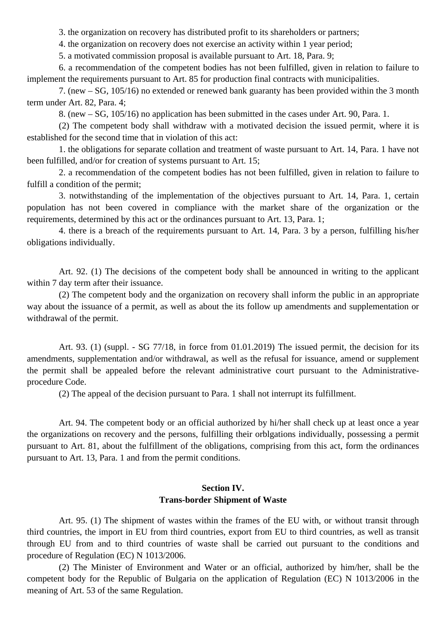3. the organization on recovery has distributed profit to its shareholders or partners;

4. the organization on recovery does not exercise an activity within 1 year period;

5. a motivated commission proposal is available pursuant to Art. 18, Para. 9;

6. a recommendation of the competent bodies has not been fulfilled, given in relation to failure to implement the requirements pursuant to Art. 85 for production final contracts with municipalities.

7. (new – SG, 105/16) no extended or renewed bank guaranty has been provided within the 3 month term under Art. 82, Para. 4;

8. (new – SG, 105/16) no application has been submitted in the cases under Art. 90, Para. 1.

(2) The competent body shall withdraw with a motivated decision the issued permit, where it is established for the second time that in violation of this act:

1. the obligations for separate collation and treatment of waste pursuant to Art. 14, Para. 1 have not been fulfilled, and/or for creation of systems pursuant to Art. 15;

2. a recommendation of the competent bodies has not been fulfilled, given in relation to failure to fulfill a condition of the permit;

3. notwithstanding of the implementation of the objectives pursuant to Art. 14, Para. 1, certain population has not been covered in compliance with the market share of the organization or the requirements, determined by this act or the ordinances pursuant to Art. 13, Para. 1;

4. there is a breach of the requirements pursuant to Art. 14, Para. 3 by a person, fulfilling his/her obligations individually.

Art. 92. (1) The decisions of the competent body shall be announced in writing to the applicant within 7 day term after their issuance.

(2) The competent body and the organization on recovery shall inform the public in an appropriate way about the issuance of a permit, as well as about the its follow up amendments and supplementation or withdrawal of the permit.

Art. 93. (1) (suppl. - SG 77/18, in force from 01.01.2019) The issued permit, the decision for its amendments, supplementation and/or withdrawal, as well as the refusal for issuance, amend or supplement the permit shall be appealed before the relevant administrative court pursuant to the Administrativeprocedure Code.

(2) The appeal of the decision pursuant to Para. 1 shall not interrupt its fulfillment.

Art. 94. The competent body or an official authorized by hi/her shall check up at least once a year the organizations on recovery and the persons, fulfilling their orblgations individually, possessing a permit pursuant to Art. 81, about the fulfillment of the obligations, comprising from this act, form the ordinances pursuant to Art. 13, Para. 1 and from the permit conditions.

## **Section IV. Trans-border Shipment of Waste**

Art. 95. (1) The shipment of wastes within the frames of the EU with, or without transit through third countries, the import in EU from third countries, export from EU to third countries, as well as transit through EU from and to third countries of waste shall be carried out pursuant to the conditions and procedure of Regulation (EC) N 1013/2006.

(2) The Minister of Environment and Water or an official, authorized by him/her, shall be the competent body for the Republic of Bulgaria on the application of Regulation (EC) N 1013/2006 in the meaning of Art. 53 of the same Regulation.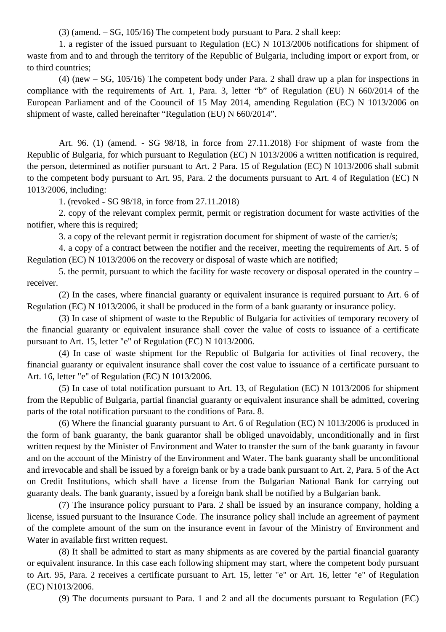(3) (amend. – SG, 105/16) The competent body pursuant to Para. 2 shall keep:

1. a register of the issued pursuant to Regulation (EC) N 1013/2006 notifications for shipment of waste from and to and through the territory of the Republic of Bulgaria, including import or export from, or to third countries;

(4) (new – SG, 105/16) The competent body under Para. 2 shall draw up a plan for inspections in compliance with the requirements of Art. 1, Para. 3, letter "b" of Regulation (EU) N 660/2014 of the European Parliament and of the Coouncil of 15 May 2014, amending Regulation (EC) N 1013/2006 on shipment of waste, called hereinafter "Regulation (EU) N 660/2014".

Art. 96. (1) (amend. - SG 98/18, in force from 27.11.2018) For shipment of waste from the Republic of Bulgaria, for which pursuant to Regulation (EC) N 1013/2006 a written notification is required, the person, determined as notifier pursuant to Art. 2 Para. 15 of Regulation (EC) N 1013/2006 shall submit to the competent body pursuant to Art. 95, Para. 2 the documents pursuant to Art. 4 of Regulation (EC) N 1013/2006, including:

1. (revoked - SG 98/18, in force from 27.11.2018)

2. copy of the relevant complex permit, permit or registration document for waste activities of the notifier, where this is required;

3. a copy of the relevant permit ir registration document for shipment of waste of the carrier/s;

4. a copy of a contract between the notifier and the receiver, meeting the requirements of Art. 5 of Regulation (EC) N 1013/2006 on the recovery or disposal of waste which are notified;

5. the permit, pursuant to which the facility for waste recovery or disposal operated in the country – receiver.

(2) In the cases, where financial guaranty or equivalent insurance is required pursuant to Art. 6 of Regulation (EC) N 1013/2006, it shall be produced in the form of a bank guaranty or insurance policy.

(3) In case of shipment of waste to the Republic of Bulgaria for activities of temporary recovery of the financial guaranty or equivalent insurance shall cover the value of costs to issuance of a certificate pursuant to Art. 15, letter "e" of Regulation (EC) N 1013/2006.

(4) In case of waste shipment for the Republic of Bulgaria for activities of final recovery, the financial guaranty or equivalent insurance shall cover the cost value to issuance of a certificate pursuant to Art. 16, letter "e" of Regulation (EC) N 1013/2006.

(5) In case of total notification pursuant to Art. 13, of Regulation (EC) N 1013/2006 for shipment from the Republic of Bulgaria, partial financial guaranty or equivalent insurance shall be admitted, covering parts of the total notification pursuant to the conditions of Para. 8.

(6) Where the financial guaranty pursuant to Art. 6 of Regulation (EC) N 1013/2006 is produced in the form of bank guaranty, the bank guarantor shall be obliged unavoidably, unconditionally and in first written request by the Minister of Environment and Water to transfer the sum of the bank guaranty in favour and on the account of the Ministry of the Environment and Water. The bank guaranty shall be unconditional and irrevocable and shall be issued by a foreign bank or by a trade bank pursuant to Art. 2, Para. 5 of the Act on Credit Institutions, which shall have a license from the Bulgarian National Bank for carrying out guaranty deals. The bank guaranty, issued by a foreign bank shall be notified by a Bulgarian bank.

(7) The insurance policy pursuant to Para. 2 shall be issued by an insurance company, holding a license, issued pursuant to the Insurance Code. The insurance policy shall include an agreement of payment of the complete amount of the sum on the insurance event in favour of the Ministry of Environment and Water in available first written request.

(8) It shall be admitted to start as many shipments as are covered by the partial financial guaranty or equivalent insurance. In this case each following shipment may start, where the competent body pursuant to Art. 95, Para. 2 receives a certificate pursuant to Art. 15, letter "e" or Art. 16, letter "e" of Regulation (EC) N1013/2006.

(9) The documents pursuant to Para. 1 and 2 and all the documents pursuant to Regulation (EC)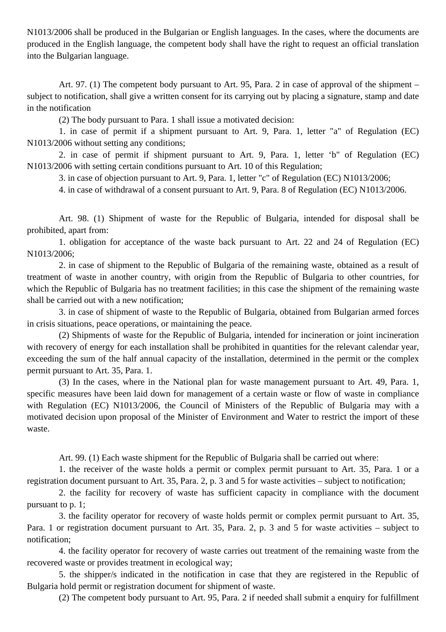N1013/2006 shall be produced in the Bulgarian or English languages. In the cases, where the documents are produced in the English language, the competent body shall have the right to request an official translation into the Bulgarian language.

Art. 97. (1) The competent body pursuant to Art. 95, Para. 2 in case of approval of the shipment – subject to notification, shall give a written consent for its carrying out by placing a signature, stamp and date in the notification

(2) The body pursuant to Para. 1 shall issue a motivated decision:

1. in case of permit if a shipment pursuant to Art. 9, Para. 1, letter "a" of Regulation (EC) N1013/2006 without setting any conditions;

2. in case of permit if shipment pursuant to Art. 9, Para. 1, letter 'b" of Regulation (EC) N1013/2006 with setting certain conditions pursuant to Art. 10 of this Regulation;

3. in case of objection pursuant to Art. 9, Para. 1, letter "c" of Regulation (EC) N1013/2006;

4. in case of withdrawal of a consent pursuant to Art. 9, Para. 8 of Regulation (EC) N1013/2006.

Art. 98. (1) Shipment of waste for the Republic of Bulgaria, intended for disposal shall be prohibited, apart from:

1. obligation for acceptance of the waste back pursuant to Art. 22 and 24 of Regulation (EC) N1013/2006;

2. in case of shipment to the Republic of Bulgaria of the remaining waste, obtained as a result of treatment of waste in another country, with origin from the Republic of Bulgaria to other countries, for which the Republic of Bulgaria has no treatment facilities; in this case the shipment of the remaining waste shall be carried out with a new notification;

3. in case of shipment of waste to the Republic of Bulgaria, obtained from Bulgarian armed forces in crisis situations, peace operations, or maintaining the peace.

(2) Shipments of waste for the Republic of Bulgaria, intended for incineration or joint incineration with recovery of energy for each installation shall be prohibited in quantities for the relevant calendar year, exceeding the sum of the half annual capacity of the installation, determined in the permit or the complex permit pursuant to Art. 35, Para. 1.

(3) In the cases, where in the National plan for waste management pursuant to Art. 49, Para. 1, specific measures have been laid down for management of a certain waste or flow of waste in compliance with Regulation (EC) N1013/2006, the Council of Ministers of the Republic of Bulgaria may with a motivated decision upon proposal of the Minister of Environment and Water to restrict the import of these waste.

Art. 99. (1) Each waste shipment for the Republic of Bulgaria shall be carried out where:

1. the receiver of the waste holds a permit or complex permit pursuant to Art. 35, Para. 1 or a registration document pursuant to Art. 35, Para. 2, p. 3 and 5 for waste activities – subject to notification;

2. the facility for recovery of waste has sufficient capacity in compliance with the document pursuant to p. 1;

3. the facility operator for recovery of waste holds permit or complex permit pursuant to Art. 35, Para. 1 or registration document pursuant to Art. 35, Para. 2, p. 3 and 5 for waste activities – subject to notification;

4. the facility operator for recovery of waste carries out treatment of the remaining waste from the recovered waste or provides treatment in ecological way;

5. the shipper/s indicated in the notification in case that they are registered in the Republic of Bulgaria hold permit or registration document for shipment of waste.

(2) The competent body pursuant to Art. 95, Para. 2 if needed shall submit a enquiry for fulfillment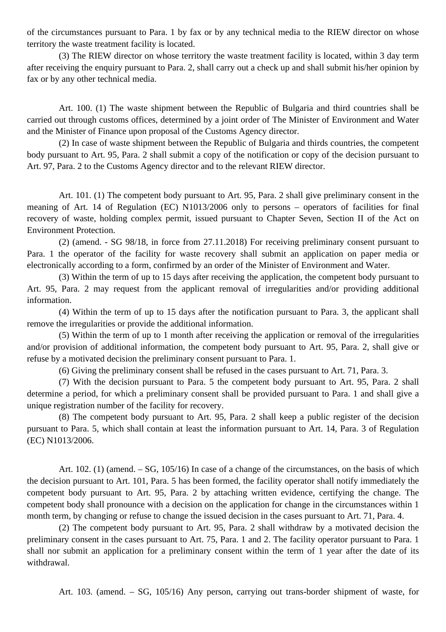of the circumstances pursuant to Para. 1 by fax or by any technical media to the RIEW director on whose territory the waste treatment facility is located.

(3) The RIEW director on whose territory the waste treatment facility is located, within 3 day term after receiving the enquiry pursuant to Para. 2, shall carry out a check up and shall submit his/her opinion by fax or by any other technical media.

Art. 100. (1) The waste shipment between the Republic of Bulgaria and third countries shall be carried out through customs offices, determined by a joint order of The Minister of Environment and Water and the Minister of Finance upon proposal of the Customs Agency director.

(2) In case of waste shipment between the Republic of Bulgaria and thirds countries, the competent body pursuant to Art. 95, Para. 2 shall submit a copy of the notification or copy of the decision pursuant to Art. 97, Para. 2 to the Customs Agency director and to the relevant RIEW director.

Art. 101. (1) The competent body pursuant to Art. 95, Para. 2 shall give preliminary consent in the meaning of Art. 14 of Regulation (EC) N1013/2006 only to persons – operators of facilities for final recovery of waste, holding complex permit, issued pursuant to Chapter Seven, Section II of the Act on Environment Protection.

(2) (amend. - SG 98/18, in force from 27.11.2018) For receiving preliminary consent pursuant to Para. 1 the operator of the facility for waste recovery shall submit an application on paper media or electronically according to a form, confirmed by an order of the Minister of Environment and Water.

(3) Within the term of up to 15 days after receiving the application, the competent body pursuant to Art. 95, Para. 2 may request from the applicant removal of irregularities and/or providing additional information.

(4) Within the term of up to 15 days after the notification pursuant to Para. 3, the applicant shall remove the irregularities or provide the additional information.

(5) Within the term of up to 1 month after receiving the application or removal of the irregularities and/or provision of additional information, the competent body pursuant to Art. 95, Para. 2, shall give or refuse by a motivated decision the preliminary consent pursuant to Para. 1.

(6) Giving the preliminary consent shall be refused in the cases pursuant to Art. 71, Para. 3.

(7) With the decision pursuant to Para. 5 the competent body pursuant to Art. 95, Para. 2 shall determine a period, for which a preliminary consent shall be provided pursuant to Para. 1 and shall give a unique registration number of the facility for recovery.

(8) The competent body pursuant to Art. 95, Para. 2 shall keep a public register of the decision pursuant to Para. 5, which shall contain at least the information pursuant to Art. 14, Para. 3 of Regulation (EC) N1013/2006.

Art. 102. (1) (amend. – SG, 105/16) In case of a change of the circumstances, on the basis of which the decision pursuant to Art. 101, Para. 5 has been formed, the facility operator shall notify immediately the competent body pursuant to Art. 95, Para. 2 by attaching written evidence, certifying the change. The competent body shall pronounce with a decision on the application for change in the circumstances within 1 month term, by changing or refuse to change the issued decision in the cases pursuant to Art. 71, Para. 4.

(2) The competent body pursuant to Art. 95, Para. 2 shall withdraw by a motivated decision the preliminary consent in the cases pursuant to Art. 75, Para. 1 and 2. The facility operator pursuant to Para. 1 shall nor submit an application for a preliminary consent within the term of 1 year after the date of its withdrawal.

Art. 103. (amend. – SG, 105/16) Any person, carrying out trans-border shipment of waste, for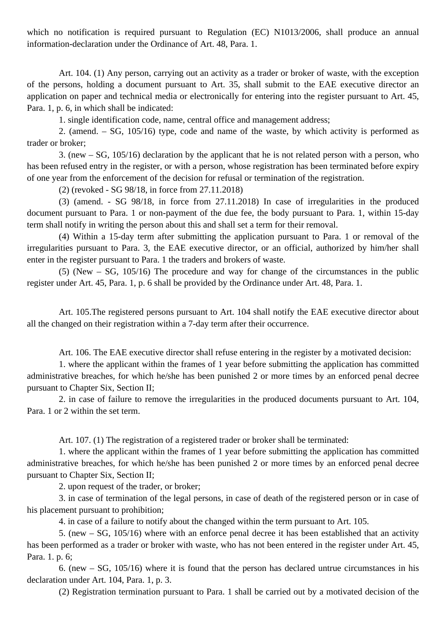which no notification is required pursuant to Regulation (EC) N1013/2006, shall produce an annual information-declaration under the Ordinance of Art. 48, Para. 1.

Art. 104. (1) Any person, carrying out an activity as a trader or broker of waste, with the exception of the persons, holding a document pursuant to Art. 35, shall submit to the EAE executive director an application on paper and technical media or electronically for entering into the register pursuant to Art. 45, Para. 1, p. 6, in which shall be indicated:

1. single identification code, name, central office and management address;

2. (amend. – SG, 105/16) type, code and name of the waste, by which activity is performed as trader or broker;

3. (new – SG, 105/16) declaration by the applicant that he is not related person with a person, who has been refused entry in the register, or with a person, whose registration has been terminated before expiry of one year from the enforcement of the decision for refusal or termination of the registration.

(2) (revoked - SG 98/18, in force from 27.11.2018)

(3) (amend. - SG 98/18, in force from 27.11.2018) In case of irregularities in the produced document pursuant to Para. 1 or non-payment of the due fee, the body pursuant to Para. 1, within 15-day term shall notify in writing the person about this and shall set a term for their removal.

(4) Within a 15-day term after submitting the application pursuant to Para. 1 or removal of the irregularities pursuant to Para. 3, the EAE executive director, or an official, authorized by him/her shall enter in the register pursuant to Para. 1 the traders and brokers of waste.

(5) (New – SG, 105/16) The procedure and way for change of the circumstances in the public register under Art. 45, Para. 1, p. 6 shall be provided by the Ordinance under Art. 48, Para. 1.

Art. 105.The registered persons pursuant to Art. 104 shall notify the EAE executive director about all the changed on their registration within a 7-day term after their occurrence.

Art. 106. The EAE executive director shall refuse entering in the register by a motivated decision:

1. where the applicant within the frames of 1 year before submitting the application has committed administrative breaches, for which he/she has been punished 2 or more times by an enforced penal decree pursuant to Chapter Six, Section II;

2. in case of failure to remove the irregularities in the produced documents pursuant to Art. 104, Para. 1 or 2 within the set term.

Art. 107. (1) The registration of a registered trader or broker shall be terminated:

1. where the applicant within the frames of 1 year before submitting the application has committed administrative breaches, for which he/she has been punished 2 or more times by an enforced penal decree pursuant to Chapter Six, Section II;

2. upon request of the trader, or broker;

3. in case of termination of the legal persons, in case of death of the registered person or in case of his placement pursuant to prohibition;

4. in case of a failure to notify about the changed within the term pursuant to Art. 105.

5. (new – SG, 105/16) where with an enforce penal decree it has been established that an activity has been performed as a trader or broker with waste, who has not been entered in the register under Art. 45, Para. 1. p. 6;

6. (new – SG, 105/16) where it is found that the person has declared untrue circumstances in his declaration under Art. 104, Para. 1, p. 3.

(2) Registration termination pursuant to Para. 1 shall be carried out by a motivated decision of the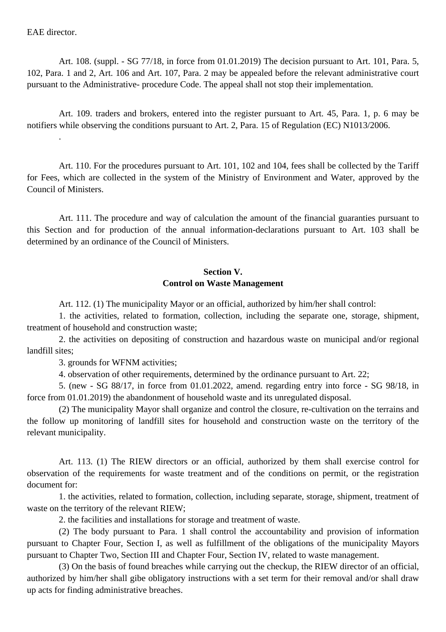EAE director.

Art. 108. (suppl. - SG 77/18, in force from 01.01.2019) The decision pursuant to Art. 101, Para. 5, 102, Para. 1 and 2, Art. 106 and Art. 107, Para. 2 may be appealed before the relevant administrative court pursuant to the Administrative- procedure Code. The appeal shall not stop their implementation.

Art. 109. traders and brokers, entered into the register pursuant to Art. 45, Para. 1, p. 6 may be notifiers while observing the conditions pursuant to Art. 2, Para. 15 of Regulation (EC) N1013/2006. .

Art. 110. For the procedures pursuant to Art. 101, 102 and 104, fees shall be collected by the Tariff for Fees, which are collected in the system of the Ministry of Environment and Water, approved by the Council of Ministers.

Art. 111. The procedure and way of calculation the amount of the financial guaranties pursuant to this Section and for production of the annual information-declarations pursuant to Art. 103 shall be determined by an ordinance of the Council of Ministers.

## **Section V. Control on Waste Management**

Art. 112. (1) The municipality Mayor or an official, authorized by him/her shall control:

1. the activities, related to formation, collection, including the separate one, storage, shipment, treatment of household and construction waste;

2. the activities on depositing of construction and hazardous waste on municipal and/or regional landfill sites;

3. grounds for WFNM activities;

4. observation of other requirements, determined by the ordinance pursuant to Art. 22;

5. (new - SG 88/17, in force from 01.01.2022, amend. regarding entry into force - SG 98/18, in force from 01.01.2019) the abandonment of household waste and its unregulated disposal.

(2) The municipality Mayor shall organize and control the closure, re-cultivation on the terrains and the follow up monitoring of landfill sites for household and construction waste on the territory of the relevant municipality.

Art. 113. (1) The RIEW directors or an official, authorized by them shall exercise control for observation of the requirements for waste treatment and of the conditions on permit, or the registration document for:

1. the activities, related to formation, collection, including separate, storage, shipment, treatment of waste on the territory of the relevant RIEW;

2. the facilities and installations for storage and treatment of waste.

(2) The body pursuant to Para. 1 shall control the accountability and provision of information pursuant to Chapter Four, Section I, as well as fulfillment of the obligations of the municipality Mayors pursuant to Chapter Two, Section III and Chapter Four, Section IV, related to waste management.

(3) On the basis of found breaches while carrying out the checkup, the RIEW director of an official, authorized by him/her shall gibe obligatory instructions with a set term for their removal and/or shall draw up acts for finding administrative breaches.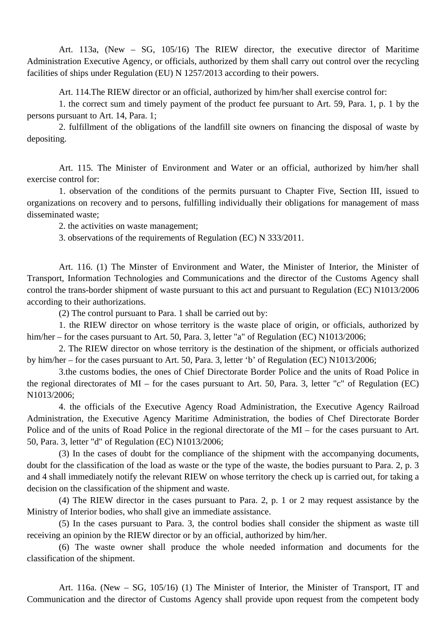Art. 113a, (New – SG, 105/16) The RIEW director, the executive director of Maritime Administration Executive Agency, or officials, authorized by them shall carry out control over the recycling facilities of ships under Regulation (EU) N 1257/2013 according to their powers.

Art. 114.The RIEW director or an official, authorized by him/her shall exercise control for:

1. the correct sum and timely payment of the product fee pursuant to Art. 59, Para. 1, p. 1 by the persons pursuant to Art. 14, Para. 1;

2. fulfillment of the obligations of the landfill site owners on financing the disposal of waste by depositing.

Art. 115. The Minister of Environment and Water or an official, authorized by him/her shall exercise control for:

1. observation of the conditions of the permits pursuant to Chapter Five, Section III, issued to organizations on recovery and to persons, fulfilling individually their obligations for management of mass disseminated waste;

2. the activities on waste management;

3. observations of the requirements of Regulation (EC) N 333/2011.

Art. 116. (1) The Minster of Environment and Water, the Minister of Interior, the Minister of Transport, Information Technologies and Communications and the director of the Customs Agency shall control the trans-border shipment of waste pursuant to this act and pursuant to Regulation (EC) N1013/2006 according to their authorizations.

(2) The control pursuant to Para. 1 shall be carried out by:

1. the RIEW director on whose territory is the waste place of origin, or officials, authorized by him/her – for the cases pursuant to Art. 50, Para. 3, letter "a" of Regulation (EC) N1013/2006;

2. The RIEW director on whose territory is the destination of the shipment, or officials authorized by him/her – for the cases pursuant to Art. 50, Para. 3, letter 'b' of Regulation (EC) N1013/2006;

3.the customs bodies, the ones of Chief Directorate Border Police and the units of Road Police in the regional directorates of MI – for the cases pursuant to Art. 50, Para. 3, letter "c" of Regulation (EC) N1013/2006;

4. the officials of the Executive Agency Road Administration, the Executive Agency Railroad Administration, the Executive Agency Maritime Administration, the bodies of Chef Directorate Border Police and of the units of Road Police in the regional directorate of the MI – for the cases pursuant to Art. 50, Para. 3, letter "d" of Regulation (EC) N1013/2006;

(3) In the cases of doubt for the compliance of the shipment with the accompanying documents, doubt for the classification of the load as waste or the type of the waste, the bodies pursuant to Para. 2, p. 3 and 4 shall immediately notify the relevant RIEW on whose territory the check up is carried out, for taking a decision on the classification of the shipment and waste.

(4) The RIEW director in the cases pursuant to Para. 2, p. 1 or 2 may request assistance by the Ministry of Interior bodies, who shall give an immediate assistance.

(5) In the cases pursuant to Para. 3, the control bodies shall consider the shipment as waste till receiving an opinion by the RIEW director or by an official, authorized by him/her.

(6) The waste owner shall produce the whole needed information and documents for the classification of the shipment.

Art. 116a. (New – SG, 105/16) (1) The Minister of Interior, the Minister of Transport, IT and Communication and the director of Customs Agency shall provide upon request from the competent body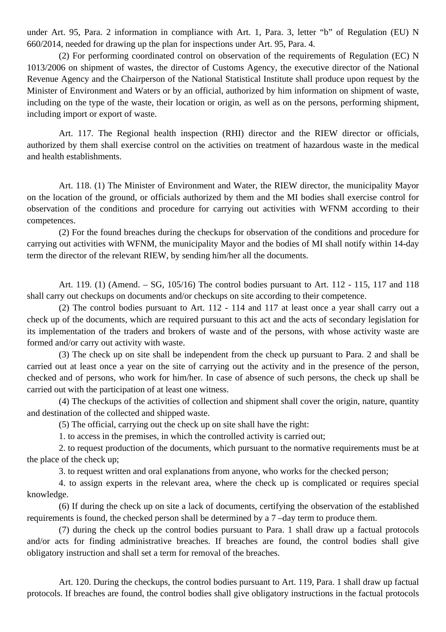under Art. 95, Para. 2 information in compliance with Art. 1, Para. 3, letter "b" of Regulation (EU) N 660/2014, needed for drawing up the plan for inspections under Art. 95, Para. 4.

(2) For performing coordinated control on observation of the requirements of Regulation (EC) N 1013/2006 on shipment of wastes, the director of Customs Agency, the executive director of the National Revenue Agency and the Chairperson of the National Statistical Institute shall produce upon request by the Minister of Environment and Waters or by an official, authorized by him information on shipment of waste, including on the type of the waste, their location or origin, as well as on the persons, performing shipment, including import or export of waste.

Art. 117. The Regional health inspection (RHI) director and the RIEW director or officials, authorized by them shall exercise control on the activities on treatment of hazardous waste in the medical and health establishments.

Art. 118. (1) The Minister of Environment and Water, the RIEW director, the municipality Mayor on the location of the ground, or officials authorized by them and the MI bodies shall exercise control for observation of the conditions and procedure for carrying out activities with WFNM according to their competences.

(2) For the found breaches during the checkups for observation of the conditions and procedure for carrying out activities with WFNM, the municipality Mayor and the bodies of MI shall notify within 14-day term the director of the relevant RIEW, by sending him/her all the documents.

Art. 119. (1) (Amend. – SG, 105/16) The control bodies pursuant to Art. 112 - 115, 117 and 118 shall carry out checkups on documents and/or checkups on site according to their competence.

(2) The control bodies pursuant to Art. 112 - 114 and 117 at least once a year shall carry out a check up of the documents, which are required pursuant to this act and the acts of secondary legislation for its implementation of the traders and brokers of waste and of the persons, with whose activity waste are formed and/or carry out activity with waste.

(3) The check up on site shall be independent from the check up pursuant to Para. 2 and shall be carried out at least once a year on the site of carrying out the activity and in the presence of the person, checked and of persons, who work for him/her. In case of absence of such persons, the check up shall be carried out with the participation of at least one witness.

(4) The checkups of the activities of collection and shipment shall cover the origin, nature, quantity and destination of the collected and shipped waste.

(5) The official, carrying out the check up on site shall have the right:

1. to access in the premises, in which the controlled activity is carried out;

2. to request production of the documents, which pursuant to the normative requirements must be at the place of the check up;

3. to request written and oral explanations from anyone, who works for the checked person;

4. to assign experts in the relevant area, where the check up is complicated or requires special knowledge.

(6) If during the check up on site a lack of documents, certifying the observation of the established requirements is found, the checked person shall be determined by a 7 –day term to produce them.

(7) during the check up the control bodies pursuant to Para. 1 shall draw up a factual protocols and/or acts for finding administrative breaches. If breaches are found, the control bodies shall give obligatory instruction and shall set a term for removal of the breaches.

Art. 120. During the checkups, the control bodies pursuant to Art. 119, Para. 1 shall draw up factual protocols. If breaches are found, the control bodies shall give obligatory instructions in the factual protocols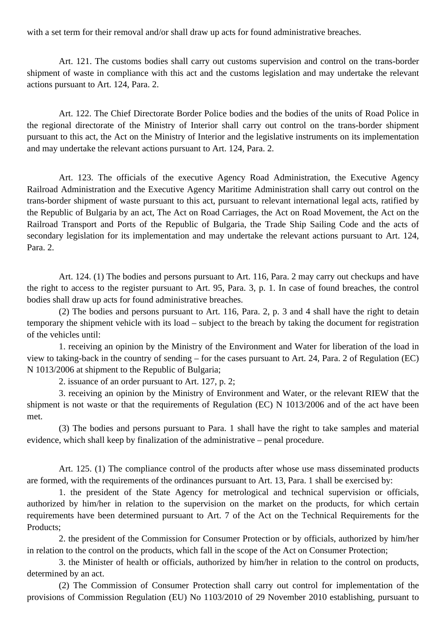with a set term for their removal and/or shall draw up acts for found administrative breaches.

Art. 121. The customs bodies shall carry out customs supervision and control on the trans-border shipment of waste in compliance with this act and the customs legislation and may undertake the relevant actions pursuant to Art. 124, Para. 2.

Art. 122. The Chief Directorate Border Police bodies and the bodies of the units of Road Police in the regional directorate of the Ministry of Interior shall carry out control on the trans-border shipment pursuant to this act, the Act on the Ministry of Interior and the legislative instruments on its implementation and may undertake the relevant actions pursuant to Art. 124, Para. 2.

Art. 123. The officials of the executive Agency Road Administration, the Executive Agency Railroad Administration and the Executive Agency Maritime Administration shall carry out control on the trans-border shipment of waste pursuant to this act, pursuant to relevant international legal acts, ratified by the Republic of Bulgaria by an act, The Act on Road Carriages, the Act on Road Movement, the Act on the Railroad Transport and Ports of the Republic of Bulgaria, the Trade Ship Sailing Code and the acts of secondary legislation for its implementation and may undertake the relevant actions pursuant to Art. 124, Para. 2.

Art. 124. (1) The bodies and persons pursuant to Art. 116, Para. 2 may carry out checkups and have the right to access to the register pursuant to Art. 95, Para. 3, p. 1. In case of found breaches, the control bodies shall draw up acts for found administrative breaches.

(2) The bodies and persons pursuant to Art. 116, Para. 2, p. 3 and 4 shall have the right to detain temporary the shipment vehicle with its load – subject to the breach by taking the document for registration of the vehicles until:

1. receiving an opinion by the Ministry of the Environment and Water for liberation of the load in view to taking-back in the country of sending – for the cases pursuant to Art. 24, Para. 2 of Regulation (EC) N 1013/2006 at shipment to the Republic of Bulgaria;

2. issuance of an order pursuant to Art. 127, p. 2;

3. receiving an opinion by the Ministry of Environment and Water, or the relevant RIEW that the shipment is not waste or that the requirements of Regulation (EC) N 1013/2006 and of the act have been met.

(3) The bodies and persons pursuant to Para. 1 shall have the right to take samples and material evidence, which shall keep by finalization of the administrative – penal procedure.

Art. 125. (1) The compliance control of the products after whose use mass disseminated products are formed, with the requirements of the ordinances pursuant to Art. 13, Para. 1 shall be exercised by:

1. the president of the State Agency for metrological and technical supervision or officials, authorized by him/her in relation to the supervision on the market on the products, for which certain requirements have been determined pursuant to Art. 7 of the Act on the Technical Requirements for the Products;

2. the president of the Commission for Consumer Protection or by officials, authorized by him/her in relation to the control on the products, which fall in the scope of the Act on Consumer Protection;

3. the Minister of health or officials, authorized by him/her in relation to the control on products, determined by an act.

(2) The Commission of Consumer Protection shall carry out control for implementation of the provisions of Commission Regulation (EU) No 1103/2010 of 29 November 2010 establishing, pursuant to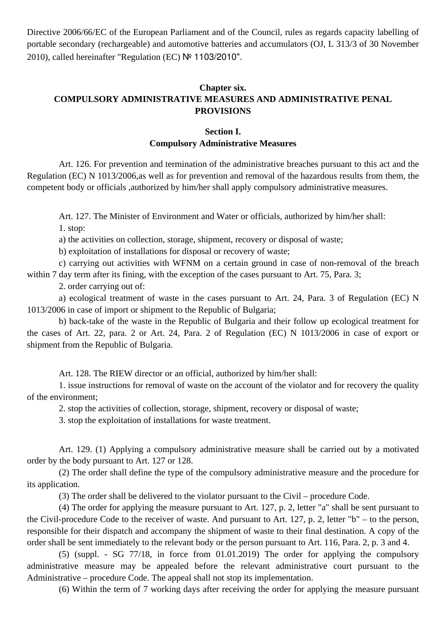Directive 2006/66/EC of the European Parliament and of the Council, rules as regards capacity labelling of portable secondary (rechargeable) and automotive batteries and accumulators (OJ, L 313/3 of 30 November 2010), called hereinafter "Regulation (EC) № 1103/2010".

# **Chapter six. COMPULSORY ADMINISTRATIVE MEASURES AND ADMINISTRATIVE PENAL PROVISIONS**

### **Section I. Compulsory Administrative Measures**

Art. 126. For prevention and termination of the administrative breaches pursuant to this act and the Regulation (EC) N 1013/2006,as well as for prevention and removal of the hazardous results from them, the competent body or officials ,authorized by him/her shall apply compulsory administrative measures.

Art. 127. The Minister of Environment and Water or officials, authorized by him/her shall: 1. stop:

a) the activities on collection, storage, shipment, recovery or disposal of waste;

b) exploitation of installations for disposal or recovery of waste;

c) carrying out activities with WFNM on a certain ground in case of non-removal of the breach within 7 day term after its fining, with the exception of the cases pursuant to Art. 75, Para. 3;

2. order carrying out of:

a) ecological treatment of waste in the cases pursuant to Art. 24, Para. 3 of Regulation (EC) N 1013/2006 in case of import or shipment to the Republic of Bulgaria;

b) back-take of the waste in the Republic of Bulgaria and their follow up ecological treatment for the cases of Art. 22, para. 2 or Art. 24, Para. 2 of Regulation (EC) N 1013/2006 in case of export or shipment from the Republic of Bulgaria.

Art. 128. The RIEW director or an official, authorized by him/her shall:

1. issue instructions for removal of waste on the account of the violator and for recovery the quality of the environment;

2. stop the activities of collection, storage, shipment, recovery or disposal of waste;

3. stop the exploitation of installations for waste treatment.

Art. 129. (1) Applying a compulsory administrative measure shall be carried out by a motivated order by the body pursuant to Art. 127 or 128.

(2) The order shall define the type of the compulsory administrative measure and the procedure for its application.

(3) The order shall be delivered to the violator pursuant to the Civil – procedure Code.

(4) The order for applying the measure pursuant to Art. 127, p. 2, letter "a" shall be sent pursuant to the Civil-procedure Code to the receiver of waste. And pursuant to Art. 127, p. 2, letter "b" – to the person, responsible for their dispatch and accompany the shipment of waste to their final destination. A copy of the order shall be sent immediately to the relevant body or the person pursuant to Art. 116, Para. 2, p. 3 and 4.

(5) (suppl. - SG 77/18, in force from 01.01.2019) The order for applying the compulsory administrative measure may be appealed before the relevant administrative court pursuant to the Administrative – procedure Code. The appeal shall not stop its implementation.

(6) Within the term of 7 working days after receiving the order for applying the measure pursuant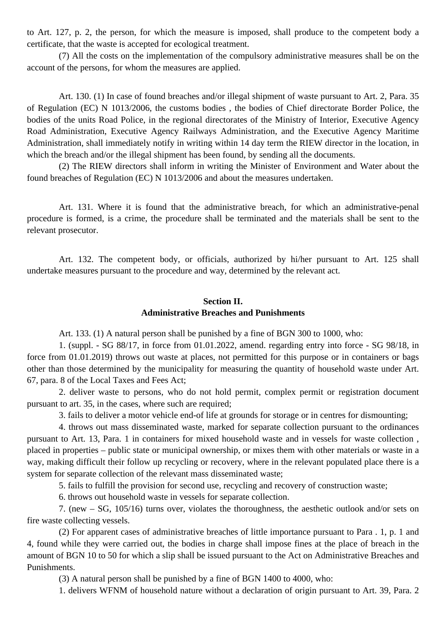to Art. 127, p. 2, the person, for which the measure is imposed, shall produce to the competent body a certificate, that the waste is accepted for ecological treatment.

(7) All the costs on the implementation of the compulsory administrative measures shall be on the account of the persons, for whom the measures are applied.

Art. 130. (1) In case of found breaches and/or illegal shipment of waste pursuant to Art. 2, Para. 35 of Regulation (EC) N 1013/2006, the customs bodies , the bodies of Chief directorate Border Police, the bodies of the units Road Police, in the regional directorates of the Ministry of Interior, Executive Agency Road Administration, Executive Agency Railways Administration, and the Executive Agency Maritime Administration, shall immediately notify in writing within 14 day term the RIEW director in the location, in which the breach and/or the illegal shipment has been found, by sending all the documents.

(2) The RIEW directors shall inform in writing the Minister of Environment and Water about the found breaches of Regulation (EC) N 1013/2006 and about the measures undertaken.

Art. 131. Where it is found that the administrative breach, for which an administrative-penal procedure is formed, is a crime, the procedure shall be terminated and the materials shall be sent to the relevant prosecutor.

Art. 132. The competent body, or officials, authorized by hi/her pursuant to Art. 125 shall undertake measures pursuant to the procedure and way, determined by the relevant act.

# **Section II. Administrative Breaches and Punishments**

Art. 133. (1) A natural person shall be punished by a fine of BGN 300 to 1000, who:

1. (suppl. - SG 88/17, in force from 01.01.2022, amend. regarding entry into force - SG 98/18, in force from 01.01.2019) throws out waste at places, not permitted for this purpose or in containers or bags other than those determined by the municipality for measuring the quantity of household waste under Art. 67, para. 8 of the Local Taxes and Fees Act;

2. deliver waste to persons, who do not hold permit, complex permit or registration document pursuant to art. 35, in the cases, where such are required;

3. fails to deliver a motor vehicle end-of life at grounds for storage or in centres for dismounting;

4. throws out mass disseminated waste, marked for separate collection pursuant to the ordinances pursuant to Art. 13, Para. 1 in containers for mixed household waste and in vessels for waste collection , placed in properties – public state or municipal ownership, or mixes them with other materials or waste in a way, making difficult their follow up recycling or recovery, where in the relevant populated place there is a system for separate collection of the relevant mass disseminated waste;

5. fails to fulfill the provision for second use, recycling and recovery of construction waste;

6. throws out household waste in vessels for separate collection.

7. (new – SG, 105/16) turns over, violates the thoroughness, the aesthetic outlook and/or sets on fire waste collecting vessels.

(2) For apparent cases of administrative breaches of little importance pursuant to Para . 1, p. 1 and 4, found while they were carried out, the bodies in charge shall impose fines at the place of breach in the amount of BGN 10 to 50 for which a slip shall be issued pursuant to the Act on Administrative Breaches and Punishments.

(3) A natural person shall be punished by a fine of BGN 1400 to 4000, who:

1. delivers WFNM of household nature without a declaration of origin pursuant to Art. 39, Para. 2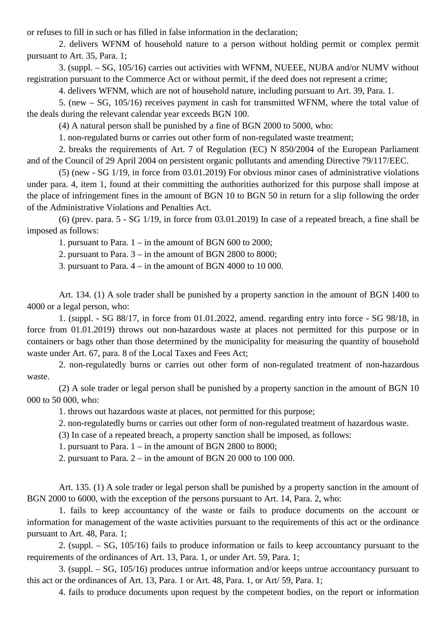or refuses to fill in such or has filled in false information in the declaration;

2. delivers WFNM of household nature to a person without holding permit or complex permit pursuant to Art. 35, Para. 1;

3. (suppl. – SG, 105/16) carries out activities with WFNM, NUEEE, NUBA and/or NUMV without registration pursuant to the Commerce Act or without permit, if the deed does not represent a crime;

4. delivers WFNM, which are not of household nature, including pursuant to Art. 39, Para. 1.

5. (new – SG, 105/16) receives payment in cash for transmitted WFNM, where the total value of the deals during the relevant calendar year exceeds BGN 100.

(4) A natural person shall be punished by a fine of BGN 2000 to 5000, who:

1. non-regulated burns or carries out other form of non-regulated waste treatment;

2. breaks the requirements of Art. 7 of Regulation (EC) N 850/2004 of the European Parliament and of the Council of 29 April 2004 on persistent organic pollutants and amending Directive 79/117/EEC.

(5) (new - SG 1/19, in force from 03.01.2019) For obvious minor cases of administrative violations under para. 4, item 1, found at their committing the authorities authorized for this purpose shall impose at the place of infringement fines in the amount of BGN 10 to BGN 50 in return for a slip following the order of the Administrative Violations and Penalties Act.

(6) (prev. para. 5 - SG 1/19, in force from 03.01.2019) In case of a repeated breach, a fine shall be imposed as follows:

1. pursuant to Para. 1 – in the amount of BGN 600 to 2000;

2. pursuant to Para. 3 – in the amount of BGN 2800 to 8000;

3. pursuant to Para. 4 – in the amount of BGN 4000 to 10 000.

Art. 134. (1) A sole trader shall be punished by a property sanction in the amount of BGN 1400 to 4000 or a legal person, who:

1. (suppl. - SG 88/17, in force from 01.01.2022, amend. regarding entry into force - SG 98/18, in force from 01.01.2019) throws out non-hazardous waste at places not permitted for this purpose or in containers or bags other than those determined by the municipality for measuring the quantity of household waste under Art. 67, para. 8 of the Local Taxes and Fees Act;

2. non-regulatedly burns or carries out other form of non-regulated treatment of non-hazardous waste.

(2) A sole trader or legal person shall be punished by a property sanction in the amount of BGN 10 000 to 50 000, who:

1. throws out hazardous waste at places, not permitted for this purpose;

2. non-regulatedly burns or carries out other form of non-regulated treatment of hazardous waste.

(3) In case of a repeated breach, a property sanction shall be imposed, as follows:

1. pursuant to Para. 1 – in the amount of BGN 2800 to 8000;

2. pursuant to Para. 2 – in the amount of BGN 20 000 to 100 000.

Art. 135. (1) A sole trader or legal person shall be punished by a property sanction in the amount of BGN 2000 to 6000, with the exception of the persons pursuant to Art. 14, Para. 2, who:

1. fails to keep accountancy of the waste or fails to produce documents on the account or information for management of the waste activities pursuant to the requirements of this act or the ordinance pursuant to Art. 48, Para. 1;

2. (suppl. – SG, 105/16) fails to produce information or fails to keep accountancy pursuant to the requirements of the ordinances of Art. 13, Para. 1, or under Art. 59, Para. 1;

3. (suppl. – SG, 105/16) produces untrue information and/or keeps untrue accountancy pursuant to this act or the ordinances of Art. 13, Para. 1 or Art. 48, Para. 1, or Art/ 59, Para. 1;

4. fails to produce documents upon request by the competent bodies, on the report or information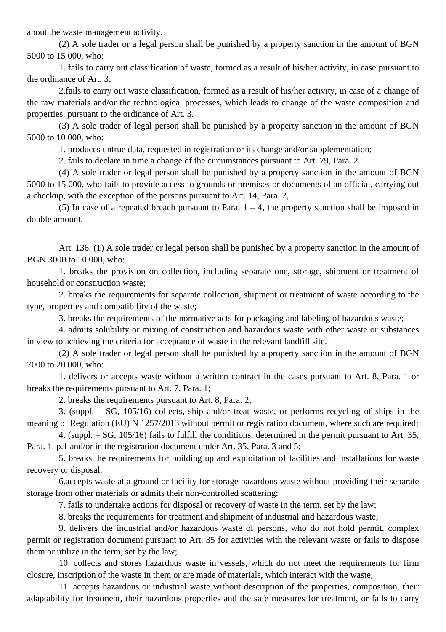about the waste management activity.

(2) A sole trader or a legal person shall be punished by a property sanction in the amount of BGN 5000 to 15 000, who:

1. fails to carry out classification of waste, formed as a result of his/her activity, in case pursuant to the ordinance of Art. 3;

2.fails to carry out waste classification, formed as a result of his/her activity, in case of a change of the raw materials and/or the technological processes, which leads to change of the waste composition and properties, pursuant to the ordinance of Art. 3.

(3) A sole trader of legal person shall be punished by a property sanction in the amount of BGN 5000 to 10 000, who:

1. produces untrue data, requested in registration or its change and/or supplementation;

2. fails to declare in time a change of the circumstances pursuant to Art. 79, Para. 2.

(4) A sole trader or legal person shall be punished by a property sanction in the amount of BGN 5000 to 15 000, who fails to provide access to grounds or premises or documents of an official, carrying out a checkup, with the exception of the persons pursuant to Art. 14, Para. 2,

(5) In case of a repeated breach pursuant to Para.  $1 - 4$ , the property sanction shall be imposed in double amount.

Art. 136. (1) A sole trader or legal person shall be punished by a property sanction in the amount of BGN 3000 to 10 000, who:

1. breaks the provision on collection, including separate one, storage, shipment or treatment of household or construction waste;

2. breaks the requirements for separate collection, shipment or treatment of waste according to the type, properties and compatibility of the waste;

3. breaks the requirements of the normative acts for packaging and labeling of hazardous waste;

4. admits solubility or mixing of construction and hazardous waste with other waste or substances in view to achieving the criteria for acceptance of waste in the relevant landfill site.

(2) A sole trader or legal person shall be punished by a property sanction in the amount of BGN 7000 to 20 000, who:

1. delivers or accepts waste without a written contract in the cases pursuant to Art. 8, Para. 1 or breaks the requirements pursuant to Art. 7, Para. 1;

2. breaks the requirements pursuant to Art. 8, Para. 2;

3. (suppl. – SG, 105/16) collects, ship and/or treat waste, or performs recycling of ships in the meaning of Regulation (EU) N 1257/2013 without permit or registration document, where such are required;

4. (suppl. – SG, 105/16) fails to fulfill the conditions, determined in the permit pursuant to Art. 35, Para. 1. p.1 and/or in the registration document under Art. 35, Para. 3 and 5;

5. breaks the requirements for building up and exploitation of facilities and installations for waste recovery or disposal;

6.accepts waste at a ground or facility for storage hazardous waste without providing their separate storage from other materials or admits their non-controlled scattering;

7. fails to undertake actions for disposal or recovery of waste in the term, set by the law;

8. breaks the requirements for treatment and shipment of industrial and hazardous waste;

9. delivers the industrial and/or hazardous waste of persons, who do not hold permit, complex permit or registration document pursuant to Art. 35 for activities with the relevant waste or fails to dispose them or utilize in the term, set by the law;

10. collects and stores hazardous waste in vessels, which do not meet the requirements for firm closure, inscription of the waste in them or are made of materials, which interact with the waste;

11. accepts hazardous or industrial waste without description of the properties, composition, their adaptability for treatment, their hazardous properties and the safe measures for treatment, or fails to carry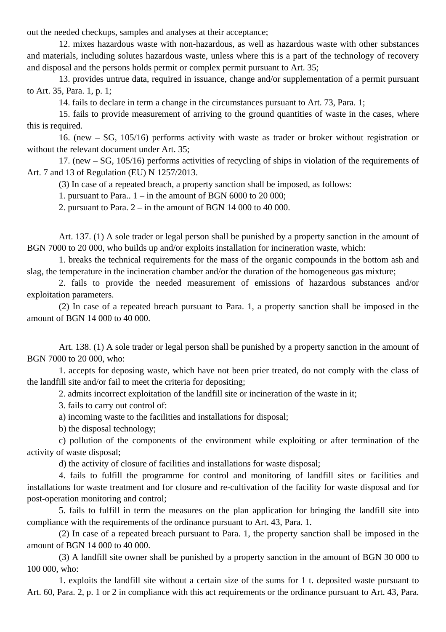out the needed checkups, samples and analyses at their acceptance;

12. mixes hazardous waste with non-hazardous, as well as hazardous waste with other substances and materials, including solutes hazardous waste, unless where this is a part of the technology of recovery and disposal and the persons holds permit or complex permit pursuant to Art. 35;

13. provides untrue data, required in issuance, change and/or supplementation of a permit pursuant to Art. 35, Para. 1, p. 1;

14. fails to declare in term a change in the circumstances pursuant to Art. 73, Para. 1;

15. fails to provide measurement of arriving to the ground quantities of waste in the cases, where this is required.

16. (new – SG, 105/16) performs activity with waste as trader or broker without registration or without the relevant document under Art. 35:

17. (new – SG, 105/16) performs activities of recycling of ships in violation of the requirements of Art. 7 and 13 of Regulation (EU) N 1257/2013.

(3) In case of a repeated breach, a property sanction shall be imposed, as follows:

1. pursuant to Para..  $1 - in$  the amount of BGN 6000 to 20 000;

2. pursuant to Para.  $2 - in$  the amount of BGN 14 000 to 40 000.

Art. 137. (1) A sole trader or legal person shall be punished by a property sanction in the amount of BGN 7000 to 20 000, who builds up and/or exploits installation for incineration waste, which:

1. breaks the technical requirements for the mass of the organic compounds in the bottom ash and slag, the temperature in the incineration chamber and/or the duration of the homogeneous gas mixture;

2. fails to provide the needed measurement of emissions of hazardous substances and/or exploitation parameters.

(2) In case of a repeated breach pursuant to Para. 1, a property sanction shall be imposed in the amount of BGN 14 000 to 40 000.

Art. 138. (1) A sole trader or legal person shall be punished by a property sanction in the amount of BGN 7000 to 20 000, who:

1. accepts for deposing waste, which have not been prier treated, do not comply with the class of the landfill site and/or fail to meet the criteria for depositing;

2. admits incorrect exploitation of the landfill site or incineration of the waste in it;

3. fails to carry out control of:

a) incoming waste to the facilities and installations for disposal;

b) the disposal technology;

c) pollution of the components of the environment while exploiting or after termination of the activity of waste disposal;

d) the activity of closure of facilities and installations for waste disposal;

4. fails to fulfill the programme for control and monitoring of landfill sites or facilities and installations for waste treatment and for closure and re-cultivation of the facility for waste disposal and for post-operation monitoring and control;

5. fails to fulfill in term the measures on the plan application for bringing the landfill site into compliance with the requirements of the ordinance pursuant to Art. 43, Para. 1.

(2) In case of a repeated breach pursuant to Para. 1, the property sanction shall be imposed in the amount of BGN 14 000 to 40 000.

(3) A landfill site owner shall be punished by a property sanction in the amount of BGN 30 000 to 100 000, who:

1. exploits the landfill site without a certain size of the sums for 1 t. deposited waste pursuant to Art. 60, Para. 2, p. 1 or 2 in compliance with this act requirements or the ordinance pursuant to Art. 43, Para.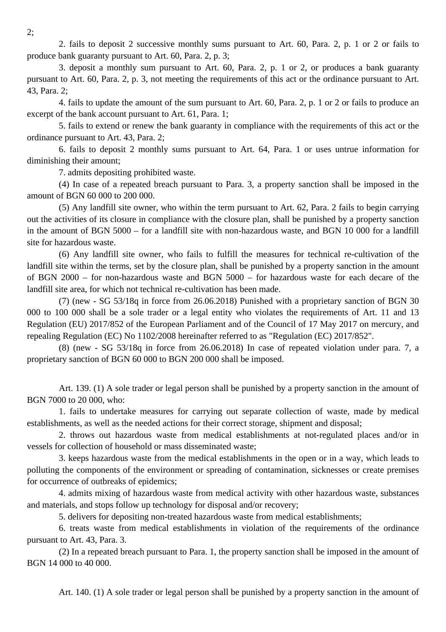2. fails to deposit 2 successive monthly sums pursuant to Art. 60, Para. 2, p. 1 or 2 or fails to produce bank guaranty pursuant to Art. 60, Para. 2, p. 3;

3. deposit a monthly sum pursuant to Art. 60, Para. 2, p. 1 or 2, or produces a bank guaranty pursuant to Art. 60, Para. 2, p. 3, not meeting the requirements of this act or the ordinance pursuant to Art. 43, Para. 2;

4. fails to update the amount of the sum pursuant to Art. 60, Para. 2, p. 1 or 2 or fails to produce an excerpt of the bank account pursuant to Art. 61, Para. 1;

5. fails to extend or renew the bank guaranty in compliance with the requirements of this act or the ordinance pursuant to Art. 43, Para. 2;

6. fails to deposit 2 monthly sums pursuant to Art. 64, Para. 1 or uses untrue information for diminishing their amount;

7. admits depositing prohibited waste.

(4) In case of a repeated breach pursuant to Para. 3, a property sanction shall be imposed in the amount of BGN 60 000 to 200 000.

(5) Any landfill site owner, who within the term pursuant to Art. 62, Para. 2 fails to begin carrying out the activities of its closure in compliance with the closure plan, shall be punished by a property sanction in the amount of BGN 5000 – for a landfill site with non-hazardous waste, and BGN 10 000 for a landfill site for hazardous waste.

(6) Any landfill site owner, who fails to fulfill the measures for technical re-cultivation of the landfill site within the terms, set by the closure plan, shall be punished by a property sanction in the amount of BGN 2000 – for non-hazardous waste and BGN 5000 – for hazardous waste for each decare of the landfill site area, for which not technical re-cultivation has been made.

(7) (new - SG 53/18q in force from 26.06.2018) Punished with a proprietary sanction of BGN 30 000 to 100 000 shall be a sole trader or a legal entity who violates the requirements of Art. 11 and 13 Regulation (EU) 2017/852 of the European Parliament and of the Council of 17 May 2017 on mercury, and repealing Regulation (EC) No 1102/2008 hereinafter referred to as "Regulation (EC) 2017/852".

(8) (new - SG 53/18q in force from 26.06.2018) In case of repeated violation under para. 7, a proprietary sanction of BGN 60 000 to BGN 200 000 shall be imposed.

Art. 139. (1) A sole trader or legal person shall be punished by a property sanction in the amount of BGN 7000 to 20 000, who:

1. fails to undertake measures for carrying out separate collection of waste, made by medical establishments, as well as the needed actions for their correct storage, shipment and disposal;

2. throws out hazardous waste from medical establishments at not-regulated places and/or in vessels for collection of household or mass disseminated waste;

3. keeps hazardous waste from the medical establishments in the open or in a way, which leads to polluting the components of the environment or spreading of contamination, sicknesses or create premises for occurrence of outbreaks of epidemics;

4. admits mixing of hazardous waste from medical activity with other hazardous waste, substances and materials, and stops follow up technology for disposal and/or recovery;

5. delivers for depositing non-treated hazardous waste from medical establishments;

6. treats waste from medical establishments in violation of the requirements of the ordinance pursuant to Art. 43, Para. 3.

(2) In a repeated breach pursuant to Para. 1, the property sanction shall be imposed in the amount of BGN 14 000 to 40 000.

Art. 140. (1) A sole trader or legal person shall be punished by a property sanction in the amount of

2;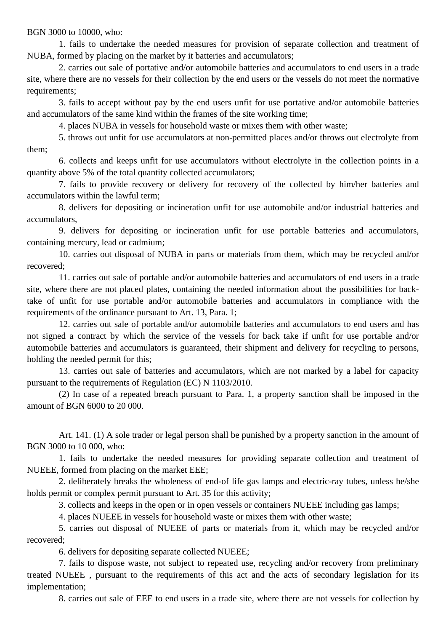BGN 3000 to 10000, who:

1. fails to undertake the needed measures for provision of separate collection and treatment of NUBA, formed by placing on the market by it batteries and accumulators;

2. carries out sale of portative and/or automobile batteries and accumulators to end users in a trade site, where there are no vessels for their collection by the end users or the vessels do not meet the normative requirements;

3. fails to accept without pay by the end users unfit for use portative and/or automobile batteries and accumulators of the same kind within the frames of the site working time;

4. places NUBA in vessels for household waste or mixes them with other waste;

5. throws out unfit for use accumulators at non-permitted places and/or throws out electrolyte from them;

6. collects and keeps unfit for use accumulators without electrolyte in the collection points in a quantity above 5% of the total quantity collected accumulators;

7. fails to provide recovery or delivery for recovery of the collected by him/her batteries and accumulators within the lawful term;

8. delivers for depositing or incineration unfit for use automobile and/or industrial batteries and accumulators,

9. delivers for depositing or incineration unfit for use portable batteries and accumulators, containing mercury, lead or cadmium;

10. carries out disposal of NUBA in parts or materials from them, which may be recycled and/or recovered;

11. carries out sale of portable and/or automobile batteries and accumulators of end users in a trade site, where there are not placed plates, containing the needed information about the possibilities for backtake of unfit for use portable and/or automobile batteries and accumulators in compliance with the requirements of the ordinance pursuant to Art. 13, Para. 1;

12. carries out sale of portable and/or automobile batteries and accumulators to end users and has not signed a contract by which the service of the vessels for back take if unfit for use portable and/or automobile batteries and accumulators is guaranteed, their shipment and delivery for recycling to persons, holding the needed permit for this;

13. carries out sale of batteries and accumulators, which are not marked by a label for capacity pursuant to the requirements of Regulation (EC) N 1103/2010.

(2) In case of a repeated breach pursuant to Para. 1, a property sanction shall be imposed in the amount of BGN 6000 to 20 000.

Art. 141. (1) A sole trader or legal person shall be punished by a property sanction in the amount of BGN 3000 to 10 000, who:

1. fails to undertake the needed measures for providing separate collection and treatment of NUEEE, formed from placing on the market EEE;

2. deliberately breaks the wholeness of end-of life gas lamps and electric-ray tubes, unless he/she holds permit or complex permit pursuant to Art. 35 for this activity;

3. collects and keeps in the open or in open vessels or containers NUEEE including gas lamps;

4. places NUEEE in vessels for household waste or mixes them with other waste;

5. carries out disposal of NUEEE of parts or materials from it, which may be recycled and/or recovered;

6. delivers for depositing separate collected NUEEE;

7. fails to dispose waste, not subject to repeated use, recycling and/or recovery from preliminary treated NUEEE , pursuant to the requirements of this act and the acts of secondary legislation for its implementation;

8. carries out sale of EEE to end users in a trade site, where there are not vessels for collection by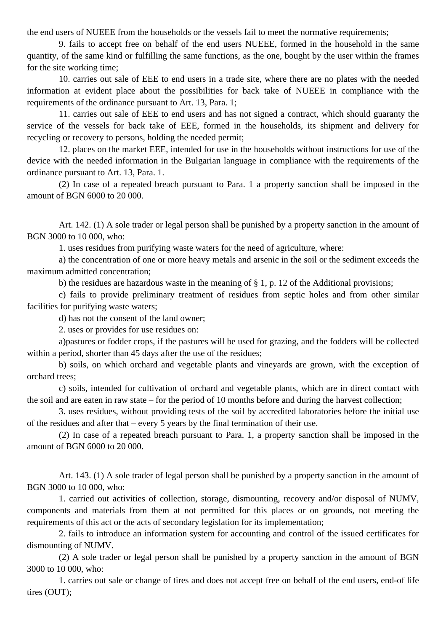the end users of NUEEE from the households or the vessels fail to meet the normative requirements;

9. fails to accept free on behalf of the end users NUEEE, formed in the household in the same quantity, of the same kind or fulfilling the same functions, as the one, bought by the user within the frames for the site working time;

10. carries out sale of EEE to end users in a trade site, where there are no plates with the needed information at evident place about the possibilities for back take of NUEEE in compliance with the requirements of the ordinance pursuant to Art. 13, Para. 1;

11. carries out sale of EEE to end users and has not signed a contract, which should guaranty the service of the vessels for back take of EEE, formed in the households, its shipment and delivery for recycling or recovery to persons, holding the needed permit;

12. places on the market EEE, intended for use in the households without instructions for use of the device with the needed information in the Bulgarian language in compliance with the requirements of the ordinance pursuant to Art. 13, Para. 1.

(2) In case of a repeated breach pursuant to Para. 1 a property sanction shall be imposed in the amount of BGN 6000 to 20 000.

Art. 142. (1) A sole trader or legal person shall be punished by a property sanction in the amount of BGN 3000 to 10 000, who:

1. uses residues from purifying waste waters for the need of agriculture, where:

a) the concentration of one or more heavy metals and arsenic in the soil or the sediment exceeds the maximum admitted concentration;

b) the residues are hazardous waste in the meaning of § 1, p. 12 of the Additional provisions;

c) fails to provide preliminary treatment of residues from septic holes and from other similar facilities for purifying waste waters;

d) has not the consent of the land owner;

2. uses or provides for use residues on:

a)pastures or fodder crops, if the pastures will be used for grazing, and the fodders will be collected within a period, shorter than 45 days after the use of the residues;

b) soils, on which orchard and vegetable plants and vineyards are grown, with the exception of orchard trees;

c) soils, intended for cultivation of orchard and vegetable plants, which are in direct contact with the soil and are eaten in raw state – for the period of 10 months before and during the harvest collection;

3. uses residues, without providing tests of the soil by accredited laboratories before the initial use of the residues and after that – every 5 years by the final termination of their use.

(2) In case of a repeated breach pursuant to Para. 1, a property sanction shall be imposed in the amount of BGN 6000 to 20 000.

Art. 143. (1) A sole trader of legal person shall be punished by a property sanction in the amount of BGN 3000 to 10 000, who:

1. carried out activities of collection, storage, dismounting, recovery and/or disposal of NUMV, components and materials from them at not permitted for this places or on grounds, not meeting the requirements of this act or the acts of secondary legislation for its implementation;

2. fails to introduce an information system for accounting and control of the issued certificates for dismounting of NUMV.

(2) A sole trader or legal person shall be punished by a property sanction in the amount of BGN 3000 to 10 000, who:

1. carries out sale or change of tires and does not accept free on behalf of the end users, end-of life tires (OUT);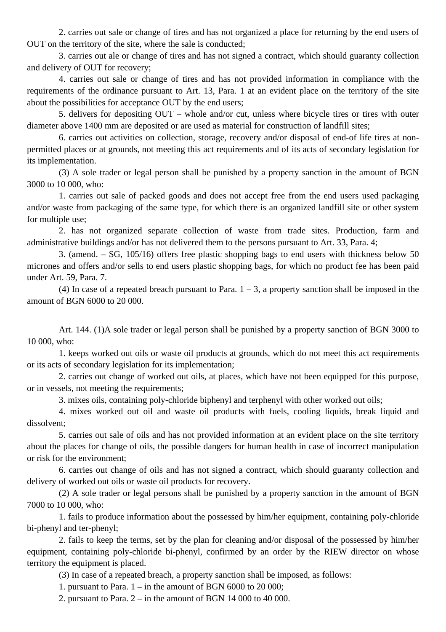2. carries out sale or change of tires and has not organized a place for returning by the end users of OUT on the territory of the site, where the sale is conducted;

3. carries out ale or change of tires and has not signed a contract, which should guaranty collection and delivery of OUT for recovery;

4. carries out sale or change of tires and has not provided information in compliance with the requirements of the ordinance pursuant to Art. 13, Para. 1 at an evident place on the territory of the site about the possibilities for acceptance OUT by the end users;

5. delivers for depositing OUT – whole and/or cut, unless where bicycle tires or tires with outer diameter above 1400 mm are deposited or are used as material for construction of landfill sites;

6. carries out activities on collection, storage, recovery and/or disposal of end-of life tires at nonpermitted places or at grounds, not meeting this act requirements and of its acts of secondary legislation for its implementation.

(3) A sole trader or legal person shall be punished by a property sanction in the amount of BGN 3000 to 10 000, who:

1. carries out sale of packed goods and does not accept free from the end users used packaging and/or waste from packaging of the same type, for which there is an organized landfill site or other system for multiple use;

2. has not organized separate collection of waste from trade sites. Production, farm and administrative buildings and/or has not delivered them to the persons pursuant to Art. 33, Para. 4;

3. (amend. – SG, 105/16) offers free plastic shopping bags to end users with thickness below 50 micrones and offers and/or sells to end users plastic shopping bags, for which no product fee has been paid under Art. 59, Para. 7.

(4) In case of a repeated breach pursuant to Para.  $1 - 3$ , a property sanction shall be imposed in the amount of BGN 6000 to 20 000.

Art. 144. (1)A sole trader or legal person shall be punished by a property sanction of BGN 3000 to 10 000, who:

1. keeps worked out oils or waste oil products at grounds, which do not meet this act requirements or its acts of secondary legislation for its implementation;

2. carries out change of worked out oils, at places, which have not been equipped for this purpose, or in vessels, not meeting the requirements;

3. mixes oils, containing poly-chloride biphenyl and terphenyl with other worked out oils;

4. mixes worked out oil and waste oil products with fuels, cooling liquids, break liquid and dissolvent;

5. carries out sale of oils and has not provided information at an evident place on the site territory about the places for change of oils, the possible dangers for human health in case of incorrect manipulation or risk for the environment;

6. carries out change of oils and has not signed a contract, which should guaranty collection and delivery of worked out oils or waste oil products for recovery.

(2) A sole trader or legal persons shall be punished by a property sanction in the amount of BGN 7000 to 10 000, who:

1. fails to produce information about the possessed by him/her equipment, containing poly-chloride bi-phenyl and ter-phenyl;

2. fails to keep the terms, set by the plan for cleaning and/or disposal of the possessed by him/her equipment, containing poly-chloride bi-phenyl, confirmed by an order by the RIEW director on whose territory the equipment is placed.

(3) In case of a repeated breach, a property sanction shall be imposed, as follows:

1. pursuant to Para. 1 – in the amount of BGN 6000 to 20 000;

2. pursuant to Para. 2 – in the amount of BGN 14 000 to 40 000.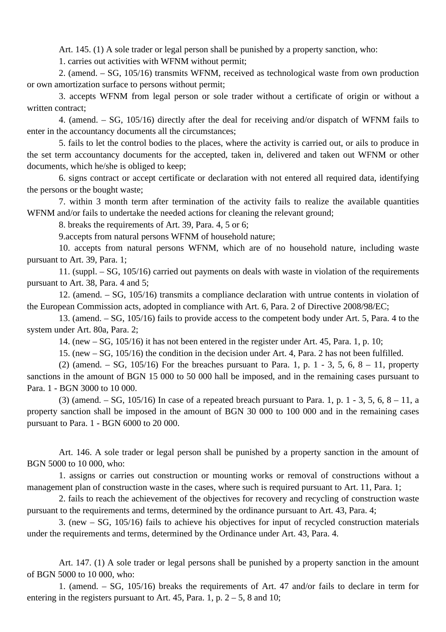Art. 145. (1) A sole trader or legal person shall be punished by a property sanction, who:

1. carries out activities with WFNM without permit;

2. (amend. – SG, 105/16) transmits WFNM, received as technological waste from own production or own amortization surface to persons without permit;

3. accepts WFNM from legal person or sole trader without a certificate of origin or without a written contract;

4. (amend. – SG, 105/16) directly after the deal for receiving and/or dispatch of WFNM fails to enter in the accountancy documents all the circumstances;

5. fails to let the control bodies to the places, where the activity is carried out, or ails to produce in the set term accountancy documents for the accepted, taken in, delivered and taken out WFNM or other documents, which he/she is obliged to keep;

6. signs contract or accept certificate or declaration with not entered all required data, identifying the persons or the bought waste;

7. within 3 month term after termination of the activity fails to realize the available quantities WFNM and/or fails to undertake the needed actions for cleaning the relevant ground;

8. breaks the requirements of Art. 39, Para. 4, 5 or 6;

9.accepts from natural persons WFNM of household nature;

10. accepts from natural persons WFNM, which are of no household nature, including waste pursuant to Art. 39, Para. 1;

11. (suppl. – SG, 105/16) carried out payments on deals with waste in violation of the requirements pursuant to Art. 38, Para. 4 and 5;

12. (amend. – SG, 105/16) transmits a compliance declaration with untrue contents in violation of the European Commission acts, adopted in compliance with Art. 6, Para. 2 of Directive 2008/98/EC;

13. (amend. – SG, 105/16) fails to provide access to the competent body under Art. 5, Para. 4 to the system under Art. 80a, Para. 2;

14. (new – SG, 105/16) it has not been entered in the register under Art. 45, Para. 1, p. 10;

15. (new – SG, 105/16) the condition in the decision under Art. 4, Para. 2 has not been fulfilled.

(2) (amend. – SG,  $105/16$ ) For the breaches pursuant to Para. 1, p. 1 - 3, 5, 6, 8 – 11, property sanctions in the amount of BGN 15 000 to 50 000 hall be imposed, and in the remaining cases pursuant to Para. 1 - BGN 3000 to 10 000.

(3) (amend. – SG, 105/16) In case of a repeated breach pursuant to Para. 1, p. 1 - 3, 5, 6, 8 – 11, a property sanction shall be imposed in the amount of BGN 30 000 to 100 000 and in the remaining cases pursuant to Para. 1 - BGN 6000 to 20 000.

Art. 146. A sole trader or legal person shall be punished by a property sanction in the amount of BGN 5000 to 10 000, who:

1. assigns or carries out construction or mounting works or removal of constructions without a management plan of construction waste in the cases, where such is required pursuant to Art. 11, Para. 1;

2. fails to reach the achievement of the objectives for recovery and recycling of construction waste pursuant to the requirements and terms, determined by the ordinance pursuant to Art. 43, Para. 4;

3. (new – SG, 105/16) fails to achieve his objectives for input of recycled construction materials under the requirements and terms, determined by the Ordinance under Art. 43, Para. 4.

Art. 147. (1) A sole trader or legal persons shall be punished by a property sanction in the amount of BGN 5000 to 10 000, who:

1. (amend. – SG, 105/16) breaks the requirements of Art. 47 and/or fails to declare in term for entering in the registers pursuant to Art. 45, Para. 1, p.  $2 - 5$ , 8 and 10;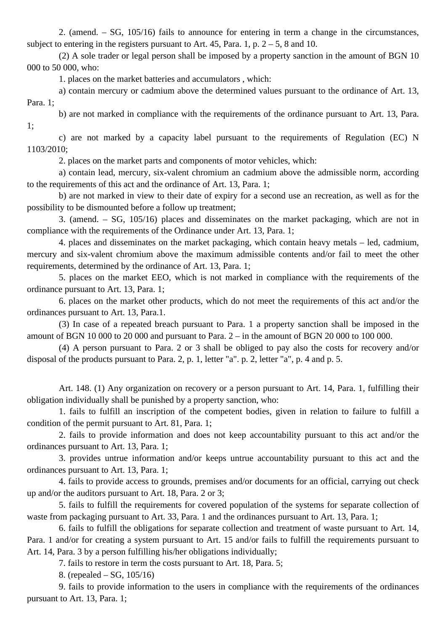2. (amend. – SG, 105/16) fails to announce for entering in term a change in the circumstances, subject to entering in the registers pursuant to Art. 45, Para. 1, p.  $2 - 5$ , 8 and 10.

(2) A sole trader or legal person shall be imposed by a property sanction in the amount of BGN 10 000 to 50 000, who:

1. places on the market batteries and accumulators , which:

a) contain mercury or cadmium above the determined values pursuant to the ordinance of Art. 13, Para. 1;

b) are not marked in compliance with the requirements of the ordinance pursuant to Art. 13, Para. 1;

c) are not marked by a capacity label pursuant to the requirements of Regulation (EC) N 1103/2010;

2. places on the market parts and components of motor vehicles, which:

a) contain lead, mercury, six-valent chromium an cadmium above the admissible norm, according to the requirements of this act and the ordinance of Art. 13, Para. 1;

b) are not marked in view to their date of expiry for a second use an recreation, as well as for the possibility to be dismounted before a follow up treatment;

3. (amend. – SG, 105/16) places and disseminates on the market packaging, which are not in compliance with the requirements of the Ordinance under Art. 13, Para. 1;

4. places and disseminates on the market packaging, which contain heavy metals – led, cadmium, mercury and six-valent chromium above the maximum admissible contents and/or fail to meet the other requirements, determined by the ordinance of Art. 13, Para. 1;

5. places on the market EEO, which is not marked in compliance with the requirements of the ordinance pursuant to Art. 13, Para. 1;

6. places on the market other products, which do not meet the requirements of this act and/or the ordinances pursuant to Art. 13, Para.1.

(3) In case of a repeated breach pursuant to Para. 1 a property sanction shall be imposed in the amount of BGN 10 000 to 20 000 and pursuant to Para. 2 – in the amount of BGN 20 000 to 100 000.

(4) A person pursuant to Para. 2 or 3 shall be obliged to pay also the costs for recovery and/or disposal of the products pursuant to Para. 2, p. 1, letter "a". p. 2, letter "a", p. 4 and p. 5.

Art. 148. (1) Any organization on recovery or a person pursuant to Art. 14, Para. 1, fulfilling their obligation individually shall be punished by a property sanction, who:

1. fails to fulfill an inscription of the competent bodies, given in relation to failure to fulfill a condition of the permit pursuant to Art. 81, Para. 1;

2. fails to provide information and does not keep accountability pursuant to this act and/or the ordinances pursuant to Art. 13, Para. 1;

3. provides untrue information and/or keeps untrue accountability pursuant to this act and the ordinances pursuant to Art. 13, Para. 1;

4. fails to provide access to grounds, premises and/or documents for an official, carrying out check up and/or the auditors pursuant to Art. 18, Para. 2 or 3;

5. fails to fulfill the requirements for covered population of the systems for separate collection of waste from packaging pursuant to Art. 33, Para. 1 and the ordinances pursuant to Art. 13, Para. 1;

6. fails to fulfill the obligations for separate collection and treatment of waste pursuant to Art. 14, Para. 1 and/or for creating a system pursuant to Art. 15 and/or fails to fulfill the requirements pursuant to Art. 14, Para. 3 by a person fulfilling his/her obligations individually;

7. fails to restore in term the costs pursuant to Art. 18, Para. 5;

8. (repealed – SG, 105/16)

9. fails to provide information to the users in compliance with the requirements of the ordinances pursuant to Art. 13, Para. 1;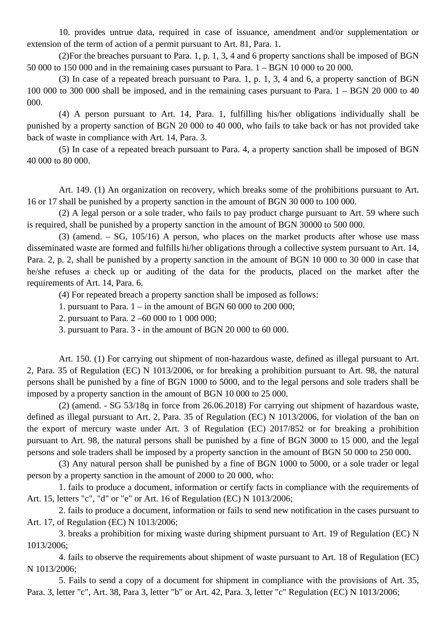10. provides untrue data, required in case of issuance, amendment and/or supplementation or extension of the term of action of a permit pursuant to Art. 81, Para. 1.

(2)For the breaches pursuant to Para. 1, p. 1, 3, 4 and 6 property sanctions shall be imposed of BGN 50 000 to 150 000 and in the remaining cases pursuant to Para. 1 – BGN 10 000 to 20 000.

(3) In case of a repeated breach pursuant to Para. 1, p. 1, 3, 4 and 6, a property sanction of BGN 100 000 to 300 000 shall be imposed, and in the remaining cases pursuant to Para. 1 – BGN 20 000 to 40 000.

(4) A person pursuant to Art. 14, Para. 1, fulfilling his/her obligations individually shall be punished by a property sanction of BGN 20 000 to 40 000, who fails to take back or has not provided take back of waste in compliance with Art. 14, Para. 3.

(5) In case of a repeated breach pursuant to Para. 4, a property sanction shall be imposed of BGN 40 000 to 80 000.

Art. 149. (1) An organization on recovery, which breaks some of the prohibitions pursuant to Art. 16 or 17 shall be punished by a property sanction in the amount of BGN 30 000 to 100 000.

(2) A legal person or a sole trader, who fails to pay product charge pursuant to Art. 59 where such is required, shall be punished by a property sanction in the amount of BGN 30000 to 500 000.

(3) (amend. – SG, 105/16) A person, who places on the market products after whose use mass disseminated waste are formed and fulfills hi/her obligations through a collective system pursuant to Art. 14, Para. 2, p. 2, shall be punished by a property sanction in the amount of BGN 10 000 to 30 000 in case that he/she refuses a check up or auditing of the data for the products, placed on the market after the requirements of Art. 14, Para. 6.

(4) For repeated breach a property sanction shall be imposed as follows:

1. pursuant to Para. 1 – in the amount of BGN 60 000 to 200 000;

2. pursuant to Para. 2 –60 000 to 1 000 000;

3. pursuant to Para. 3 - in the amount of BGN 20 000 to 60 000.

Art. 150. (1) For carrying out shipment of non-hazardous waste, defined as illegal pursuant to Art. 2, Para. 35 of Regulation (EC) N 1013/2006, or for breaking a prohibition pursuant to Art. 98, the natural persons shall be punished by a fine of BGN 1000 to 5000, and to the legal persons and sole traders shall be imposed by a property sanction in the amount of BGN 10 000 to 25 000.

(2) (amend. - SG 53/18q in force from 26.06.2018) For carrying out shipment of hazardous waste, defined as illegal pursuant to Art. 2, Para. 35 of Regulation (EC) N 1013/2006, for violation of the ban on the export of mercury waste under Art. 3 of Regulation (EC) 2017/852 or for breaking a prohibition pursuant to Art. 98, the natural persons shall be punished by a fine of BGN 3000 to 15 000, and the legal persons and sole traders shall be imposed by a property sanction in the amount of BGN 50 000 to 250 000.

(3) Any natural person shall be punished by a fine of BGN 1000 to 5000, or a sole trader or legal person by a property sanction in the amount of 2000 to 20 000, who:

1. fails to produce a document, information or certify facts in compliance with the requirements of Art. 15, letters "c", "d" or "e" or Art. 16 of Regulation (EC) N 1013/2006;

2. fails to produce a document, information or fails to send new notification in the cases pursuant to Art. 17, of Regulation (EC) N 1013/2006;

3. breaks a prohibition for mixing waste during shipment pursuant to Art. 19 of Regulation (EC) N 1013/2006;

4. fails to observe the requirements about shipment of waste pursuant to Art. 18 of Regulation (EC) N 1013/2006;

5. Fails to send a copy of a document for shipment in compliance with the provisions of Art. 35, Para. 3, letter "c", Art. 38, Para 3, letter "b" or Art. 42, Para. 3, letter "c" Regulation (EC) N 1013/2006;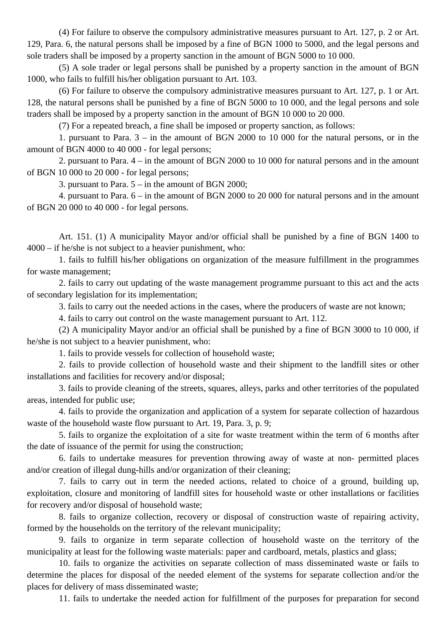(4) For failure to observe the compulsory administrative measures pursuant to Art. 127, p. 2 or Art. 129, Para. 6, the natural persons shall be imposed by a fine of BGN 1000 to 5000, and the legal persons and sole traders shall be imposed by a property sanction in the amount of BGN 5000 to 10 000.

(5) A sole trader or legal persons shall be punished by a property sanction in the amount of BGN 1000, who fails to fulfill his/her obligation pursuant to Art. 103.

(6) For failure to observe the compulsory administrative measures pursuant to Art. 127, p. 1 or Art. 128, the natural persons shall be punished by a fine of BGN 5000 to 10 000, and the legal persons and sole traders shall be imposed by a property sanction in the amount of BGN 10 000 to 20 000.

(7) For a repeated breach, a fine shall be imposed or property sanction, as follows:

1. pursuant to Para. 3 – in the amount of BGN 2000 to 10 000 for the natural persons, or in the amount of BGN 4000 to 40 000 - for legal persons;

2. pursuant to Para. 4 – in the amount of BGN 2000 to 10 000 for natural persons and in the amount of BGN 10 000 to 20 000 - for legal persons;

3. pursuant to Para. 5 – in the amount of BGN 2000;

4. pursuant to Para. 6 – in the amount of BGN 2000 to 20 000 for natural persons and in the amount of BGN 20 000 to 40 000 - for legal persons.

Art. 151. (1) A municipality Mayor and/or official shall be punished by a fine of BGN 1400 to 4000 – if he/she is not subject to a heavier punishment, who:

1. fails to fulfill his/her obligations on organization of the measure fulfillment in the programmes for waste management;

2. fails to carry out updating of the waste management programme pursuant to this act and the acts of secondary legislation for its implementation;

3. fails to carry out the needed actions in the cases, where the producers of waste are not known;

4. fails to carry out control on the waste management pursuant to Art. 112.

(2) A municipality Mayor and/or an official shall be punished by a fine of BGN 3000 to 10 000, if he/she is not subject to a heavier punishment, who:

1. fails to provide vessels for collection of household waste;

2. fails to provide collection of household waste and their shipment to the landfill sites or other installations and facilities for recovery and/or disposal;

3. fails to provide cleaning of the streets, squares, alleys, parks and other territories of the populated areas, intended for public use;

4. fails to provide the organization and application of a system for separate collection of hazardous waste of the household waste flow pursuant to Art. 19, Para. 3, p. 9;

5. fails to organize the exploitation of a site for waste treatment within the term of 6 months after the date of issuance of the permit for using the construction;

6. fails to undertake measures for prevention throwing away of waste at non- permitted places and/or creation of illegal dung-hills and/or organization of their cleaning;

7. fails to carry out in term the needed actions, related to choice of a ground, building up, exploitation, closure and monitoring of landfill sites for household waste or other installations or facilities for recovery and/or disposal of household waste;

8. fails to organize collection, recovery or disposal of construction waste of repairing activity, formed by the households on the territory of the relevant municipality;

9. fails to organize in term separate collection of household waste on the territory of the municipality at least for the following waste materials: paper and cardboard, metals, plastics and glass;

10. fails to organize the activities on separate collection of mass disseminated waste or fails to determine the places for disposal of the needed element of the systems for separate collection and/or the places for delivery of mass disseminated waste;

11. fails to undertake the needed action for fulfillment of the purposes for preparation for second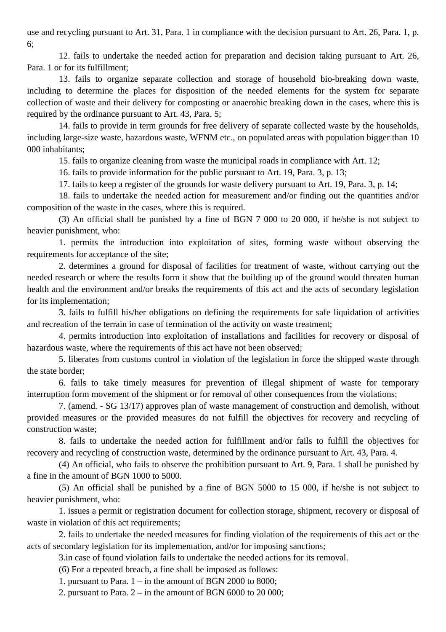use and recycling pursuant to Art. 31, Para. 1 in compliance with the decision pursuant to Art. 26, Para. 1, p. 6;

12. fails to undertake the needed action for preparation and decision taking pursuant to Art. 26, Para. 1 or for its fulfillment;

13. fails to organize separate collection and storage of household bio-breaking down waste, including to determine the places for disposition of the needed elements for the system for separate collection of waste and their delivery for composting or anaerobic breaking down in the cases, where this is required by the ordinance pursuant to Art. 43, Para. 5;

14. fails to provide in term grounds for free delivery of separate collected waste by the households, including large-size waste, hazardous waste, WFNM etc., on populated areas with population bigger than 10 000 inhabitants;

15. fails to organize cleaning from waste the municipal roads in compliance with Art. 12;

16. fails to provide information for the public pursuant to Art. 19, Para. 3, p. 13;

17. fails to keep a register of the grounds for waste delivery pursuant to Art. 19, Para. 3, p. 14;

18. fails to undertake the needed action for measurement and/or finding out the quantities and/or composition of the waste in the cases, where this is required.

(3) An official shall be punished by a fine of BGN 7 000 to 20 000, if he/she is not subject to heavier punishment, who:

1. permits the introduction into exploitation of sites, forming waste without observing the requirements for acceptance of the site;

2. determines a ground for disposal of facilities for treatment of waste, without carrying out the needed research or where the results form it show that the building up of the ground would threaten human health and the environment and/or breaks the requirements of this act and the acts of secondary legislation for its implementation;

3. fails to fulfill his/her obligations on defining the requirements for safe liquidation of activities and recreation of the terrain in case of termination of the activity on waste treatment;

4. permits introduction into exploitation of installations and facilities for recovery or disposal of hazardous waste, where the requirements of this act have not been observed;

5. liberates from customs control in violation of the legislation in force the shipped waste through the state border;

6. fails to take timely measures for prevention of illegal shipment of waste for temporary interruption form movement of the shipment or for removal of other consequences from the violations;

7. (amend. - SG 13/17) approves plan of waste management of construction and demolish, without provided measures or the provided measures do not fulfill the objectives for recovery and recycling of construction waste;

8. fails to undertake the needed action for fulfillment and/or fails to fulfill the objectives for recovery and recycling of construction waste, determined by the ordinance pursuant to Art. 43, Para. 4.

(4) An official, who fails to observe the prohibition pursuant to Art. 9, Para. 1 shall be punished by a fine in the amount of BGN 1000 to 5000.

(5) An official shall be punished by a fine of BGN 5000 to 15 000, if he/she is not subject to heavier punishment, who:

1. issues a permit or registration document for collection storage, shipment, recovery or disposal of waste in violation of this act requirements;

2. fails to undertake the needed measures for finding violation of the requirements of this act or the acts of secondary legislation for its implementation, and/or for imposing sanctions;

3.in case of found violation fails to undertake the needed actions for its removal.

(6) For a repeated breach, a fine shall be imposed as follows:

1. pursuant to Para. 1 – in the amount of BGN 2000 to 8000;

2. pursuant to Para.  $2 - in$  the amount of BGN 6000 to 20 000;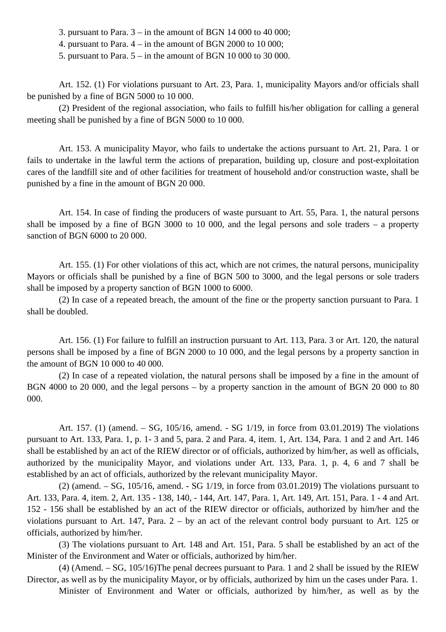3. pursuant to Para.  $3 -$ in the amount of BGN 14 000 to 40 000;

4. pursuant to Para. 4 – in the amount of BGN 2000 to 10 000;

5. pursuant to Para. 5 – in the amount of BGN 10 000 to 30 000.

Art. 152. (1) For violations pursuant to Art. 23, Para. 1, municipality Mayors and/or officials shall be punished by a fine of BGN 5000 to 10 000.

(2) President of the regional association, who fails to fulfill his/her obligation for calling a general meeting shall be punished by a fine of BGN 5000 to 10 000.

Art. 153. A municipality Mayor, who fails to undertake the actions pursuant to Art. 21, Para. 1 or fails to undertake in the lawful term the actions of preparation, building up, closure and post-exploitation cares of the landfill site and of other facilities for treatment of household and/or construction waste, shall be punished by a fine in the amount of BGN 20 000.

Art. 154. In case of finding the producers of waste pursuant to Art. 55, Para. 1, the natural persons shall be imposed by a fine of BGN 3000 to 10 000, and the legal persons and sole traders – a property sanction of BGN 6000 to 20 000.

Art. 155. (1) For other violations of this act, which are not crimes, the natural persons, municipality Mayors or officials shall be punished by a fine of BGN 500 to 3000, and the legal persons or sole traders shall be imposed by a property sanction of BGN 1000 to 6000.

(2) In case of a repeated breach, the amount of the fine or the property sanction pursuant to Para. 1 shall be doubled.

Art. 156. (1) For failure to fulfill an instruction pursuant to Art. 113, Para. 3 or Art. 120, the natural persons shall be imposed by a fine of BGN 2000 to 10 000, and the legal persons by a property sanction in the amount of BGN 10 000 to 40 000.

(2) In case of a repeated violation, the natural persons shall be imposed by a fine in the amount of BGN 4000 to 20 000, and the legal persons – by a property sanction in the amount of BGN 20 000 to 80 000.

Art. 157. (1) (amend. – SG, 105/16, amend. - SG 1/19, in force from 03.01.2019) The violations pursuant to Art. 133, Para. 1, p. 1- 3 and 5, para. 2 and Para. 4, item. 1, Art. 134, Para. 1 and 2 and Art. 146 shall be established by an act of the RIEW director or of officials, authorized by him/her, as well as officials, authorized by the municipality Mayor, and violations under Art. 133, Para. 1, p. 4, 6 and 7 shall be established by an act of officials, authorized by the relevant municipality Mayor.

 $(2)$  (amend.  $-$  SG, 105/16, amend.  $-$  SG 1/19, in force from 03.01.2019) The violations pursuant to Art. 133, Para. 4, item. 2, Art. 135 - 138, 140, - 144, Art. 147, Para. 1, Art. 149, Art. 151, Para. 1 - 4 and Art. 152 - 156 shall be established by an act of the RIEW director or officials, authorized by him/her and the violations pursuant to Art. 147, Para. 2 – by an act of the relevant control body pursuant to Art. 125 or officials, authorized by him/her.

(3) The violations pursuant to Art. 148 and Art. 151, Para. 5 shall be established by an act of the Minister of the Environment and Water or officials, authorized by him/her.

(4) (Amend. – SG, 105/16)The penal decrees pursuant to Para. 1 and 2 shall be issued by the RIEW Director, as well as by the municipality Mayor, or by officials, authorized by him un the cases under Para. 1.

Minister of Environment and Water or officials, authorized by him/her, as well as by the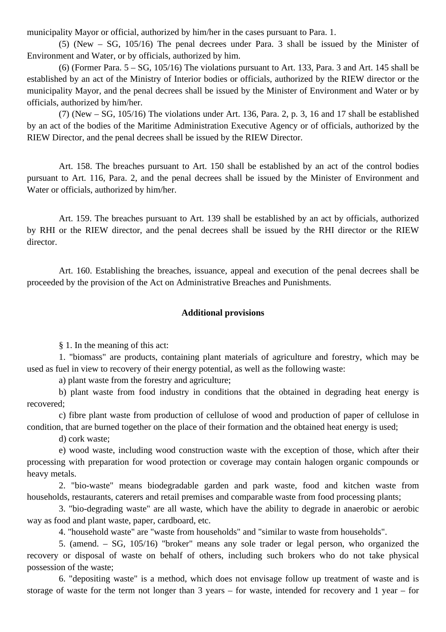municipality Mayor or official, authorized by him/her in the cases pursuant to Para. 1.

(5) (New – SG, 105/16) The penal decrees under Para. 3 shall be issued by the Minister of Environment and Water, or by officials, authorized by him.

(6) (Former Para. 5 – SG, 105/16) The violations pursuant to Art. 133, Para. 3 and Art. 145 shall be established by an act of the Ministry of Interior bodies or officials, authorized by the RIEW director or the municipality Mayor, and the penal decrees shall be issued by the Minister of Environment and Water or by officials, authorized by him/her.

(7) (New – SG, 105/16) The violations under Art. 136, Para. 2, p. 3, 16 and 17 shall be established by an act of the bodies of the Maritime Administration Executive Agency or of officials, authorized by the RIEW Director, and the penal decrees shall be issued by the RIEW Director.

Art. 158. The breaches pursuant to Art. 150 shall be established by an act of the control bodies pursuant to Art. 116, Para. 2, and the penal decrees shall be issued by the Minister of Environment and Water or officials, authorized by him/her.

Art. 159. The breaches pursuant to Art. 139 shall be established by an act by officials, authorized by RHI or the RIEW director, and the penal decrees shall be issued by the RHI director or the RIEW director.

Art. 160. Establishing the breaches, issuance, appeal and execution of the penal decrees shall be proceeded by the provision of the Act on Administrative Breaches and Punishments.

#### **Additional provisions**

§ 1. In the meaning of this act:

1. "biomass" are products, containing plant materials of agriculture and forestry, which may be used as fuel in view to recovery of their energy potential, as well as the following waste:

a) plant waste from the forestry and agriculture;

b) plant waste from food industry in conditions that the obtained in degrading heat energy is recovered;

c) fibre plant waste from production of cellulose of wood and production of paper of cellulose in condition, that are burned together on the place of their formation and the obtained heat energy is used;

d) cork waste;

e) wood waste, including wood construction waste with the exception of those, which after their processing with preparation for wood protection or coverage may contain halogen organic compounds or heavy metals.

2. "bio-waste" means biodegradable garden and park waste, food and kitchen waste from households, restaurants, caterers and retail premises and comparable waste from food processing plants;

3. "bio-degrading waste" are all waste, which have the ability to degrade in anaerobic or aerobic way as food and plant waste, paper, cardboard, etc.

4. "household waste" are "waste from households" and "similar to waste from households".

5. (amend. – SG, 105/16) "broker" means any sole trader or legal person, who organized the recovery or disposal of waste on behalf of others, including such brokers who do not take physical possession of the waste;

6. "depositing waste" is a method, which does not envisage follow up treatment of waste and is storage of waste for the term not longer than 3 years – for waste, intended for recovery and 1 year – for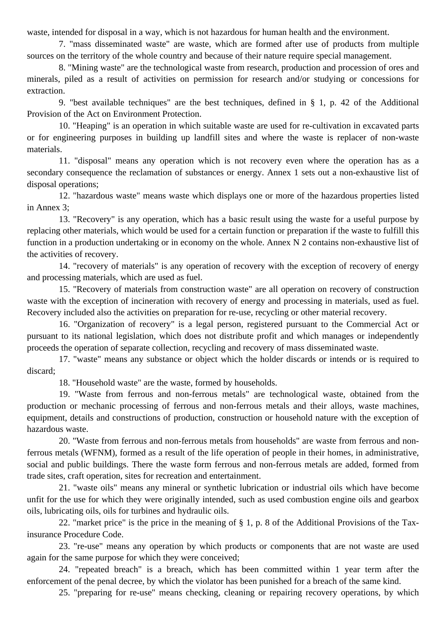waste, intended for disposal in a way, which is not hazardous for human health and the environment.

7. "mass disseminated waste" are waste, which are formed after use of products from multiple sources on the territory of the whole country and because of their nature require special management.

8. "Mining waste" are the technological waste from research, production and procession of ores and minerals, piled as a result of activities on permission for research and/or studying or concessions for extraction.

9. "best available techniques" are the best techniques, defined in § 1, p. 42 of the Additional Provision of the Act on Environment Protection.

10. "Heaping" is an operation in which suitable waste are used for re-cultivation in excavated parts or for engineering purposes in building up landfill sites and where the waste is replacer of non-waste materials.

11. "disposal" means any operation which is not recovery even where the operation has as a secondary consequence the reclamation of substances or energy. Annex 1 sets out a non-exhaustive list of disposal operations;

12. "hazardous waste" means waste which displays one or more of the hazardous properties listed in Annex 3;

13. "Recovery" is any operation, which has a basic result using the waste for a useful purpose by replacing other materials, which would be used for a certain function or preparation if the waste to fulfill this function in a production undertaking or in economy on the whole. Annex N 2 contains non-exhaustive list of the activities of recovery.

14. "recovery of materials" is any operation of recovery with the exception of recovery of energy and processing materials, which are used as fuel.

15. "Recovery of materials from construction waste" are all operation on recovery of construction waste with the exception of incineration with recovery of energy and processing in materials, used as fuel. Recovery included also the activities on preparation for re-use, recycling or other material recovery.

16. "Organization of recovery" is a legal person, registered pursuant to the Commercial Act or pursuant to its national legislation, which does not distribute profit and which manages or independently proceeds the operation of separate collection, recycling and recovery of mass disseminated waste.

17. "waste" means any substance or object which the holder discards or intends or is required to discard;

18. "Household waste" are the waste, formed by households.

19. "Waste from ferrous and non-ferrous metals" are technological waste, obtained from the production or mechanic processing of ferrous and non-ferrous metals and their alloys, waste machines, equipment, details and constructions of production, construction or household nature with the exception of hazardous waste.

20. "Waste from ferrous and non-ferrous metals from households" are waste from ferrous and nonferrous metals (WFNM), formed as a result of the life operation of people in their homes, in administrative, social and public buildings. There the waste form ferrous and non-ferrous metals are added, formed from trade sites, craft operation, sites for recreation and entertainment.

21. "waste oils" means any mineral or synthetic lubrication or industrial oils which have become unfit for the use for which they were originally intended, such as used combustion engine oils and gearbox oils, lubricating oils, oils for turbines and hydraulic oils.

22. "market price" is the price in the meaning of § 1, p. 8 of the Additional Provisions of the Taxinsurance Procedure Code.

23. "re-use" means any operation by which products or components that are not waste are used again for the same purpose for which they were conceived;

24. "repeated breach" is a breach, which has been committed within 1 year term after the enforcement of the penal decree, by which the violator has been punished for a breach of the same kind.

25. "preparing for re-use" means checking, cleaning or repairing recovery operations, by which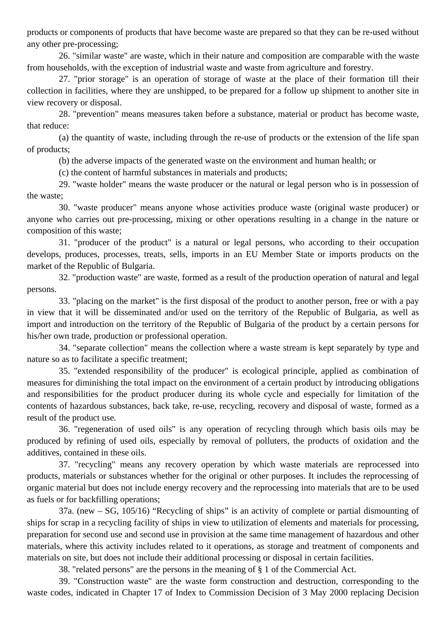products or components of products that have become waste are prepared so that they can be re-used without any other pre-processing;

26. "similar waste" are waste, which in their nature and composition are comparable with the waste from households, with the exception of industrial waste and waste from agriculture and forestry.

27. "prior storage" is an operation of storage of waste at the place of their formation till their collection in facilities, where they are unshipped, to be prepared for a follow up shipment to another site in view recovery or disposal.

28. "prevention" means measures taken before a substance, material or product has become waste, that reduce:

(a) the quantity of waste, including through the re-use of products or the extension of the life span of products;

(b) the adverse impacts of the generated waste on the environment and human health; or

(c) the content of harmful substances in materials and products;

29. "waste holder" means the waste producer or the natural or legal person who is in possession of the waste;

30. "waste producer" means anyone whose activities produce waste (original waste producer) or anyone who carries out pre-processing, mixing or other operations resulting in a change in the nature or composition of this waste;

31. "producer of the product" is a natural or legal persons, who according to their occupation develops, produces, processes, treats, sells, imports in an EU Member State or imports products on the market of the Republic of Bulgaria.

32. "production waste" are waste, formed as a result of the production operation of natural and legal persons.

33. "placing on the market" is the first disposal of the product to another person, free or with a pay in view that it will be disseminated and/or used on the territory of the Republic of Bulgaria, as well as import and introduction on the territory of the Republic of Bulgaria of the product by a certain persons for his/her own trade, production or professional operation.

34. "separate collection" means the collection where a waste stream is kept separately by type and nature so as to facilitate a specific treatment;

35. "extended responsibility of the producer" is ecological principle, applied as combination of measures for diminishing the total impact on the environment of a certain product by introducing obligations and responsibilities for the product producer during its whole cycle and especially for limitation of the contents of hazardous substances, back take, re-use, recycling, recovery and disposal of waste, formed as a result of the product use.

36. "regeneration of used oils" is any operation of recycling through which basis oils may be produced by refining of used oils, especially by removal of polluters, the products of oxidation and the additives, contained in these oils.

37. "recycling" means any recovery operation by which waste materials are reprocessed into products, materials or substances whether for the original or other purposes. It includes the reprocessing of organic material but does not include energy recovery and the reprocessing into materials that are to be used as fuels or for backfilling operations;

37a. (new – SG, 105/16) "Recycling of ships" is an activity of complete or partial dismounting of ships for scrap in a recycling facility of ships in view to utilization of elements and materials for processing, preparation for second use and second use in provision at the same time management of hazardous and other materials, where this activity includes related to it operations, as storage and treatment of components and materials on site, but does not include their additional processing or disposal in certain facilities.

38. "related persons" are the persons in the meaning of § 1 of the Commercial Act.

39. "Construction waste" are the waste form construction and destruction, corresponding to the waste codes, indicated in Chapter 17 of Index to Commission Decision of 3 May 2000 replacing Decision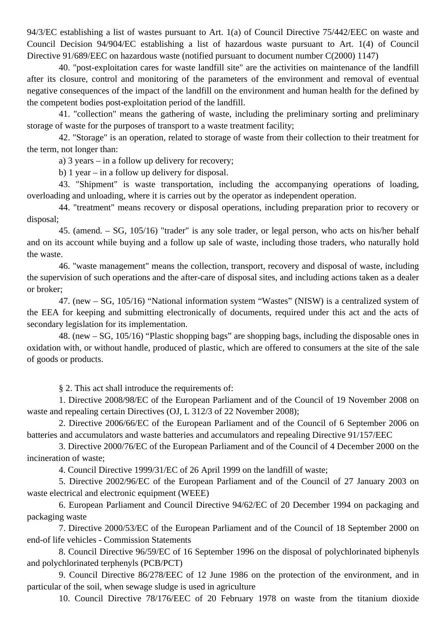94/3/EC establishing a list of wastes pursuant to Art. 1(a) of Council Directive 75/442/EEC on waste and Council Decision 94/904/EC establishing a list of hazardous waste pursuant to Art. 1(4) of Council Directive 91/689/EEC on hazardous waste (notified pursuant to document number C(2000) 1147)

40. "post-exploitation cares for waste landfill site" are the activities on maintenance of the landfill after its closure, control and monitoring of the parameters of the environment and removal of eventual negative consequences of the impact of the landfill on the environment and human health for the defined by the competent bodies post-exploitation period of the landfill.

41. "collection" means the gathering of waste, including the preliminary sorting and preliminary storage of waste for the purposes of transport to a waste treatment facility;

42. "Storage" is an operation, related to storage of waste from their collection to their treatment for the term, not longer than:

a) 3 years – in a follow up delivery for recovery;

b) 1 year – in a follow up delivery for disposal.

43. "Shipment" is waste transportation, including the accompanying operations of loading, overloading and unloading, where it is carries out by the operator as independent operation.

44. "treatment" means recovery or disposal operations, including preparation prior to recovery or disposal;

45. (amend. – SG, 105/16) "trader" is any sole trader, or legal person, who acts on his/her behalf and on its account while buying and a follow up sale of waste, including those traders, who naturally hold the waste.

46. "waste management" means the collection, transport, recovery and disposal of waste, including the supervision of such operations and the after-care of disposal sites, and including actions taken as a dealer or broker;

47. (new – SG, 105/16) "National information system "Wastes" (NISW) is a centralized system of the EEA for keeping and submitting electronically of documents, required under this act and the acts of secondary legislation for its implementation.

48. (new – SG, 105/16) "Plastic shopping bags" are shopping bags, including the disposable ones in oxidation with, or without handle, produced of plastic, which are offered to consumers at the site of the sale of goods or products.

§ 2. This act shall introduce the requirements of:

1. Directive 2008/98/EC of the European Parliament and of the Council of 19 November 2008 on waste and repealing certain Directives (OJ, L 312/3 of 22 November 2008);

2. Directive 2006/66/EC of the European Parliament and of the Council of 6 September 2006 on batteries and accumulators and waste batteries and accumulators and repealing Directive 91/157/EEC

3. Directive 2000/76/EC of the European Parliament and of the Council of 4 December 2000 on the incineration of waste;

4. Council Directive 1999/31/EC of 26 April 1999 on the landfill of waste;

5. Directive 2002/96/EC of the European Parliament and of the Council of 27 January 2003 on waste electrical and electronic equipment (WEEE)

6. European Parliament and Council Directive 94/62/EC of 20 December 1994 on packaging and packaging waste

7. Directive 2000/53/EC of the European Parliament and of the Council of 18 September 2000 on end-of life vehicles - Commission Statements

8. Council Directive 96/59/EC of 16 September 1996 on the disposal of polychlorinated biphenyls and polychlorinated terphenyls (PCB/PCT)

9. Council Directive 86/278/EEC of 12 June 1986 on the protection of the environment, and in particular of the soil, when sewage sludge is used in agriculture

10. Council Directive 78/176/EEC of 20 February 1978 on waste from the titanium dioxide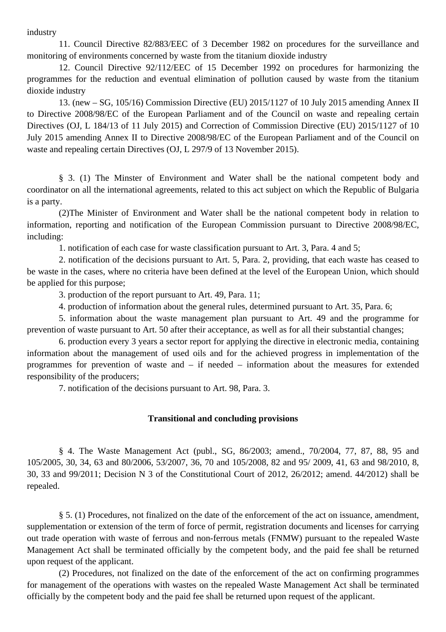industry

11. Council Directive 82/883/EEC of 3 December 1982 on procedures for the surveillance and monitoring of environments concerned by waste from the titanium dioxide industry

12. Council Directive 92/112/EEC of 15 December 1992 on procedures for harmonizing the programmes for the reduction and eventual elimination of pollution caused by waste from the titanium dioxide industry

13. (new – SG, 105/16) Commission Directive (EU) 2015/1127 of 10 July 2015 amending Annex II to Directive 2008/98/EC of the European Parliament and of the Council on waste and repealing certain Directives (OJ, L 184/13 of 11 July 2015) and Correction of Commission Directive (EU) 2015/1127 of 10 July 2015 amending Annex II to Directive 2008/98/EC of the European Parliament and of the Council on waste and repealing certain Directives (OJ, L 297/9 of 13 November 2015).

§ 3. (1) The Minster of Environment and Water shall be the national competent body and coordinator on all the international agreements, related to this act subject on which the Republic of Bulgaria is a party.

(2)The Minister of Environment and Water shall be the national competent body in relation to information, reporting and notification of the European Commission pursuant to Directive 2008/98/EC, including:

1. notification of each case for waste classification pursuant to Art. 3, Para. 4 and 5;

2. notification of the decisions pursuant to Art. 5, Para. 2, providing, that each waste has ceased to be waste in the cases, where no criteria have been defined at the level of the European Union, which should be applied for this purpose;

3. production of the report pursuant to Art. 49, Para. 11;

4. production of information about the general rules, determined pursuant to Art. 35, Para. 6;

5. information about the waste management plan pursuant to Art. 49 and the programme for prevention of waste pursuant to Art. 50 after their acceptance, as well as for all their substantial changes;

6. production every 3 years a sector report for applying the directive in electronic media, containing information about the management of used oils and for the achieved progress in implementation of the programmes for prevention of waste and – if needed – information about the measures for extended responsibility of the producers;

7. notification of the decisions pursuant to Art. 98, Para. 3.

#### **Transitional and concluding provisions**

§ 4. The Waste Management Act (publ., SG, 86/2003; amend., 70/2004, 77, 87, 88, 95 and 105/2005, 30, 34, 63 and 80/2006, 53/2007, 36, 70 and 105/2008, 82 and 95/ 2009, 41, 63 and 98/2010, 8, 30, 33 and 99/2011; Decision N 3 of the Constitutional Court of 2012, 26/2012; amend. 44/2012) shall be repealed.

§ 5. (1) Procedures, not finalized on the date of the enforcement of the act on issuance, amendment, supplementation or extension of the term of force of permit, registration documents and licenses for carrying out trade operation with waste of ferrous and non-ferrous metals (FNMW) pursuant to the repealed Waste Management Act shall be terminated officially by the competent body, and the paid fee shall be returned upon request of the applicant.

(2) Procedures, not finalized on the date of the enforcement of the act on confirming programmes for management of the operations with wastes on the repealed Waste Management Act shall be terminated officially by the competent body and the paid fee shall be returned upon request of the applicant.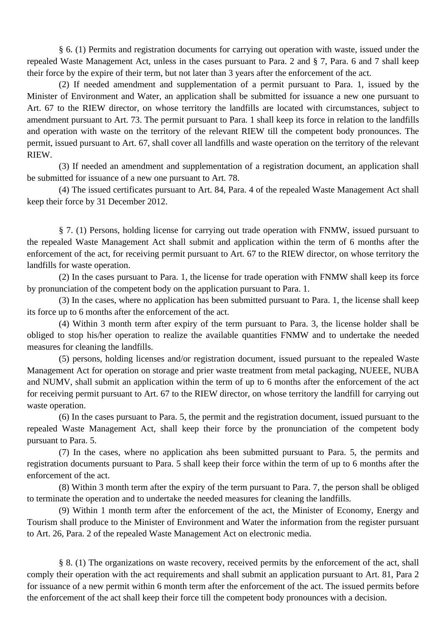§ 6. (1) Permits and registration documents for carrying out operation with waste, issued under the repealed Waste Management Act, unless in the cases pursuant to Para. 2 and § 7, Para. 6 and 7 shall keep their force by the expire of their term, but not later than 3 years after the enforcement of the act.

(2) If needed amendment and supplementation of a permit pursuant to Para. 1, issued by the Minister of Environment and Water, an application shall be submitted for issuance a new one pursuant to Art. 67 to the RIEW director, on whose territory the landfills are located with circumstances, subject to amendment pursuant to Art. 73. The permit pursuant to Para. 1 shall keep its force in relation to the landfills and operation with waste on the territory of the relevant RIEW till the competent body pronounces. The permit, issued pursuant to Art. 67, shall cover all landfills and waste operation on the territory of the relevant RIEW.

(3) If needed an amendment and supplementation of a registration document, an application shall be submitted for issuance of a new one pursuant to Art. 78.

(4) The issued certificates pursuant to Art. 84, Para. 4 of the repealed Waste Management Act shall keep their force by 31 December 2012.

§ 7. (1) Persons, holding license for carrying out trade operation with FNMW, issued pursuant to the repealed Waste Management Act shall submit and application within the term of 6 months after the enforcement of the act, for receiving permit pursuant to Art. 67 to the RIEW director, on whose territory the landfills for waste operation.

(2) In the cases pursuant to Para. 1, the license for trade operation with FNMW shall keep its force by pronunciation of the competent body on the application pursuant to Para. 1.

(3) In the cases, where no application has been submitted pursuant to Para. 1, the license shall keep its force up to 6 months after the enforcement of the act.

(4) Within 3 month term after expiry of the term pursuant to Para. 3, the license holder shall be obliged to stop his/her operation to realize the available quantities FNMW and to undertake the needed measures for cleaning the landfills.

(5) persons, holding licenses and/or registration document, issued pursuant to the repealed Waste Management Act for operation on storage and prier waste treatment from metal packaging, NUEEE, NUBA and NUMV, shall submit an application within the term of up to 6 months after the enforcement of the act for receiving permit pursuant to Art. 67 to the RIEW director, on whose territory the landfill for carrying out waste operation.

(6) In the cases pursuant to Para. 5, the permit and the registration document, issued pursuant to the repealed Waste Management Act, shall keep their force by the pronunciation of the competent body pursuant to Para. 5.

(7) In the cases, where no application ahs been submitted pursuant to Para. 5, the permits and registration documents pursuant to Para. 5 shall keep their force within the term of up to 6 months after the enforcement of the act.

(8) Within 3 month term after the expiry of the term pursuant to Para. 7, the person shall be obliged to terminate the operation and to undertake the needed measures for cleaning the landfills.

(9) Within 1 month term after the enforcement of the act, the Minister of Economy, Energy and Tourism shall produce to the Minister of Environment and Water the information from the register pursuant to Art. 26, Para. 2 of the repealed Waste Management Act on electronic media.

§ 8. (1) The organizations on waste recovery, received permits by the enforcement of the act, shall comply their operation with the act requirements and shall submit an application pursuant to Art. 81, Para 2 for issuance of a new permit within 6 month term after the enforcement of the act. The issued permits before the enforcement of the act shall keep their force till the competent body pronounces with a decision.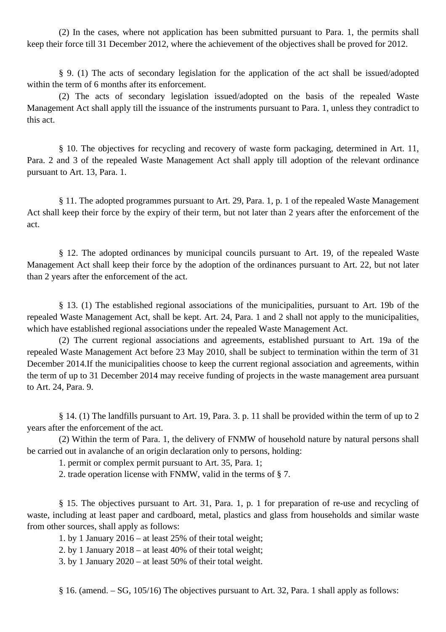(2) In the cases, where not application has been submitted pursuant to Para. 1, the permits shall keep their force till 31 December 2012, where the achievement of the objectives shall be proved for 2012.

§ 9. (1) The acts of secondary legislation for the application of the act shall be issued/adopted within the term of 6 months after its enforcement.

(2) The acts of secondary legislation issued/adopted on the basis of the repealed Waste Management Act shall apply till the issuance of the instruments pursuant to Para. 1, unless they contradict to this act.

§ 10. The objectives for recycling and recovery of waste form packaging, determined in Art. 11, Para. 2 and 3 of the repealed Waste Management Act shall apply till adoption of the relevant ordinance pursuant to Art. 13, Para. 1.

§ 11. The adopted programmes pursuant to Art. 29, Para. 1, p. 1 of the repealed Waste Management Act shall keep their force by the expiry of their term, but not later than 2 years after the enforcement of the act.

§ 12. The adopted ordinances by municipal councils pursuant to Art. 19, of the repealed Waste Management Act shall keep their force by the adoption of the ordinances pursuant to Art. 22, but not later than 2 years after the enforcement of the act.

§ 13. (1) The established regional associations of the municipalities, pursuant to Art. 19b of the repealed Waste Management Act, shall be kept. Art. 24, Para. 1 and 2 shall not apply to the municipalities, which have established regional associations under the repealed Waste Management Act.

(2) The current regional associations and agreements, established pursuant to Art. 19a of the repealed Waste Management Act before 23 May 2010, shall be subject to termination within the term of 31 December 2014.If the municipalities choose to keep the current regional association and agreements, within the term of up to 31 December 2014 may receive funding of projects in the waste management area pursuant to Art. 24, Para. 9.

§ 14. (1) The landfills pursuant to Art. 19, Para. 3. p. 11 shall be provided within the term of up to 2 years after the enforcement of the act.

(2) Within the term of Para. 1, the delivery of FNMW of household nature by natural persons shall be carried out in avalanche of an origin declaration only to persons, holding:

1. permit or complex permit pursuant to Art. 35, Para. 1;

2. trade operation license with FNMW, valid in the terms of § 7.

§ 15. The objectives pursuant to Art. 31, Para. 1, p. 1 for preparation of re-use and recycling of waste, including at least paper and cardboard, metal, plastics and glass from households and similar waste from other sources, shall apply as follows:

1. by 1 January 2016 – at least 25% of their total weight;

2. by 1 January 2018 – at least 40% of their total weight;

3. by 1 January 2020 – at least 50% of their total weight.

§ 16. (amend. – SG, 105/16) The objectives pursuant to Art. 32, Para. 1 shall apply as follows: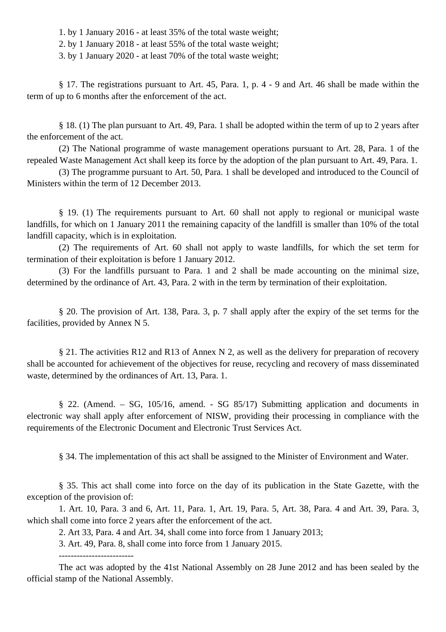1. by 1 January 2016 - at least 35% of the total waste weight;

2. by 1 January 2018 - at least 55% of the total waste weight;

3. by 1 January 2020 - at least 70% of the total waste weight;

§ 17. The registrations pursuant to Art. 45, Para. 1, p. 4 - 9 and Art. 46 shall be made within the term of up to 6 months after the enforcement of the act.

§ 18. (1) The plan pursuant to Art. 49, Para. 1 shall be adopted within the term of up to 2 years after the enforcement of the act.

(2) The National programme of waste management operations pursuant to Art. 28, Para. 1 of the repealed Waste Management Act shall keep its force by the adoption of the plan pursuant to Art. 49, Para. 1.

(3) The programme pursuant to Art. 50, Para. 1 shall be developed and introduced to the Council of Ministers within the term of 12 December 2013.

§ 19. (1) The requirements pursuant to Art. 60 shall not apply to regional or municipal waste landfills, for which on 1 January 2011 the remaining capacity of the landfill is smaller than 10% of the total landfill capacity, which is in exploitation.

(2) The requirements of Art. 60 shall not apply to waste landfills, for which the set term for termination of their exploitation is before 1 January 2012.

(3) For the landfills pursuant to Para. 1 and 2 shall be made accounting on the minimal size, determined by the ordinance of Art. 43, Para. 2 with in the term by termination of their exploitation.

§ 20. The provision of Art. 138, Para. 3, p. 7 shall apply after the expiry of the set terms for the facilities, provided by Annex N 5.

§ 21. The activities R12 and R13 of Annex N 2, as well as the delivery for preparation of recovery shall be accounted for achievement of the objectives for reuse, recycling and recovery of mass disseminated waste, determined by the ordinances of Art. 13, Para. 1.

§ 22. (Amend. – SG, 105/16, amend. - SG 85/17) Submitting application and documents in electronic way shall apply after enforcement of NISW, providing their processing in compliance with the requirements of the Electronic Document and Electronic Trust Services Act.

§ 34. The implementation of this act shall be assigned to the Minister of Environment and Water.

§ 35. This act shall come into force on the day of its publication in the State Gazette, with the exception of the provision of:

1. Art. 10, Para. 3 and 6, Art. 11, Para. 1, Art. 19, Para. 5, Art. 38, Para. 4 and Art. 39, Para. 3, which shall come into force 2 years after the enforcement of the act.

2. Art 33, Para. 4 and Art. 34, shall come into force from 1 January 2013;

3. Art. 49, Para. 8, shall come into force from 1 January 2015.

The act was adopted by the 41st National Assembly on 28 June 2012 and has been sealed by the official stamp of the National Assembly.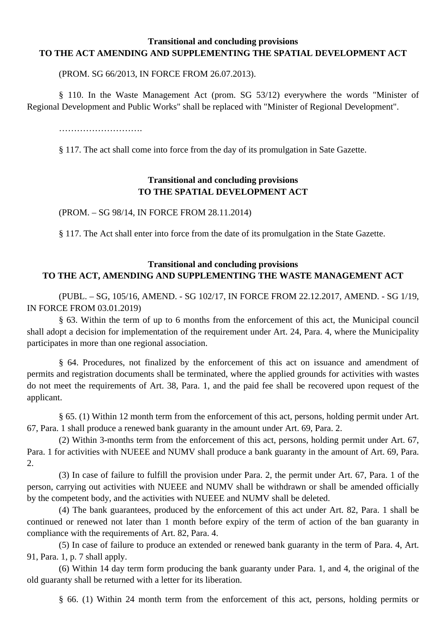## **Transitional and concluding provisions TO THE ACT AMENDING AND SUPPLEMENTING THE SPATIAL DEVELOPMENT ACT**

(PROM. SG 66/2013, IN FORCE FROM 26.07.2013).

§ 110. In the Waste Management Act (prom. SG 53/12) everywhere the words "Minister of Regional Development and Public Works" shall be replaced with "Minister of Regional Development".

……………………….

§ 117. The act shall come into force from the day of its promulgation in Sate Gazette.

# **Transitional and concluding provisions TO THE SPATIAL DEVELOPMENT ACT**

(PROM. – SG 98/14, IN FORCE FROM 28.11.2014)

§ 117. The Act shall enter into force from the date of its promulgation in the State Gazette.

# **Transitional and concluding provisions TO THE ACT, AMENDING AND SUPPLEMENTING THE WASTE MANAGEMENT ACT**

(PUBL. – SG, 105/16, AMEND. - SG 102/17, IN FORCE FROM 22.12.2017, AMEND. - SG 1/19, IN FORCE FROM 03.01.2019)

§ 63. Within the term of up to 6 months from the enforcement of this act, the Municipal council shall adopt a decision for implementation of the requirement under Art. 24, Para. 4, where the Municipality participates in more than one regional association.

§ 64. Procedures, not finalized by the enforcement of this act on issuance and amendment of permits and registration documents shall be terminated, where the applied grounds for activities with wastes do not meet the requirements of Art. 38, Para. 1, and the paid fee shall be recovered upon request of the applicant.

§ 65. (1) Within 12 month term from the enforcement of this act, persons, holding permit under Art. 67, Para. 1 shall produce a renewed bank guaranty in the amount under Art. 69, Para. 2.

(2) Within 3-months term from the enforcement of this act, persons, holding permit under Art. 67, Para. 1 for activities with NUEEE and NUMV shall produce a bank guaranty in the amount of Art. 69, Para. 2.

(3) In case of failure to fulfill the provision under Para. 2, the permit under Art. 67, Para. 1 of the person, carrying out activities with NUEEE and NUMV shall be withdrawn or shall be amended officially by the competent body, and the activities with NUEEE and NUMV shall be deleted.

(4) The bank guarantees, produced by the enforcement of this act under Art. 82, Para. 1 shall be continued or renewed not later than 1 month before expiry of the term of action of the ban guaranty in compliance with the requirements of Art. 82, Para. 4.

(5) In case of failure to produce an extended or renewed bank guaranty in the term of Para. 4, Art. 91, Para. 1, p. 7 shall apply.

(6) Within 14 day term form producing the bank guaranty under Para. 1, and 4, the original of the old guaranty shall be returned with a letter for its liberation.

§ 66. (1) Within 24 month term from the enforcement of this act, persons, holding permits or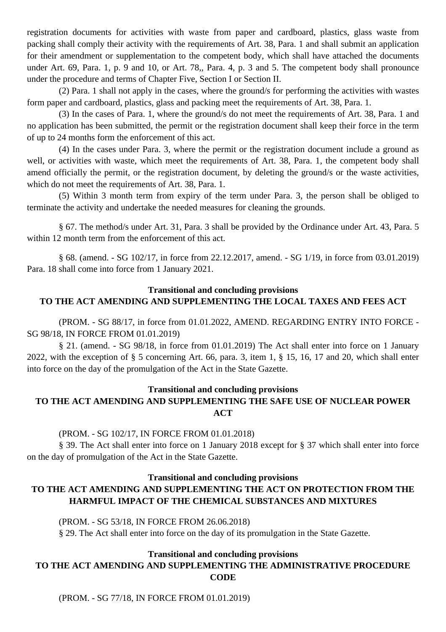registration documents for activities with waste from paper and cardboard, plastics, glass waste from packing shall comply their activity with the requirements of Art. 38, Para. 1 and shall submit an application for their amendment or supplementation to the competent body, which shall have attached the documents under Art. 69, Para. 1, p. 9 and 10, or Art. 78,, Para. 4, p. 3 and 5. The competent body shall pronounce under the procedure and terms of Chapter Five, Section I or Section II.

(2) Para. 1 shall not apply in the cases, where the ground/s for performing the activities with wastes form paper and cardboard, plastics, glass and packing meet the requirements of Art. 38, Para. 1.

(3) In the cases of Para. 1, where the ground/s do not meet the requirements of Art. 38, Para. 1 and no application has been submitted, the permit or the registration document shall keep their force in the term of up to 24 months form the enforcement of this act.

(4) In the cases under Para. 3, where the permit or the registration document include a ground as well, or activities with waste, which meet the requirements of Art. 38, Para. 1, the competent body shall amend officially the permit, or the registration document, by deleting the ground/s or the waste activities, which do not meet the requirements of Art. 38, Para. 1.

(5) Within 3 month term from expiry of the term under Para. 3, the person shall be obliged to terminate the activity and undertake the needed measures for cleaning the grounds.

§ 67. The method/s under Art. 31, Para. 3 shall be provided by the Ordinance under Art. 43, Para. 5 within 12 month term from the enforcement of this act.

§ 68. (amend. - SG 102/17, in force from 22.12.2017, amend. - SG 1/19, in force from 03.01.2019) Para. 18 shall come into force from 1 January 2021.

# **Transitional and concluding provisions TO THE ACT AMENDING AND SUPPLEMENTING THE LOCAL TAXES AND FEES ACT**

(PROM. - SG 88/17, in force from 01.01.2022, AMEND. REGARDING ENTRY INTO FORCE - SG 98/18, IN FORCE FROM 01.01.2019)

§ 21. (amend. - SG 98/18, in force from 01.01.2019) The Act shall enter into force on 1 January 2022, with the exception of § 5 concerning Art. 66, para. 3, item 1, § 15, 16, 17 and 20, which shall enter into force on the day of the promulgation of the Act in the State Gazette.

# **Transitional and concluding provisions TO THE ACT AMENDING AND SUPPLEMENTING THE SAFE USE OF NUCLEAR POWER ACT**

# (PROM. - SG 102/17, IN FORCE FROM 01.01.2018)

§ 39. The Act shall enter into force on 1 January 2018 except for § 37 which shall enter into force on the day of promulgation of the Act in the State Gazette.

### **Transitional and concluding provisions**

# **TO THE ACT AMENDING AND SUPPLEMENTING THE ACT ON PROTECTION FROM THE HARMFUL IMPACT OF THE CHEMICAL SUBSTANCES AND MIXTURES**

(PROM. - SG 53/18, IN FORCE FROM 26.06.2018) § 29. The Act shall enter into force on the day of its promulgation in the State Gazette.

### **Transitional and concluding provisions**

# **TO THE ACT AMENDING AND SUPPLEMENTING THE ADMINISTRATIVE PROCEDURE CODE**

(PROM. - SG 77/18, IN FORCE FROM 01.01.2019)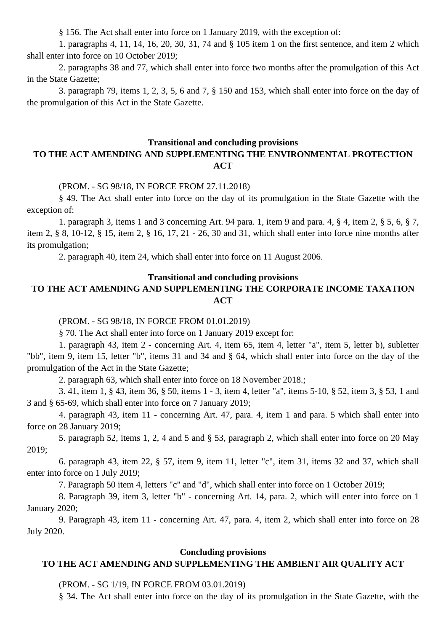§ 156. The Act shall enter into force on 1 January 2019, with the exception of:

1. paragraphs 4, 11, 14, 16, 20, 30, 31, 74 and § 105 item 1 on the first sentence, and item 2 which shall enter into force on 10 October 2019;

2. paragraphs 38 and 77, which shall enter into force two months after the promulgation of this Act in the State Gazette;

3. paragraph 79, items 1, 2, 3, 5, 6 and 7, § 150 and 153, which shall enter into force on the day of the promulgation of this Act in the State Gazette.

#### **Transitional and concluding provisions TO THE ACT AMENDING AND SUPPLEMENTING THE ENVIRONMENTAL PROTECTION ACT**

#### (PROM. - SG 98/18, IN FORCE FROM 27.11.2018)

§ 49. The Act shall enter into force on the day of its promulgation in the State Gazette with the exception of:

1. paragraph 3, items 1 and 3 concerning Art. 94 para. 1, item 9 and para. 4, § 4, item 2, § 5, 6, § 7, item 2, § 8, 10-12, § 15, item 2, § 16, 17, 21 - 26, 30 and 31, which shall enter into force nine months after its promulgation;

2. paragraph 40, item 24, which shall enter into force on 11 August 2006.

# **Transitional and concluding provisions TO THE ACT AMENDING AND SUPPLEMENTING THE CORPORATE INCOME TAXATION ACT**

(PROM. - SG 98/18, IN FORCE FROM 01.01.2019)

§ 70. The Act shall enter into force on 1 January 2019 except for:

1. paragraph 43, item 2 - concerning Art. 4, item 65, item 4, letter "a", item 5, letter b), subletter "bb", item 9, item 15, letter "b", items 31 and 34 and § 64, which shall enter into force on the day of the promulgation of the Act in the State Gazette;

2. paragraph 63, which shall enter into force on 18 November 2018.;

3. 41, item 1, § 43, item 36, § 50, items 1 - 3, item 4, letter "a", items 5-10, § 52, item 3, § 53, 1 and 3 and § 65-69, which shall enter into force on 7 January 2019;

4. paragraph 43, item 11 - concerning Art. 47, para. 4, item 1 and para. 5 which shall enter into force on 28 January 2019;

5. paragraph 52, items 1, 2, 4 and 5 and § 53, paragraph 2, which shall enter into force on 20 May 2019;

6. paragraph 43, item 22, § 57, item 9, item 11, letter "c", item 31, items 32 and 37, which shall enter into force on 1 July 2019;

7. Paragraph 50 item 4, letters "c" and "d", which shall enter into force on 1 October 2019;

8. Paragraph 39, item 3, letter "b" - concerning Art. 14, para. 2, which will enter into force on 1 January 2020;

9. Paragraph 43, item 11 - concerning Art. 47, para. 4, item 2, which shall enter into force on 28 July 2020.

#### **Concluding provisions**

### **TO THE ACT AMENDING AND SUPPLEMENTING THE AMBIENT AIR QUALITY ACT**

(PROM. - SG 1/19, IN FORCE FROM 03.01.2019)

§ 34. The Act shall enter into force on the day of its promulgation in the State Gazette, with the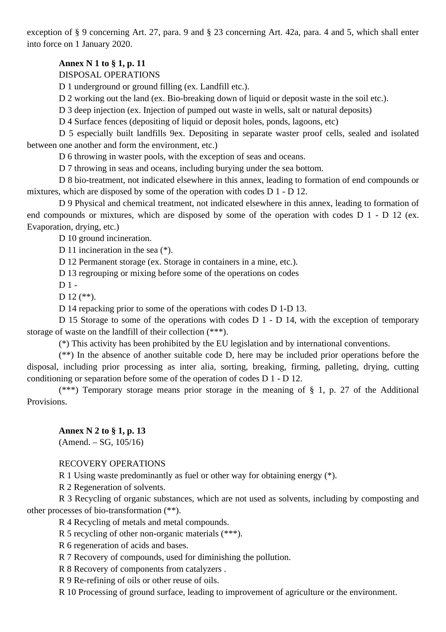exception of § 9 concerning Art. 27, para. 9 and § 23 concerning Art. 42a, para. 4 and 5, which shall enter into force on 1 January 2020.

# **Annex N 1 to § 1, p. 11**

DISPOSAL OPERATIONS

D 1 underground or ground filling (ex. Landfill etc.).

D 2 working out the land (ex. Bio-breaking down of liquid or deposit waste in the soil etc.).

D 3 deep injection (ex. Injection of pumped out waste in wells, salt or natural deposits)

D 4 Surface fences (depositing of liquid or deposit holes, ponds, lagoons, etc)

D 5 especially built landfills 9ex. Depositing in separate waster proof cells, sealed and isolated between one another and form the environment, etc.)

D 6 throwing in waster pools, with the exception of seas and oceans.

D 7 throwing in seas and oceans, including burying under the sea bottom.

D 8 bio-treatment, not indicated elsewhere in this annex, leading to formation of end compounds or mixtures, which are disposed by some of the operation with codes D 1 - D 12.

D 9 Physical and chemical treatment, not indicated elsewhere in this annex, leading to formation of end compounds or mixtures, which are disposed by some of the operation with codes D 1 - D 12 (ex. Evaporation, drying, etc.)

D 10 ground incineration.

D 11 incineration in the sea (\*).

D 12 Permanent storage (ex. Storage in containers in a mine, etc.).

D 13 regrouping or mixing before some of the operations on codes

 $D1 -$ 

 $D$  12 (\*\*).

D 14 repacking prior to some of the operations with codes D 1-D 13.

D 15 Storage to some of the operations with codes D 1 - D 14, with the exception of temporary storage of waste on the landfill of their collection (\*\*\*).

(\*) This activity has been prohibited by the EU legislation and by international conventions.

(\*\*) In the absence of another suitable code D, here may be included prior operations before the disposal, including prior processing as inter alia, sorting, breaking, firming, palleting, drying, cutting conditioning or separation before some of the operation of codes D 1 - D 12.

(\*\*\*) Temporary storage means prior storage in the meaning of  $\S$  1, p. 27 of the Additional Provisions.

### **Annex N 2 to § 1, p. 13**

 $(Amend. - SG, 105/16)$ 

### RECOVERY OPERATIONS

R 1 Using waste predominantly as fuel or other way for obtaining energy (\*).

R 2 Regeneration of solvents.

R 3 Recycling of organic substances, which are not used as solvents, including by composting and other processes of bio-transformation (\*\*).

R 4 Recycling of metals and metal compounds.

R 5 recycling of other non-organic materials (\*\*\*).

R 6 regeneration of acids and bases.

R 7 Recovery of compounds, used for diminishing the pollution.

R 8 Recovery of components from catalyzers .

R 9 Re-refining of oils or other reuse of oils.

R 10 Processing of ground surface, leading to improvement of agriculture or the environment.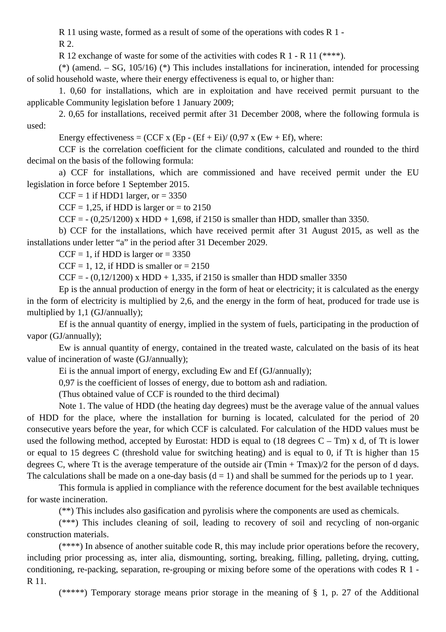R 11 using waste, formed as a result of some of the operations with codes R 1 -

R 2.

R 12 exchange of waste for some of the activities with codes R 1 - R 11 (\*\*\*\*).

(\*) (amend.  $-$  SG, 105/16) (\*) This includes installations for incineration, intended for processing of solid household waste, where their energy effectiveness is equal to, or higher than:

1. 0,60 for installations, which are in exploitation and have received permit pursuant to the applicable Community legislation before 1 January 2009;

2. 0,65 for installations, received permit after 31 December 2008, where the following formula is used:

Energy effectiveness = (CCF x (Ep - (Ef + Ei)/ (0,97 x (Ew + Ef), where:

CCF is the correlation coefficient for the climate conditions, calculated and rounded to the third decimal on the basis of the following formula:

a) CCF for installations, which are commissioned and have received permit under the EU legislation in force before 1 September 2015.

 $CCF = 1$  if HDD1 larger, or = 3350

 $CCF = 1,25$ , if HDD is larger or = to 2150

CCF =  $- (0,25/1200)$  x HDD + 1,698, if 2150 is smaller than HDD, smaller than 3350.

b) CCF for the installations, which have received permit after 31 August 2015, as well as the installations under letter "a" in the period after 31 December 2029.

 $CCF = 1$ , if HDD is larger or = 3350

 $CCF = 1$ , 12, if HDD is smaller or  $= 2150$ 

CCF =  $- (0.12/1200)$  x HDD + 1,335, if 2150 is smaller than HDD smaller 3350

Ep is the annual production of energy in the form of heat or electricity; it is calculated as the energy in the form of electricity is multiplied by 2,6, and the energy in the form of heat, produced for trade use is multiplied by 1,1 (GJ/annually);

Ef is the annual quantity of energy, implied in the system of fuels, participating in the production of vapor (GJ/annually);

Ew is annual quantity of energy, contained in the treated waste, calculated on the basis of its heat value of incineration of waste (GJ/annually);

Ei is the annual import of energy, excluding Ew and Ef (GJ/annually);

0,97 is the coefficient of losses of energy, due to bottom ash and radiation.

(Thus obtained value of CCF is rounded to the third decimal)

Note 1. The value of HDD (the heating day degrees) must be the average value of the annual values of HDD for the place, where the installation for burning is located, calculated for the period of 20 consecutive years before the year, for which CCF is calculated. For calculation of the HDD values must be used the following method, accepted by Eurostat: HDD is equal to  $(18 \text{ degrees } C - \text{ Tm})$  x d, of Tt is lower or equal to 15 degrees C (threshold value for switching heating) and is equal to 0, if Tt is higher than 15 degrees C, where Tt is the average temperature of the outside air (Tmin + Tmax)/2 for the person of d days. The calculations shall be made on a one-day basis  $(d = 1)$  and shall be summed for the periods up to 1 year.

This formula is applied in compliance with the reference document for the best available techniques for waste incineration.

(\*\*) This includes also gasification and pyrolisis where the components are used as chemicals.

(\*\*\*) This includes cleaning of soil, leading to recovery of soil and recycling of non-organic construction materials.

(\*\*\*\*) In absence of another suitable code R, this may include prior operations before the recovery, including prior processing as, inter alia, dismounting, sorting, breaking, filling, palleting, drying, cutting, conditioning, re-packing, separation, re-grouping or mixing before some of the operations with codes R 1 - R 11.

(\*\*\*\*\*) Temporary storage means prior storage in the meaning of  $\S$  1, p. 27 of the Additional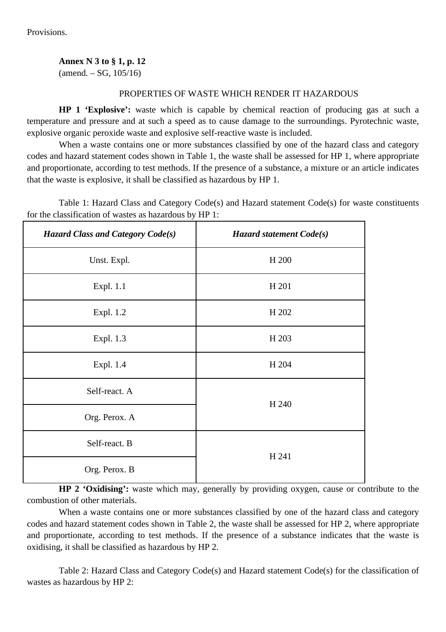Provisions.

**Annex N 3 to § 1, p. 12**

 $(amend. - SG, 105/16)$ 

### PROPERTIES OF WASTE WHICH RENDER IT HAZARDOUS

**HP 1 'Explosive':** waste which is capable by chemical reaction of producing gas at such a temperature and pressure and at such a speed as to cause damage to the surroundings. Pyrotechnic waste, explosive organic peroxide waste and explosive self-reactive waste is included.

When a waste contains one or more substances classified by one of the hazard class and category codes and hazard statement codes shown in Table 1, the waste shall be assessed for HP 1, where appropriate and proportionate, according to test methods. If the presence of a substance, a mixture or an article indicates that the waste is explosive, it shall be classified as hazardous by HP 1.

Table 1: Hazard Class and Category Code(s) and Hazard statement Code(s) for waste constituents for the classification of wastes as hazardous by HP 1:

| <b>Hazard Class and Category Code(s)</b> | Hazard statement Code(s) |  |
|------------------------------------------|--------------------------|--|
| Unst. Expl.                              | H 200                    |  |
| Expl. 1.1                                | H 201                    |  |
| Expl. 1.2                                | H 202                    |  |
| Expl. 1.3                                | H 203                    |  |
| Expl. 1.4                                | H 204                    |  |
| Self-react. A                            | H 240                    |  |
| Org. Perox. A                            |                          |  |
| Self-react. B                            |                          |  |
| Org. Perox. B                            | H 241                    |  |

**HP 2 'Oxidising':** waste which may, generally by providing oxygen, cause or contribute to the combustion of other materials.

When a waste contains one or more substances classified by one of the hazard class and category codes and hazard statement codes shown in Table 2, the waste shall be assessed for HP 2, where appropriate and proportionate, according to test methods. If the presence of a substance indicates that the waste is oxidising, it shall be classified as hazardous by HP 2.

Table 2: Hazard Class and Category Code(s) and Hazard statement Code(s) for the classification of wastes as hazardous by HP 2: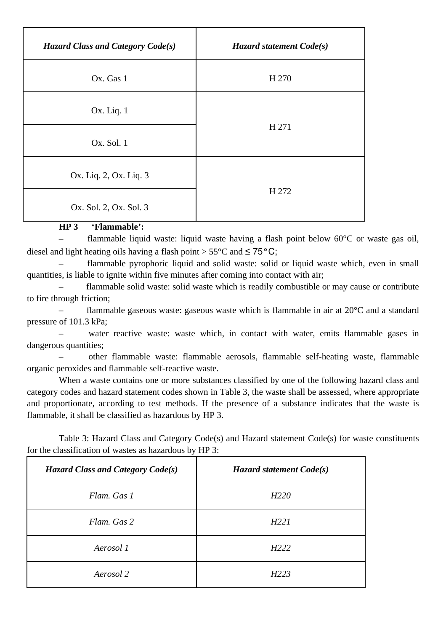| <b>Hazard Class and Category Code(s)</b> | Hazard statement $Code(s)$ |  |
|------------------------------------------|----------------------------|--|
| Ox. Gas 1                                | H 270                      |  |
| Ox. Liq. 1                               |                            |  |
| Ox. Sol. 1                               | H 271                      |  |
| Ox. Liq. 2, Ox. Liq. 3                   |                            |  |
| Ox. Sol. 2, Ox. Sol. 3                   | H 272                      |  |

### **HP 3 'Flammable':**

flammable liquid waste: liquid waste having a flash point below  $60^{\circ}$ C or waste gas oil, diesel and light heating oils having a flash point  $> 55^{\circ}$ C and  $\leq 75^{\circ}$ C:

– flammable pyrophoric liquid and solid waste: solid or liquid waste which, even in small quantities, is liable to ignite within five minutes after coming into contact with air;

– flammable solid waste: solid waste which is readily combustible or may cause or contribute to fire through friction;

flammable gaseous waste: gaseous waste which is flammable in air at  $20^{\circ}$ C and a standard pressure of 101.3 kPa;

water reactive waste: waste which, in contact with water, emits flammable gases in dangerous quantities;

– other flammable waste: flammable aerosols, flammable self-heating waste, flammable organic peroxides and flammable self-reactive waste.

When a waste contains one or more substances classified by one of the following hazard class and category codes and hazard statement codes shown in Table 3, the waste shall be assessed, where appropriate and proportionate, according to test methods. If the presence of a substance indicates that the waste is flammable, it shall be classified as hazardous by HP 3.

Table 3: Hazard Class and Category Code(s) and Hazard statement Code(s) for waste constituents for the classification of wastes as hazardous by HP 3:

| <b>Hazard Class and Category Code(s)</b> | Hazard statement Code(s) |  |
|------------------------------------------|--------------------------|--|
| Flam. Gas 1                              | H <sub>220</sub>         |  |
| Flam. Gas 2                              | H <sub>221</sub>         |  |
| Aerosol 1                                | H <sub>222</sub>         |  |
| Aerosol 2                                | H <sub>223</sub>         |  |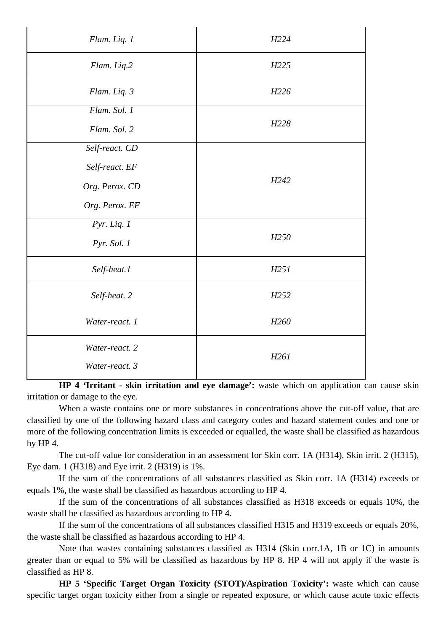| Flam. Liq. 1                     | H <sub>224</sub> |
|----------------------------------|------------------|
| Flam. Liq.2                      | H <sub>225</sub> |
| Flam. Liq. 3                     | H226             |
| Flam. Sol. 1                     |                  |
| Flam. Sol. 2                     | H228             |
| Self-react. CD                   |                  |
| Self-react. EF                   |                  |
| Org. Perox. CD                   | H <sub>242</sub> |
| Org. Perox. EF                   |                  |
| Pyr. Liq. $1$                    |                  |
| Pyr. Sol. 1                      | H <sub>250</sub> |
| Self-heat.1                      | H251             |
| Self-heat. 2                     | H <sub>252</sub> |
| Water-react. 1                   | H <sub>260</sub> |
| Water-react. 2<br>Water-react. 3 | H261             |

**HP 4 'Irritant - skin irritation and eye damage':** waste which on application can cause skin irritation or damage to the eye.

When a waste contains one or more substances in concentrations above the cut-off value, that are classified by one of the following hazard class and category codes and hazard statement codes and one or more of the following concentration limits is exceeded or equalled, the waste shall be classified as hazardous by HP 4.

The cut-off value for consideration in an assessment for Skin corr. 1A (H314), Skin irrit. 2 (H315), Eye dam. 1 (H318) and Eye irrit. 2 (H319) is 1%.

If the sum of the concentrations of all substances classified as Skin corr. 1A (H314) exceeds or equals 1%, the waste shall be classified as hazardous according to HP 4.

If the sum of the concentrations of all substances classified as H318 exceeds or equals 10%, the waste shall be classified as hazardous according to HP 4.

If the sum of the concentrations of all substances classified H315 and H319 exceeds or equals 20%, the waste shall be classified as hazardous according to HP 4.

Note that wastes containing substances classified as H314 (Skin corr.1A, 1B or 1C) in amounts greater than or equal to 5% will be classified as hazardous by HP 8. HP 4 will not apply if the waste is classified as HP 8.

**HP 5 'Specific Target Organ Toxicity (STOT)/Aspiration Toxicity':** waste which can cause specific target organ toxicity either from a single or repeated exposure, or which cause acute toxic effects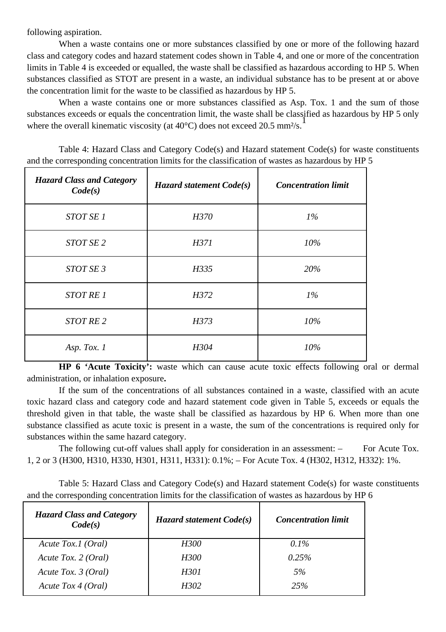following aspiration.

When a waste contains one or more substances classified by one or more of the following hazard class and category codes and hazard statement codes shown in Table 4, and one or more of the concentration limits in Table 4 is exceeded or equalled, the waste shall be classified as hazardous according to HP 5. When substances classified as STOT are present in a waste, an individual substance has to be present at or above the concentration limit for the waste to be classified as hazardous by HP 5.

When a waste contains one or more substances classified as Asp. Tox. 1 and the sum of those substances exceeds or equals the concentration limit, the waste shall be classified as hazardous by HP 5 only where the overall kinematic viscosity (at  $40^{\circ}$ C) does not exceed 20.5 mm<sup>2</sup>/s.

Table 4: Hazard Class and Category Code(s) and Hazard statement Code(s) for waste constituents and the corresponding concentration limits for the classification of wastes as hazardous by HP 5

| <b>Hazard Class and Category</b><br>Code(s) | <b>Hazard statement Code(s)</b> | <b>Concentration limit</b> |  |
|---------------------------------------------|---------------------------------|----------------------------|--|
| STOT SE 1                                   | H370                            | $1\%$                      |  |
| STOT SE 2                                   | H371                            | 10%                        |  |
| STOT SE 3                                   | H335                            | 20%                        |  |
| <b>STOT RE 1</b>                            | H372                            | $1\%$                      |  |
| STOT RE <sub>2</sub>                        | H373                            | 10%                        |  |
| Asp. Tox. 1                                 | H304                            | 10%                        |  |

**HP 6 'Acute Toxicity':** waste which can cause acute toxic effects following oral or dermal administration, or inhalation exposure**.**

If the sum of the concentrations of all substances contained in a waste, classified with an acute toxic hazard class and category code and hazard statement code given in Table 5, exceeds or equals the threshold given in that table, the waste shall be classified as hazardous by HP 6. When more than one substance classified as acute toxic is present in a waste, the sum of the concentrations is required only for substances within the same hazard category.

The following cut-off values shall apply for consideration in an assessment:  $-$  For Acute Tox. 1, 2 or 3 (H300, H310, H330, H301, H311, H331): 0.1%; – For Acute Tox. 4 (H302, H312, H332): 1%.

Table 5: Hazard Class and Category Code(s) and Hazard statement Code(s) for waste constituents and the corresponding concentration limits for the classification of wastes as hazardous by HP 6

| <b>Hazard Class and Category</b><br>Code(s) | Hazard statement Code(s) | <b>Concentration limit</b> |
|---------------------------------------------|--------------------------|----------------------------|
| Acute Tox.1 (Oral)                          | H300                     | $0.1\%$                    |
| Acute Tox. 2 (Oral)                         | H300                     | 0.25%                      |
| Acute Tox. 3 (Oral)                         | H301                     | 5%                         |
| Acute Tox 4 (Oral)                          | H302                     | 25%                        |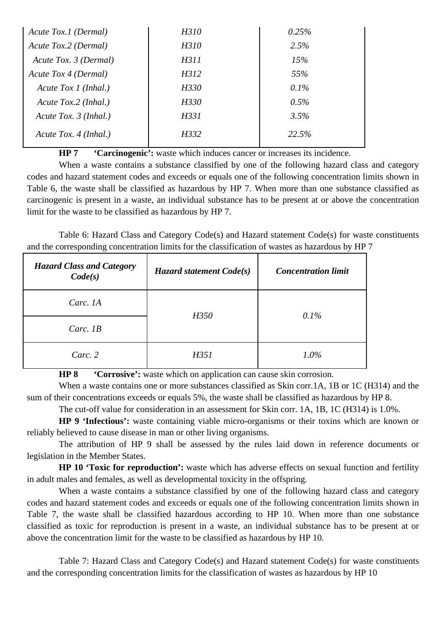| Acute Tox.1 (Dermal)    | H310 | 0.25%   |
|-------------------------|------|---------|
| Acute Tox.2 (Dermal)    | H310 | 2.5%    |
| Acute Tox. 3 (Dermal)   | H311 | 15%     |
| Acute Tox 4 (Dermal)    | H312 | 55%     |
| Acute Tox $1$ (Inhal.)  | H330 | $0.1\%$ |
| Acute Tox.2 (Inhal.)    | H330 | 0.5%    |
| Acute Tox. $3$ (Inhal.) | H331 | 3.5%    |
| Acute Tox. 4 (Inhal.)   | H332 | 22.5%   |

**HP 7 'Carcinogenic':** waste which induces cancer or increases its incidence.

When a waste contains a substance classified by one of the following hazard class and category codes and hazard statement codes and exceeds or equals one of the following concentration limits shown in Table 6, the waste shall be classified as hazardous by HP 7. When more than one substance classified as carcinogenic is present in a waste, an individual substance has to be present at or above the concentration limit for the waste to be classified as hazardous by HP 7.

Table 6: Hazard Class and Category Code(s) and Hazard statement Code(s) for waste constituents and the corresponding concentration limits for the classification of wastes as hazardous by HP 7

| <b>Hazard Class and Category</b><br>Code(s) | Hazard statement Code(s) | <b>Concentration limit</b> |  |
|---------------------------------------------|--------------------------|----------------------------|--|
| Carc. 1A                                    | H350                     | 0.1%                       |  |
| Carc. $IB$                                  |                          |                            |  |
| Carc. 2                                     | H351                     | $1.0\%$                    |  |

**HP 8 'Corrosive':** waste which on application can cause skin corrosion.

When a waste contains one or more substances classified as Skin corr.1A, 1B or 1C (H314) and the sum of their concentrations exceeds or equals 5%, the waste shall be classified as hazardous by HP 8.

The cut-off value for consideration in an assessment for Skin corr. 1A, 1B, 1C (H314) is 1.0%.

**HP 9 'Infectious':** waste containing viable micro-organisms or their toxins which are known or reliably believed to cause disease in man or other living organisms.

The attribution of HP 9 shall be assessed by the rules laid down in reference documents or legislation in the Member States.

**HP 10 'Toxic for reproduction':** waste which has adverse effects on sexual function and fertility in adult males and females, as well as developmental toxicity in the offspring.

When a waste contains a substance classified by one of the following hazard class and category codes and hazard statement codes and exceeds or equals one of the following concentration limits shown in Table 7, the waste shall be classified hazardous according to HP 10. When more than one substance classified as toxic for reproduction is present in a waste, an individual substance has to be present at or above the concentration limit for the waste to be classified as hazardous by HP 10.

Table 7: Hazard Class and Category Code(s) and Hazard statement Code(s) for waste constituents and the corresponding concentration limits for the classification of wastes as hazardous by HP 10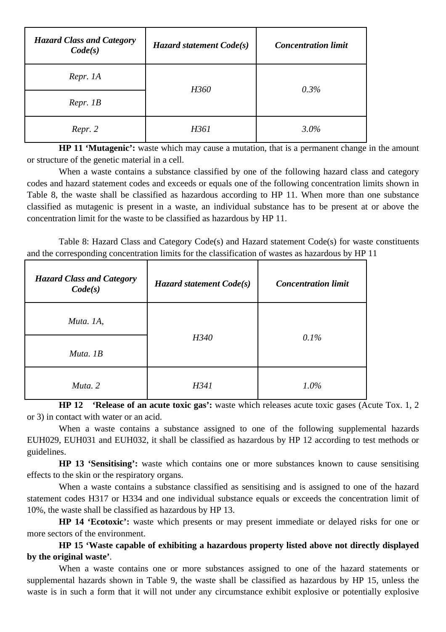| <b>Hazard Class and Category</b><br>Code(s) | Hazard statement Code(s) | <b>Concentration limit</b> |
|---------------------------------------------|--------------------------|----------------------------|
| Repr. 1A                                    | H360                     | $0.3\%$                    |
| Repr. 1B                                    |                          |                            |
| Repr. 2                                     | H361                     | $3.0\%$                    |

**HP 11 'Mutagenic':** waste which may cause a mutation, that is a permanent change in the amount or structure of the genetic material in a cell.

When a waste contains a substance classified by one of the following hazard class and category codes and hazard statement codes and exceeds or equals one of the following concentration limits shown in Table 8, the waste shall be classified as hazardous according to HP 11. When more than one substance classified as mutagenic is present in a waste, an individual substance has to be present at or above the concentration limit for the waste to be classified as hazardous by HP 11.

Table 8: Hazard Class and Category Code(s) and Hazard statement Code(s) for waste constituents and the corresponding concentration limits for the classification of wastes as hazardous by HP 11

| <b>Hazard Class and Category</b><br>Code(s) | Hazard statement Code(s) | <b>Concentration limit</b> |
|---------------------------------------------|--------------------------|----------------------------|
| Muta. 1A,                                   | H340                     | 0.1%                       |
| Muta. 1B                                    |                          |                            |
| Muta. 2                                     | H341                     | $1.0\%$                    |

**HP 12 'Release of an acute toxic gas':** waste which releases acute toxic gases (Acute Tox. 1, 2 or 3) in contact with water or an acid.

When a waste contains a substance assigned to one of the following supplemental hazards EUH029, EUH031 and EUH032, it shall be classified as hazardous by HP 12 according to test methods or guidelines.

**HP 13 'Sensitising':** waste which contains one or more substances known to cause sensitising effects to the skin or the respiratory organs.

When a waste contains a substance classified as sensitising and is assigned to one of the hazard statement codes H317 or H334 and one individual substance equals or exceeds the concentration limit of 10%, the waste shall be classified as hazardous by HP 13.

**HP 14 'Ecotoxic':** waste which presents or may present immediate or delayed risks for one or more sectors of the environment.

**HP 15 'Waste capable of exhibiting a hazardous property listed above not directly displayed by the original waste'**.

When a waste contains one or more substances assigned to one of the hazard statements or supplemental hazards shown in Table 9, the waste shall be classified as hazardous by HP 15, unless the waste is in such a form that it will not under any circumstance exhibit explosive or potentially explosive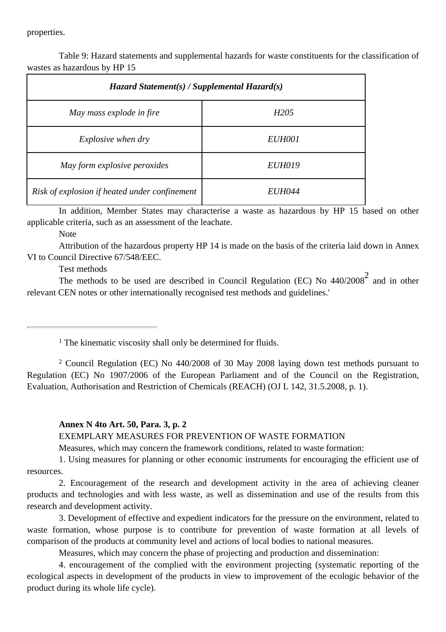properties.

Table 9: Hazard statements and supplemental hazards for waste constituents for the classification of wastes as hazardous by HP 15

| $\boldsymbol{H}$ azard Statement(s) / Supplemental Hazard(s) |                  |  |
|--------------------------------------------------------------|------------------|--|
| May mass explode in fire                                     | H <sub>205</sub> |  |
| <i>Explosive when dry</i>                                    | EUH001           |  |
| May form explosive peroxides                                 | <b>EUH019</b>    |  |
| Risk of explosion if heated under confinement                | <i>EUH044</i>    |  |

In addition, Member States may characterise a waste as hazardous by HP 15 based on other applicable criteria, such as an assessment of the leachate.

Note

Attribution of the hazardous property HP 14 is made on the basis of the criteria laid down in Annex VI to Council Directive 67/548/EEC.

Test methods

The methods to be used are described in Council Regulation (EC) No  $440/2008^2$  and in other relevant CEN notes or other internationally recognised test methods and guidelines.'

<sup>1</sup> The kinematic viscosity shall only be determined for fluids.

2 Council Regulation (EC) No 440/2008 of 30 May 2008 laying down test methods pursuant to Regulation (EC) No 1907/2006 of the European Parliament and of the Council on the Registration, Evaluation, Authorisation and Restriction of Chemicals (REACH) (OJ L 142, 31.5.2008, p. 1).

#### **Annex N 4to Art. 50, Para. 3, p. 2**

EXEMPLARY MEASURES FOR PREVENTION OF WASTE FORMATION

Measures, which may concern the framework conditions, related to waste formation:

1. Using measures for planning or other economic instruments for encouraging the efficient use of resources.

2. Encouragement of the research and development activity in the area of achieving cleaner products and technologies and with less waste, as well as dissemination and use of the results from this research and development activity.

3. Development of effective and expedient indicators for the pressure on the environment, related to waste formation, whose purpose is to contribute for prevention of waste formation at all levels of comparison of the products at community level and actions of local bodies to national measures.

Measures, which may concern the phase of projecting and production and dissemination:

4. encouragement of the complied with the environment projecting (systematic reporting of the ecological aspects in development of the products in view to improvement of the ecologic behavior of the product during its whole life cycle).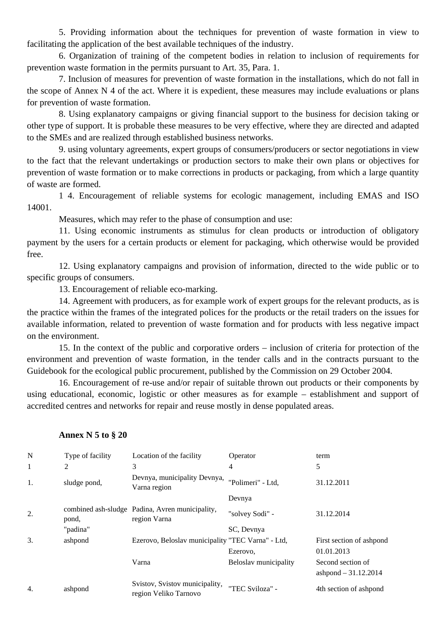5. Providing information about the techniques for prevention of waste formation in view to facilitating the application of the best available techniques of the industry.

6. Organization of training of the competent bodies in relation to inclusion of requirements for prevention waste formation in the permits pursuant to Art. 35, Para. 1.

7. Inclusion of measures for prevention of waste formation in the installations, which do not fall in the scope of Annex N 4 of the act. Where it is expedient, these measures may include evaluations or plans for prevention of waste formation.

8. Using explanatory campaigns or giving financial support to the business for decision taking or other type of support. It is probable these measures to be very effective, where they are directed and adapted to the SMEs and are realized through established business networks.

9. using voluntary agreements, expert groups of consumers/producers or sector negotiations in view to the fact that the relevant undertakings or production sectors to make their own plans or objectives for prevention of waste formation or to make corrections in products or packaging, from which a large quantity of waste are formed.

1 4. Encouragement of reliable systems for ecologic management, including EMAS and ISO 14001.

Measures, which may refer to the phase of consumption and use:

11. Using economic instruments as stimulus for clean products or introduction of obligatory payment by the users for a certain products or element for packaging, which otherwise would be provided free.

12. Using explanatory campaigns and provision of information, directed to the wide public or to specific groups of consumers.

13. Encouragement of reliable eco-marking.

14. Agreement with producers, as for example work of expert groups for the relevant products, as is the practice within the frames of the integrated polices for the products or the retail traders on the issues for available information, related to prevention of waste formation and for products with less negative impact on the environment.

15. In the context of the public and corporative orders – inclusion of criteria for protection of the environment and prevention of waste formation, in the tender calls and in the contracts pursuant to the Guidebook for the ecological public procurement, published by the Commission on 29 October 2004.

16. Encouragement of re-use and/or repair of suitable thrown out products or their components by using educational, economic, logistic or other measures as for example – establishment and support of accredited centres and networks for repair and reuse mostly in dense populated areas.

| N  | Type of facility | Location of the facility                                        | Operator              | term                                       |
|----|------------------|-----------------------------------------------------------------|-----------------------|--------------------------------------------|
| 1  | $\overline{2}$   | 3                                                               | 4                     | 5                                          |
| 1. | sludge pond,     | Devnya, municipality Devnya,<br>Varna region                    | "Polimeri" - Ltd,     | 31.12.2011                                 |
|    |                  |                                                                 | Devnya                |                                            |
| 2. | pond,            | combined ash-sludge Padina, Avren municipality,<br>region Varna | "solvey Sodi" -       | 31.12.2014                                 |
|    | "padina"         |                                                                 | SC, Devnya            |                                            |
| 3. | ashpond          | Ezerovo, Beloslav municipality "TEC Varna" - Ltd,               | Ezerovo,              | First section of ashpond<br>01.01.2013     |
|    |                  | Varna                                                           | Beloslav municipality | Second section of<br>ashpond $-31.12.2014$ |
| 4. | ashpond          | Svistov, Svistov municipality,<br>region Veliko Tarnovo         | "TEC Sviloza" -       | 4th section of ashpond                     |

#### **Annex N 5 to § 20**